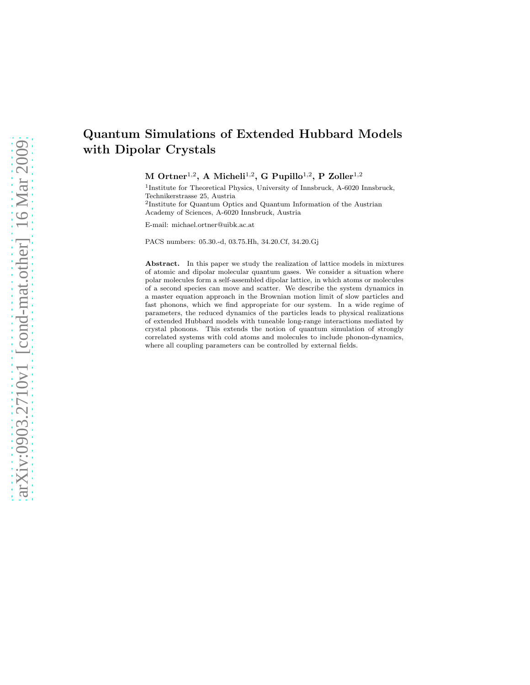# Quantum Simulations of Extended Hubbard Models with Dipolar Crystals

 $M$  Ortner<sup>1,2</sup>, A Micheli<sup>1,2</sup>, G Pupillo<sup>1,2</sup>, P Zoller<sup>1,2</sup>

<sup>1</sup>Institute for Theoretical Physics, University of Innsbruck, A-6020 Innsbruck, Technikerstrasse 25, Austria

2 Institute for Quantum Optics and Quantum Information of the Austrian Academy of Sciences, A-6020 Innsbruck, Austria

E-mail: michael.ortner@uibk.ac.at

PACS numbers: 05.30.-d, 03.75.Hh, 34.20.Cf, 34.20.Gj

Abstract. In this paper we study the realization of lattice models in mixtures of atomic and dipolar molecular quantum gases. We consider a situation where polar molecules form a self-assembled dipolar lattice, in which atoms or molecules of a second species can move and scatter. We describe the system dynamics in a master equation approach in the Brownian motion limit of slow particles and fast phonons, which we find appropriate for our system. In a wide regime of parameters, the reduced dynamics of the particles leads to physical realizations of extended Hubbard models with tuneable long-range interactions mediated by crystal phonons. This extends the notion of quantum simulation of strongly correlated systems with cold atoms and molecules to include phonon-dynamics, where all coupling parameters can be controlled by external fields.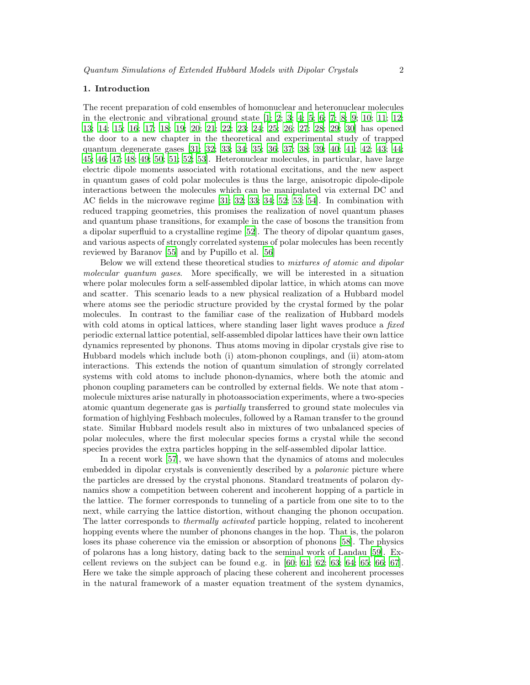#### 1. Introduction

The recent preparation of cold ensembles of homonuclear and heteronuclear molecules in the electronic and vibrational ground state  $[1; 2; 3; 4; 5; 6; 7; 8; 9; 10; 11; 12;$  $[1; 2; 3; 4; 5; 6; 7; 8; 9; 10; 11; 12;$  $[1; 2; 3; 4; 5; 6; 7; 8; 9; 10; 11; 12;$  $[1; 2; 3; 4; 5; 6; 7; 8; 9; 10; 11; 12;$  $[1; 2; 3; 4; 5; 6; 7; 8; 9; 10; 11; 12;$  $[1; 2; 3; 4; 5; 6; 7; 8; 9; 10; 11; 12;$  $[1; 2; 3; 4; 5; 6; 7; 8; 9; 10; 11; 12;$  $[1; 2; 3; 4; 5; 6; 7; 8; 9; 10; 11; 12;$  $[1; 2; 3; 4; 5; 6; 7; 8; 9; 10; 11; 12;$  $[1; 2; 3; 4; 5; 6; 7; 8; 9; 10; 11; 12;$  $[1; 2; 3; 4; 5; 6; 7; 8; 9; 10; 11; 12;$  $[1; 2; 3; 4; 5; 6; 7; 8; 9; 10; 11; 12;$  $[1; 2; 3; 4; 5; 6; 7; 8; 9; 10; 11; 12;$  $[1; 2; 3; 4; 5; 6; 7; 8; 9; 10; 11; 12;$  $[1; 2; 3; 4; 5; 6; 7; 8; 9; 10; 11; 12;$  $[1; 2; 3; 4; 5; 6; 7; 8; 9; 10; 11; 12;$  $[1; 2; 3; 4; 5; 6; 7; 8; 9; 10; 11; 12;$  $[1; 2; 3; 4; 5; 6; 7; 8; 9; 10; 11; 12;$ [13;](#page-41-12) [14;](#page-41-13) [15;](#page-41-14) [16;](#page-41-15) [17](#page-41-16); [18](#page-41-17); [19](#page-41-18); [20;](#page-41-19) [21;](#page-41-20) [22;](#page-41-21) [23;](#page-42-0) [24;](#page-42-1) [25](#page-42-2); [26](#page-42-3); [27;](#page-42-4) [28;](#page-42-5) [29;](#page-42-6) [30\]](#page-42-7) has opened the door to a new chapter in the theoretical and experimental study of trapped quantum degenerate gases [\[31;](#page-42-8) [32;](#page-42-9) [33;](#page-42-10) [34;](#page-42-11) [35;](#page-42-12) [36;](#page-42-13) [37;](#page-42-14) [38;](#page-42-15) [39;](#page-42-16) [40;](#page-42-17) [41;](#page-42-18) [42;](#page-42-19) [43;](#page-42-20) [44;](#page-42-21) [45;](#page-42-22) [46;](#page-42-23) [47;](#page-42-24) [48;](#page-42-25) [49;](#page-42-26) [50;](#page-43-0) [51](#page-43-1); [52;](#page-43-2) [53](#page-43-3)]. Heteronuclear molecules, in particular, have large electric dipole moments associated with rotational excitations, and the new aspect in quantum gases of cold polar molecules is thus the large, anisotropic dipole-dipole interactions between the molecules which can be manipulated via external DC and AC fields in the microwave regime [\[31](#page-42-8); [32](#page-42-9); [33](#page-42-10); [34;](#page-42-11) [52;](#page-43-2) [53;](#page-43-3) [54\]](#page-43-4). In combination with reduced trapping geometries, this promises the realization of novel quantum phases and quantum phase transitions, for example in the case of bosons the transition from a dipolar superfluid to a crystalline regime [\[52\]](#page-43-2). The theory of dipolar quantum gases, and various aspects of strongly correlated systems of polar molecules has been recently reviewed by Baranov [\[55](#page-43-5)] and by Pupillo et al. [\[56](#page-43-6)]

Below we will extend these theoretical studies to *mixtures of atomic and dipolar molecular quantum gases*. More specifically, we will be interested in a situation where polar molecules form a self-assembled dipolar lattice, in which atoms can move and scatter. This scenario leads to a new physical realization of a Hubbard model where atoms see the periodic structure provided by the crystal formed by the polar molecules. In contrast to the familiar case of the realization of Hubbard models with cold atoms in optical lattices, where standing laser light waves produce a *fixed* periodic external lattice potential, self-assembled dipolar lattices have their own lattice dynamics represented by phonons. Thus atoms moving in dipolar crystals give rise to Hubbard models which include both (i) atom-phonon couplings, and (ii) atom-atom interactions. This extends the notion of quantum simulation of strongly correlated systems with cold atoms to include phonon-dynamics, where both the atomic and phonon coupling parameters can be controlled by external fields. We note that atom molecule mixtures arise naturally in photoassociation experiments, where a two-species atomic quantum degenerate gas is *partially* transferred to ground state molecules via formation of highlying Feshbach molecules, followed by a Raman transfer to the ground state. Similar Hubbard models result also in mixtures of two unbalanced species of polar molecules, where the first molecular species forms a crystal while the second species provides the extra particles hopping in the self-assembled dipolar lattice.

In a recent work [\[57\]](#page-43-7), we have shown that the dynamics of atoms and molecules embedded in dipolar crystals is conveniently described by a *polaronic* picture where the particles are dressed by the crystal phonons. Standard treatments of polaron dynamics show a competition between coherent and incoherent hopping of a particle in the lattice. The former corresponds to tunneling of a particle from one site to to the next, while carrying the lattice distortion, without changing the phonon occupation. The latter corresponds to *thermally activated* particle hopping, related to incoherent hopping events where the number of phonons changes in the hop. That is, the polaron loses its phase coherence via the emission or absorption of phonons [\[58\]](#page-43-8). The physics of polarons has a long history, dating back to the seminal work of Landau [\[59](#page-43-9)]. Excellent reviews on the subject can be found e.g. in  $[60; 61; 62; 63; 64; 65; 66; 67]$  $[60; 61; 62; 63; 64; 65; 66; 67]$  $[60; 61; 62; 63; 64; 65; 66; 67]$  $[60; 61; 62; 63; 64; 65; 66; 67]$  $[60; 61; 62; 63; 64; 65; 66; 67]$  $[60; 61; 62; 63; 64; 65; 66; 67]$  $[60; 61; 62; 63; 64; 65; 66; 67]$  $[60; 61; 62; 63; 64; 65; 66; 67]$  $[60; 61; 62; 63; 64; 65; 66; 67]$  $[60; 61; 62; 63; 64; 65; 66; 67]$ . Here we take the simple approach of placing these coherent and incoherent processes in the natural framework of a master equation treatment of the system dynamics,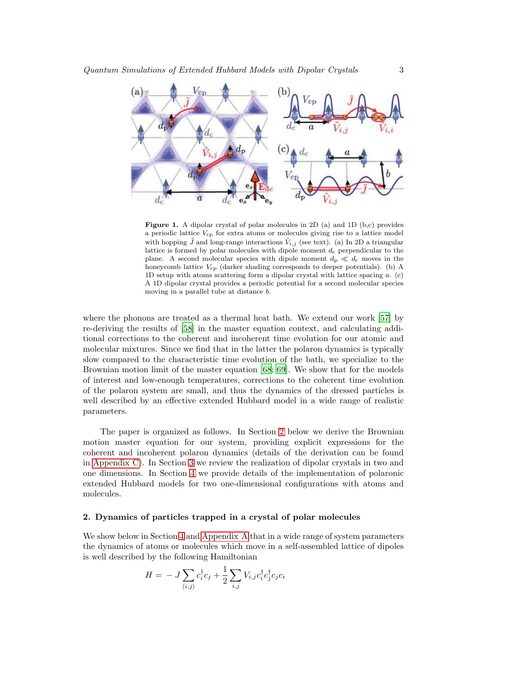

<span id="page-2-1"></span>Figure 1. A dipolar crystal of polar molecules in 2D (a) and 1D (b,c) provides a periodic lattice  $V_{\rm cp}$  for extra atoms or molecules giving rise to a lattice model with hopping  $\tilde{J}$  and long-range interactions  $\tilde{V}_{i,j}$  (see text). (a) In 2D a triangular lattice is formed by polar molecules with dipole moment  $d_c$  perpendicular to the plane. A second molecular species with dipole moment  $d_p \ll d_c$  moves in the honeycomb lattice  $V_{\rm cp}$  (darker shading corresponds to deeper potentials). (b) A 1D setup with atoms scattering form a dipolar crystal with lattice spacing a. (c) A 1D dipolar crystal provides a periodic potential for a second molecular species moving in a parallel tube at distance b.

where the phonons are treated as a thermal heat bath. We extend our work [\[57\]](#page-43-7) by re-deriving the results of [\[58](#page-43-8)] in the master equation context, and calculating additional corrections to the coherent and incoherent time evolution for our atomic and molecular mixtures. Since we find that in the latter the polaron dynamics is typically slow compared to the characteristic time evolution of the bath, we specialize to the Brownian motion limit of the master equation [\[68;](#page-43-18) [69\]](#page-43-19). We show that for the models of interest and low-enough temperatures, corrections to the coherent time evolution of the polaron system are small, and thus the dynamics of the dressed particles is well described by an effective extended Hubbard model in a wide range of realistic parameters.

The paper is organized as follows. In Section [2](#page-2-0) below we derive the Brownian motion master equation for our system, providing explicit expressions for the coherent and incoherent polaron dynamics (details of the derivation can be found in [Appendix C\)](#page-33-0). In Section [3](#page-10-0) we review the realization of dipolar crystals in two and one dimensions. In Section [4](#page-12-0) we provide details of the implementation of polaronic extended Hubbard models for two one-dimensional configurations with atoms and molecules.

# <span id="page-2-0"></span>2. Dynamics of particles trapped in a crystal of polar molecules

We show below in Section [4](#page-12-0) and [Appendix A](#page-27-0) that in a wide range of system parameters the dynamics of atoms or molecules which move in a self-assembled lattice of dipoles is well described by the following Hamiltonian

$$
H = -J\sum_{\langle i,j\rangle} c_i^{\dagger} c_j + \frac{1}{2}\sum_{i,j} V_{i,j} c_i^{\dagger} c_j^{\dagger} c_j c_i
$$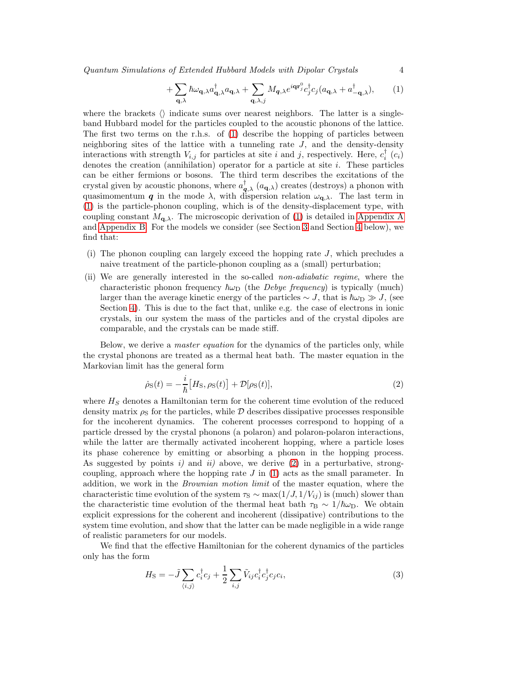*Quantum Simulations of Extended Hubbard Models with Dipolar Crystals* 4

$$
+\sum_{\mathbf{q},\lambda} \hbar \omega_{\mathbf{q},\lambda} a_{\mathbf{q},\lambda}^{\dagger} a_{\mathbf{q},\lambda} + \sum_{\mathbf{q},\lambda,j} M_{\mathbf{q},\lambda} e^{i\mathbf{q}\mathbf{r}_{j}^{0}} c_{j}^{\dagger} c_{j} (a_{\mathbf{q},\lambda} + a_{-\mathbf{q},\lambda}^{\dagger}), \tag{1}
$$

where the brackets  $\langle \rangle$  indicate sums over nearest neighbors. The latter is a singleband Hubbard model for the particles coupled to the acoustic phonons of the lattice. The first two terms on the r.h.s. of [\(1\)](#page-9-0) describe the hopping of particles between neighboring sites of the lattice with a tunneling rate  $J$ , and the density-density interactions with strength  $V_{i,j}$  for particles at site i and j, respectively. Here,  $c_i^{\dagger}$  ( $c_i$ ) denotes the creation (annihilation) operator for a particle at site i. These particles can be either fermions or bosons. The third term describes the excitations of the crystal given by acoustic phonons, where  $a_{q,\lambda}^{\dagger}$  ( $a_{q,\lambda}$ ) creates (destroys) a phonon with quasimomentum q in the mode  $\lambda$ , with dispersion relation  $\omega_{q,\lambda}$ . The last term in [\(1\)](#page-9-0) is the particle-phonon coupling, which is of the density-displacement type, with coupling constant  $M_{q,\lambda}$ . The microscopic derivation of [\(1\)](#page-9-0) is detailed in [Appendix A](#page-27-0) and [Appendix B.](#page-30-0) For the models we consider (see Section [3](#page-10-0) and Section [4](#page-12-0) below), we find that:

- (i) The phonon coupling can largely exceed the hopping rate  $J$ , which precludes a naive treatment of the particle-phonon coupling as a (small) perturbation;
- (ii) We are generally interested in the so-called *non-adiabatic regime*, where the characteristic phonon frequency  $\hbar\omega_D$  (the *Debye frequency*) is typically (much) larger than the average kinetic energy of the particles  $\sim J$ , that is  $\hbar\omega_{\rm D} \gg J$ , (see Section [4\)](#page-12-0). This is due to the fact that, unlike e.g. the case of electrons in ionic crystals, in our system the mass of the particles and of the crystal dipoles are comparable, and the crystals can be made stiff.

Below, we derive a *master equation* for the dynamics of the particles only, while the crystal phonons are treated as a thermal heat bath. The master equation in the Markovian limit has the general form

<span id="page-3-0"></span>
$$
\dot{\rho}_{\rm S}(t) = -\frac{i}{\hbar} \big[ H_{\rm S} , \rho_{\rm S}(t) \big] + \mathcal{D}[\rho_{\rm S}(t)],\tag{2}
$$

where  $H<sub>S</sub>$  denotes a Hamiltonian term for the coherent time evolution of the reduced density matrix  $\rho_S$  for the particles, while D describes dissipative processes responsible for the incoherent dynamics. The coherent processes correspond to hopping of a particle dressed by the crystal phonons (a polaron) and polaron-polaron interactions, while the latter are thermally activated incoherent hopping, where a particle loses its phase coherence by emitting or absorbing a phonon in the hopping process. As suggested by points *i)* and *ii)* above, we derive [\(2\)](#page-3-0) in a perturbative, strongcoupling, approach where the hopping rate  $J$  in  $(1)$  acts as the small parameter. In addition, we work in the *Brownian motion limit* of the master equation, where the characteristic time evolution of the system  $\tau_s \sim \max(1/J, 1/V_{ij})$  is (much) slower than the characteristic time evolution of the thermal heat bath  $\tau_B \sim 1/\hbar\omega_D$ . We obtain explicit expressions for the coherent and incoherent (dissipative) contributions to the system time evolution, and show that the latter can be made negligible in a wide range of realistic parameters for our models.

We find that the effective Hamiltonian for the coherent dynamics of the particles only has the form

<span id="page-3-1"></span>
$$
H_{\rm S} = -\tilde{J} \sum_{\langle i,j \rangle} c_i^{\dagger} c_j + \frac{1}{2} \sum_{i,j} \tilde{V}_{ij} c_i^{\dagger} c_j^{\dagger} c_j c_i, \qquad (3)
$$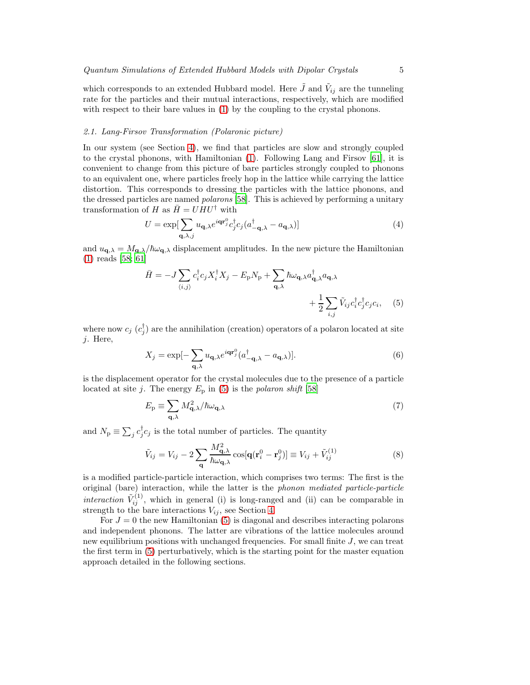which corresponds to an extended Hubbard model. Here  $\tilde{J}$  and  $\tilde{V}_{ij}$  are the tunneling rate for the particles and their mutual interactions, respectively, which are modified with respect to their bare values in  $(1)$  by the coupling to the crystal phonons.

# <span id="page-4-2"></span>*2.1. Lang-Firsov Transformation (Polaronic picture)*

In our system (see Section [4\)](#page-12-0), we find that particles are slow and strongly coupled to the crystal phonons, with Hamiltonian [\(1\)](#page-9-0). Following Lang and Firsov [\[61\]](#page-43-11), it is convenient to change from this picture of bare particles strongly coupled to phonons to an equivalent one, where particles freely hop in the lattice while carrying the lattice distortion. This corresponds to dressing the particles with the lattice phonons, and the dressed particles are named *polarons* [\[58\]](#page-43-8). This is achieved by performing a unitary transformation of H as  $\bar{H} = U H U^{\dagger}$  with

$$
U = \exp[\sum_{\mathbf{q},\lambda,j} u_{\mathbf{q},\lambda} e^{i\mathbf{q}\mathbf{r}_j^0} c_j^\dagger c_j (a_{-\mathbf{q},\lambda}^\dagger - a_{\mathbf{q},\lambda})]
$$
(4)

and  $u_{\mathbf{q},\lambda} = M_{\mathbf{q},\lambda}/\hbar\omega_{\mathbf{q},\lambda}$  displacement amplitudes. In the new picture the Hamiltonian [\(1\)](#page-9-0) reads [\[58;](#page-43-8) [61\]](#page-43-11)

<span id="page-4-0"></span>
$$
\bar{H} = -J \sum_{\langle i,j \rangle} c_i^{\dagger} c_j X_i^{\dagger} X_j - E_p N_p + \sum_{\mathbf{q}, \lambda} \hbar \omega_{\mathbf{q}, \lambda} a_{\mathbf{q}, \lambda}^{\dagger} a_{\mathbf{q}, \lambda} + \frac{1}{2} \sum_{i,j} \tilde{V}_{ij} c_i^{\dagger} c_j^{\dagger} c_j c_i, \quad (5)
$$

where now  $c_j$   $(c_j^{\dagger})$  are the annihilation (creation) operators of a polaron located at site j. Here,

$$
X_j = \exp[-\sum_{\mathbf{q},\lambda} u_{\mathbf{q},\lambda} e^{i\mathbf{q}\mathbf{r}_j^0} (a_{-\mathbf{q},\lambda}^\dagger - a_{\mathbf{q},\lambda})].
$$
 (6)

is the displacement operator for the crystal molecules due to the presence of a particle located at site j. The energy  $E_p$  in [\(5\)](#page-4-0) is the *polaron shift* [\[58\]](#page-43-8)

<span id="page-4-1"></span>
$$
E_{\rm p} \equiv \sum_{\mathbf{q},\lambda} M_{\mathbf{q},\lambda}^2 / \hbar \omega_{\mathbf{q},\lambda} \tag{7}
$$

and  $N_{\rm p} \equiv \sum_j c_j^{\dagger} c_j$  is the total number of particles. The quantity

<span id="page-4-3"></span>
$$
\tilde{V}_{ij} = V_{ij} - 2 \sum_{\mathbf{q}} \frac{M_{\mathbf{q},\lambda}^2}{\hbar \omega_{\mathbf{q},\lambda}} \cos[\mathbf{q}(\mathbf{r}_i^0 - \mathbf{r}_j^0)] \equiv V_{ij} + \tilde{V}_{ij}^{(1)}
$$
\n(8)

is a modified particle-particle interaction, which comprises two terms: The first is the original (bare) interaction, while the latter is the *phonon mediated particle-particle interaction*  $\tilde{V}_{ij}^{(1)}$ , which in general (i) is long-ranged and (ii) can be comparable in strength to the bare interactions  $V_{ij}$ , see Section [4.](#page-12-0)

For  $J = 0$  the new Hamiltonian [\(5\)](#page-4-0) is diagonal and describes interacting polarons and independent phonons. The latter are vibrations of the lattice molecules around new equilibrium positions with unchanged frequencies. For small finite  $J$ , we can treat the first term in [\(5\)](#page-4-0) perturbatively, which is the starting point for the master equation approach detailed in the following sections.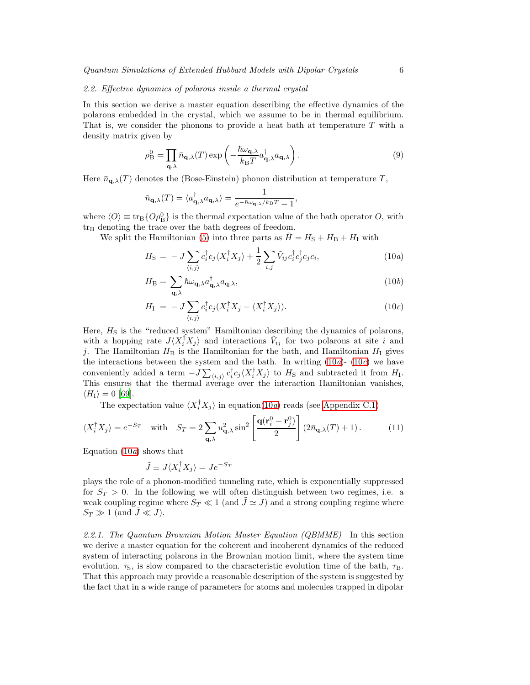#### <span id="page-5-1"></span>*2.2. Effective dynamics of polarons inside a thermal crystal*

In this section we derive a master equation describing the effective dynamics of the polarons embedded in the crystal, which we assume to be in thermal equilibrium. That is, we consider the phonons to provide a heat bath at temperature  $T$  with a density matrix given by

$$
\rho_{\rm B}^0 = \prod_{\mathbf{q},\lambda} \bar{n}_{\mathbf{q},\lambda}(T) \exp\left(-\frac{\hbar \omega_{\mathbf{q},\lambda}}{k_{\rm B}T} a_{\mathbf{q},\lambda}^{\dagger} a_{\mathbf{q},\lambda}\right).
$$
\n(9)

Here  $\bar{n}_{q,\lambda}(T)$  denotes the (Bose-Einstein) phonon distribution at temperature T,

$$
\bar{n}_{\mathbf{q},\lambda}(T) = \langle a_{\mathbf{q},\lambda}^{\dagger} a_{\mathbf{q},\lambda} \rangle = \frac{1}{e^{-\hbar\omega_{\mathbf{q},\lambda}/k_{\mathrm{B}}T} - 1},
$$

where  $\langle O \rangle \equiv \text{tr}_{\text{B}} \{O \rho_{\text{B}}^0\}$  is the thermal expectation value of the bath operator O, with tr<sub>B</sub> denoting the trace over the bath degrees of freedom.

We split the Hamiltonian [\(5\)](#page-4-0) into three parts as  $\bar{H} = H<sub>S</sub> + H<sub>B</sub> + H<sub>I</sub>$  with

$$
H_{\rm S} = -J \sum_{\langle i,j \rangle} c_i^{\dagger} c_j \langle X_i^{\dagger} X_j \rangle + \frac{1}{2} \sum_{i,j} \tilde{V}_{ij} c_i^{\dagger} c_j^{\dagger} c_j c_i, \qquad (10a)
$$

$$
H_{\rm B} = \sum_{\mathbf{q},\lambda} \hbar \omega_{\mathbf{q},\lambda} a_{\mathbf{q},\lambda}^{\dagger} a_{\mathbf{q},\lambda},\tag{10b}
$$

$$
H_{\rm I} = -J \sum_{\langle i,j \rangle} c_i^{\dagger} c_j (X_i^{\dagger} X_j - \langle X_i^{\dagger} X_j \rangle). \tag{10c}
$$

Here,  $H<sub>S</sub>$  is the "reduced system" Hamiltonian describing the dynamics of polarons, with a hopping rate  $J\langle X_i^{\dagger}X_j\rangle$  and interactions  $\tilde{V}_{ij}$  for two polarons at site i and j. The Hamiltonian  $H_B$  is the Hamiltonian for the bath, and Hamiltonian  $H_I$  gives the interactions between the system and the bath. In writing [\(10](#page-9-0)*a*)- [\(10](#page-9-0)*c*) we have conveniently added a term  $-J \sum_{\langle i,j \rangle} c_i^{\dagger} c_j \langle X_i^{\dagger} X_j \rangle$  to  $H_S$  and subtracted it from  $H_I$ . This ensures that the thermal average over the interaction Hamiltonian vanishes,  $\langle H_{\rm I} \rangle = 0$  [\[69\]](#page-43-19).

The expectation value  $\langle X_i^{\dagger} X_j \rangle$  in equation[\(10](#page-9-0)*a*) reads (see [Appendix C.1\)](#page-33-1)

$$
\langle X_i^{\dagger} X_j \rangle = e^{-S_T} \quad \text{with} \quad S_T = 2 \sum_{\mathbf{q}, \lambda} u_{\mathbf{q}, \lambda}^2 \sin^2 \left[ \frac{\mathbf{q}(\mathbf{r}_i^0 - \mathbf{r}_j^0)}{2} \right] \left( 2\bar{n}_{\mathbf{q}, \lambda}(T) + 1 \right). \tag{11}
$$

Equation [\(10](#page-9-0)*a*) shows that

<span id="page-5-0"></span>
$$
\tilde{J} \equiv J \langle X_i^{\dagger} X_j \rangle = J e^{-S_T}
$$

plays the role of a phonon-modified tunneling rate, which is exponentially suppressed for  $S_T > 0$ . In the following we will often distinguish between two regimes, i.e. a weak coupling regime where  $S_T \ll 1$  (and  $J \simeq J$ ) and a strong coupling regime where  $S_T \gg 1$  (and  $\tilde{J} \ll J$ ).

*2.2.1. The Quantum Brownian Motion Master Equation (QBMME)* In this section we derive a master equation for the coherent and incoherent dynamics of the reduced system of interacting polarons in the Brownian motion limit, where the system time evolution,  $\tau_{\rm S}$ , is slow compared to the characteristic evolution time of the bath,  $\tau_{\rm B}$ . That this approach may provide a reasonable description of the system is suggested by the fact that in a wide range of parameters for atoms and molecules trapped in dipolar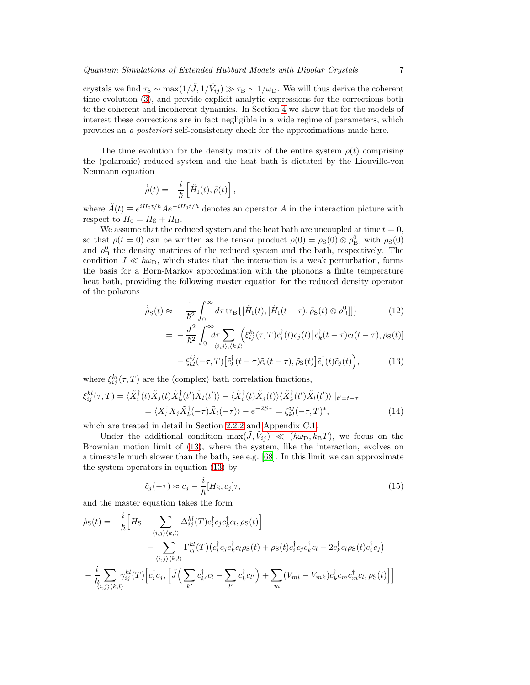crystals we find  $\tau_{\rm S} \sim \max(1/\tilde{J}, 1/\tilde{V}_{ij}) \gg \tau_{\rm B} \sim 1/\omega_{\rm D}$ . We will thus derive the coherent time evolution [\(3\)](#page-3-1), and provide explicit analytic expressions for the corrections both to the coherent and incoherent dynamics. In Section [4](#page-12-0) we show that for the models of interest these corrections are in fact negligible in a wide regime of parameters, which provides an *a posteriori* self-consistency check for the approximations made here.

The time evolution for the density matrix of the entire system  $\rho(t)$  comprising the (polaronic) reduced system and the heat bath is dictated by the Liouville-von Neumann equation

$$
\dot{\tilde{\rho}}(t) = -\frac{i}{\hbar} \left[ \tilde{H}_{\rm I}(t), \tilde{\rho}(t) \right],
$$

where  $\tilde{A}(t) \equiv e^{iH_0t/\hbar} A e^{-iH_0t/\hbar}$  denotes an operator A in the interaction picture with respect to  $H_0 = H<sub>S</sub> + H<sub>B</sub>$ .

We assume that the reduced system and the heat bath are uncoupled at time  $t = 0$ , so that  $\rho(t=0)$  can be written as the tensor product  $\rho(0) = \rho_S(0) \otimes \rho_B^0$ , with  $\rho_S(0)$ and  $\rho_B^0$  the density matrices of the reduced system and the bath, respectively. The condition  $J \ll \hbar \omega_{\rm D}$ , which states that the interaction is a weak perturbation, forms the basis for a Born-Markov approximation with the phonons a finite temperature heat bath, providing the following master equation for the reduced density operator of the polarons

<span id="page-6-0"></span>
$$
\dot{\tilde{\rho}}_{\rm S}(t) \approx -\frac{1}{\hbar^2} \int_0^\infty d\tau \, \text{tr}_{\rm B} \{ [\tilde{H}_{\rm I}(t), [\tilde{H}_{\rm I}(t-\tau), \tilde{\rho}_{\rm S}(t) \otimes \rho_{\rm B}^0]] \} \tag{12}
$$

$$
= -\frac{J^2}{\hbar^2} \int_0^\infty d\tau \sum_{\langle i,j \rangle,\langle k,l \rangle} \Bigl( \xi_{ij}^{kl}(\tau,T) \tilde{c}_i^{\dagger}(t) \tilde{c}_j(t) \Bigl[ \tilde{c}_k^{\dagger}(t-\tau) \tilde{c}_l(t-\tau), \tilde{\rho}_{\rm S}(t) \Bigr]
$$

$$
-\xi_{kl}^{ij}(-\tau,T)\left[\tilde{c}_k^{\dagger}(t-\tau)\tilde{c}_l(t-\tau),\tilde{\rho}_{\rm S}(t)\right]\tilde{c}_i^{\dagger}(t)\tilde{c}_j(t)\Big),\tag{13}
$$

where  $\xi_{ij}^{kl}(\tau, T)$  are the (complex) bath correlation functions,

$$
\xi_{ij}^{kl}(\tau,T) = \langle \tilde{X}_i^{\dagger}(t) \tilde{X}_j(t) \tilde{X}_k^{\dagger}(t') \tilde{X}_l(t') \rangle - \langle \tilde{X}_i^{\dagger}(t) \tilde{X}_j(t) \rangle \langle \tilde{X}_k^{\dagger}(t') \tilde{X}_l(t') \rangle |_{t'=t-\tau}
$$
  
=  $\langle X_i^{\dagger} X_j \tilde{X}_k^{\dagger}(-\tau) \tilde{X}_l(-\tau) \rangle - e^{-2S_T} = \xi_{kl}^{ij}(-\tau,T)^*,$  (14)

which are treated in detail in Section [2.2.2](#page-7-0) and [Appendix C.1.](#page-33-1)

Under the additional condition  $\max(\tilde{J}, \tilde{V}_{ij}) \ll (\hbar \omega_{D}, k_{B}T)$ , we focus on the Brownian motion limit of [\(13\)](#page-6-0), where the system, like the interaction, evolves on a timescale much slower than the bath, see e.g. [\[68](#page-43-18)]. In this limit we can approximate the system operators in equation [\(13\)](#page-6-0) by

<span id="page-6-2"></span><span id="page-6-1"></span>
$$
\tilde{c}_j(-\tau) \approx c_j - \frac{i}{\hbar} [H_{\rm S}, c_j] \tau,
$$
\n(15)

and the master equation takes the form

$$
\dot{\rho}_{\rm S}(t) = -\frac{i}{\hbar} \Big[ H_{\rm S} - \sum_{\langle i,j \rangle \langle k,l \rangle} \Delta_{ij}^{kl}(T) c_{i}^{\dagger} c_{j} c_{k}^{\dagger} c_{l}, \rho_{\rm S}(t) \Big] \n- \sum_{\langle i,j \rangle \langle k,l \rangle} \Gamma_{ij}^{kl}(T) \Big( c_{i}^{\dagger} c_{j} c_{k}^{\dagger} c_{l} \rho_{\rm S}(t) + \rho_{\rm S}(t) c_{i}^{\dagger} c_{j} c_{k}^{\dagger} c_{l} - 2 c_{k}^{\dagger} c_{l} \rho_{\rm S}(t) c_{i}^{\dagger} c_{j} \Big) \n- \frac{i}{\hbar} \sum_{\langle i,j \rangle \langle k,l \rangle} \gamma_{ij}^{kl}(T) \Big[ c_{i}^{\dagger} c_{j}, \Big[ \tilde{J} \Big( \sum_{k'} c_{k'}^{\dagger} c_{l} - \sum_{l'} c_{k}^{\dagger} c_{l'} \Big) + \sum_{m} (V_{ml} - V_{mk}) c_{k}^{\dagger} c_{m} c_{m}^{\dagger} c_{l}, \rho_{\rm S}(t) \Big] \Big]
$$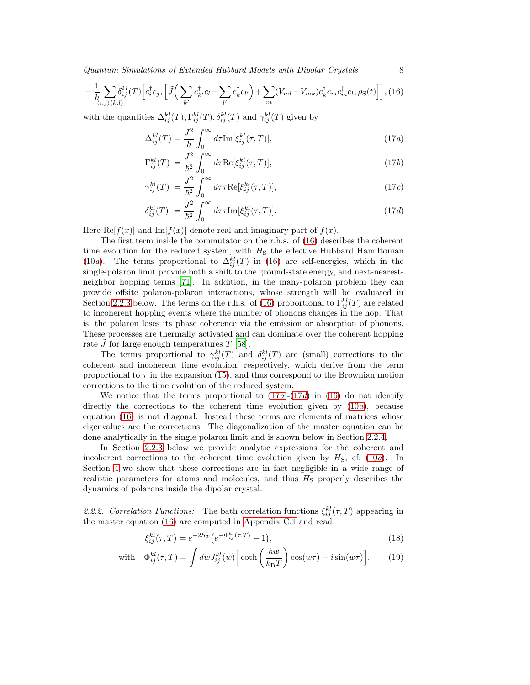*Quantum Simulations of Extended Hubbard Models with Dipolar Crystals* 8

$$
-\frac{1}{\hbar} \sum_{\langle i,j \rangle \langle k,l \rangle} \delta_{ij}^{kl}(T) \Big[ c_i^{\dagger} c_j, \Big[ \tilde{J} \Big( \sum_{k'} c_{k'}^{\dagger} c_l - \sum_{l'} c_{k}^{\dagger} c_{l'} \Big) + \sum_m (V_{ml} - V_{mk}) c_k^{\dagger} c_m c_m^{\dagger} c_l, \rho_S(t) \Big] \Big], (16)
$$

with the quantities  $\Delta_{ij}^{kl}(T), \Gamma_{ij}^{kl}(T), \delta_{ij}^{kl}(T)$  and  $\gamma_{ij}^{kl}(T)$  given by

$$
\Delta_{ij}^{kl}(T) = \frac{J^2}{\hbar} \int_0^\infty d\tau \text{Im}[\xi_{ij}^{kl}(\tau, T)],\tag{17a}
$$

$$
\Gamma_{ij}^{kl}(T) = \frac{J^2}{\hbar^2} \int_0^\infty d\tau \text{Re}[\xi_{ij}^{kl}(\tau, T)],\tag{17b}
$$

$$
\gamma_{ij}^{kl}(T) = \frac{J^2}{\hbar^2} \int_0^\infty d\tau \tau \text{Re}[\xi_{ij}^{kl}(\tau, T)],\tag{17c}
$$

$$
\delta_{ij}^{kl}(T) = \frac{J^2}{\hbar^2} \int_0^\infty d\tau \tau \text{Im}[\xi_{ij}^{kl}(\tau, T)]. \tag{17d}
$$

Here Re $[f(x)]$  and Im $[f(x)]$  denote real and imaginary part of  $f(x)$ .

The first term inside the commutator on the r.h.s. of [\(16\)](#page-6-1) describes the coherent time evolution for the reduced system, with  $H<sub>S</sub>$  the effective Hubbard Hamiltonian [\(10](#page-9-0)*a*). The terms proportional to  $\Delta_{ij}^{kl}(T)$  in [\(16\)](#page-6-1) are self-energies, which in the single-polaron limit provide both a shift to the ground-state energy, and next-nearestneighbor hopping terms [\[71\]](#page-43-20). In addition, in the many-polaron problem they can provide offsite polaron-polaron interactions, whose strength will be evaluated in Section [2.2.3](#page-8-0) below. The terms on the r.h.s. of [\(16\)](#page-6-1) proportional to  $\Gamma_{ij}^{kl}(T)$  are related to incoherent hopping events where the number of phonons changes in the hop. That is, the polaron loses its phase coherence via the emission or absorption of phonons. These processes are thermally activated and can dominate over the coherent hopping rate  $\tilde{J}$  for large enough temperatures T [\[58](#page-43-8)].

The terms proportional to  $\gamma_{ij}^{kl}(T)$  and  $\delta_{ij}^{kl}(T)$  are (small) corrections to the coherent and incoherent time evolution, respectively, which derive from the term proportional to  $\tau$  in the expansion [\(15\)](#page-6-2), and thus correspond to the Brownian motion corrections to the time evolution of the reduced system.

We notice that the terms proportional to  $(17a)-(17d)$  $(17a)-(17d)$  in  $(16)$  do not identify directly the corrections to the coherent time evolution given by [\(10](#page-9-0)*a*), because equation [\(16\)](#page-6-1) is not diagonal. Instead these terms are elements of matrices whose eigenvalues are the corrections. The diagonalization of the master equation can be done analytically in the single polaron limit and is shown below in Section [2.2.4.](#page-9-1)

In Section [2.2.3](#page-8-0) below we provide analytic expressions for the coherent and incoherent corrections to the coherent time evolution given by  $H<sub>S</sub>$ , cf. [\(10](#page-9-0)*a*). In Section [4](#page-12-0) we show that these corrections are in fact negligible in a wide range of realistic parameters for atoms and molecules, and thus  $H<sub>S</sub>$  properly describes the dynamics of polarons inside the dipolar crystal.

<span id="page-7-0"></span>2.2.2. Correlation Functions: The bath correlation functions  $\xi_{ij}^{kl}(\tau, T)$  appearing in the master equation [\(16\)](#page-6-1) are computed in [Appendix C.1](#page-33-1) and read

<span id="page-7-1"></span>
$$
\xi_{ij}^{kl}(\tau,T) = e^{-2S_T} \left( e^{-\Phi_{ij}^{kl}(\tau,T)} - 1 \right),\tag{18}
$$

with 
$$
\Phi_{ij}^{kl}(\tau, T) = \int dw J_{ij}^{kl}(w) \left[ \coth\left(\frac{\hbar w}{k_{\rm B}T}\right) \cos(w\tau) - i \sin(w\tau) \right]. \tag{19}
$$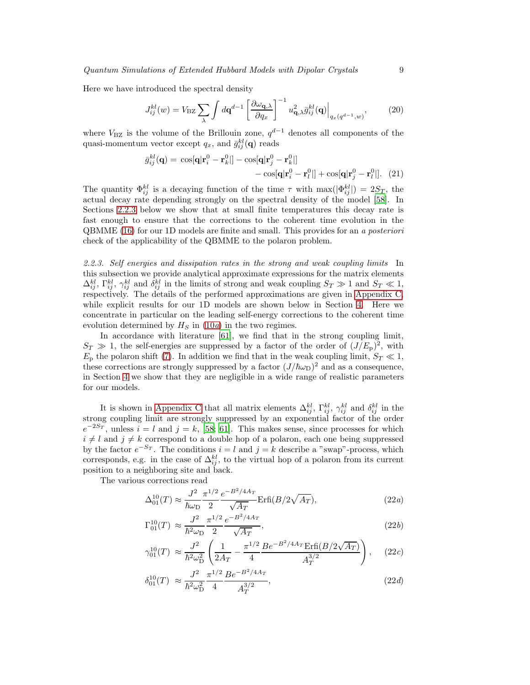Here we have introduced the spectral density

<span id="page-8-1"></span>
$$
J_{ij}^{kl}(w) = V_{\text{BZ}} \sum_{\lambda} \int d\mathbf{q}^{d-1} \left[ \frac{\partial \omega_{\mathbf{q},\lambda}}{\partial q_x} \right]^{-1} u_{\mathbf{q},\lambda}^2 \bar{g}_{ij}^{kl}(\mathbf{q}) \Big|_{q_x(q^{d-1},w)},\tag{20}
$$

where  $V_{\text{BZ}}$  is the volume of the Brillouin zone,  $q^{d-1}$  denotes all components of the quasi-momentum vector except  $q_x$ , and  $\bar{g}_{ij}^{kl}(\mathbf{q})$  reads

$$
\bar{g}_{ij}^{kl}(\mathbf{q}) = \cos[\mathbf{q}|\mathbf{r}_i^0 - \mathbf{r}_k^0|] - \cos[\mathbf{q}|\mathbf{r}_j^0 - \mathbf{r}_k^0|] \n- \cos[\mathbf{q}|\mathbf{r}_i^0 - \mathbf{r}_l^0|] + \cos[\mathbf{q}|\mathbf{r}_j^0 - \mathbf{r}_l^0|].
$$
\n(21)

The quantity  $\Phi_{ij}^{kl}$  is a decaying function of the time  $\tau$  with  $\max(|\Phi_{ij}^{kl}|) = 2S_T$ , the actual decay rate depending strongly on the spectral density of the model [\[58\]](#page-43-8). In Sections [2.2.3](#page-8-0) below we show that at small finite temperatures this decay rate is fast enough to ensure that the corrections to the coherent time evolution in the QBMME [\(16\)](#page-6-1) for our 1D models are finite and small. This provides for an *a posteriori* check of the applicability of the QBMME to the polaron problem.

<span id="page-8-0"></span>*2.2.3. Self energies and dissipation rates in the strong and weak coupling limits* In this subsection we provide analytical approximate expressions for the matrix elements  $\Delta_{ij}^{kl}$ ,  $\Gamma_{ij}^{kl}$ ,  $\gamma_{ij}^{kl}$  and  $\delta_{ij}^{kl}$  in the limits of strong and weak coupling  $S_T \gg 1$  and  $S_T \ll 1$ , respectively. The details of the performed approximations are given in [Appendix C,](#page-33-0) while explicit results for our 1D models are shown below in Section [4.](#page-12-0) Here we concentrate in particular on the leading self-energy corrections to the coherent time evolution determined by  $H<sub>S</sub>$  in [\(10](#page-9-0)*a*) in the two regimes.

In accordance with literature [\[61](#page-43-11)], we find that in the strong coupling limit,  $S_T \gg 1$ , the self-energies are suppressed by a factor of the order of  $(J/E_p)^2$ , with  $E_p$  the polaron shift [\(7\)](#page-4-1). In addition we find that in the weak coupling limit,  $S_T \ll 1$ , these corrections are strongly suppressed by a factor  $(J/\hbar\omega_D)^2$  and as a consequence, in Section [4](#page-12-0) we show that they are negligible in a wide range of realistic parameters for our models.

It is shown in [Appendix C](#page-33-0) that all matrix elements  $\Delta_{ij}^{kl}$ ,  $\Gamma_{ij}^{kl}$ ,  $\gamma_{ij}^{kl}$  and  $\delta_{ij}^{kl}$  in the strong coupling limit are strongly suppressed by an exponential factor of the order  $e^{-2S_T}$ , unless  $i = l$  and  $j = k$ , [\[58](#page-43-8); [61\]](#page-43-11). This makes sense, since processes for which  $i \neq l$  and  $j \neq k$  correspond to a double hop of a polaron, each one being suppressed by the factor  $e^{-S_T}$ . The conditions  $i = l$  and  $j = k$  describe a "swap"-process, which corresponds, e.g. in the case of  $\Delta_{ij}^{kl}$ , to the virtual hop of a polaron from its current position to a neighboring site and back.

The various corrections read

$$
\Delta_{01}^{10}(T) \approx \frac{J^2}{\hbar \omega_{\rm D}} \frac{\pi^{1/2}}{2} \frac{e^{-B^2/4Ar}}{\sqrt{A_T}} \text{Erfi}(B/2\sqrt{A_T}),\tag{22a}
$$

$$
\Gamma_{01}^{10}(T) \approx \frac{J^2}{\hbar^2 \omega_{\rm D}} \frac{\pi^{1/2}}{2} \frac{e^{-B^2/4A_T}}{\sqrt{A_T}},\tag{22b}
$$

$$
\gamma_{01}^{10}(T) \approx \frac{J^2}{\hbar^2 \omega_{\rm D}^2} \left( \frac{1}{2A_T} - \frac{\pi^{1/2}}{4} \frac{B e^{-B^2/4A_T} \text{Erfi}(B/2\sqrt{A_T})}{A_T^{3/2}} \right), \quad (22c)
$$

$$
\delta_{01}^{10}(T) \approx \frac{J^2}{\hbar^2 \omega_{\rm D}^2} \frac{\pi^{1/2}}{4} \frac{Be^{-B^2/4A_T}}{A_T^{3/2}},\tag{22d}
$$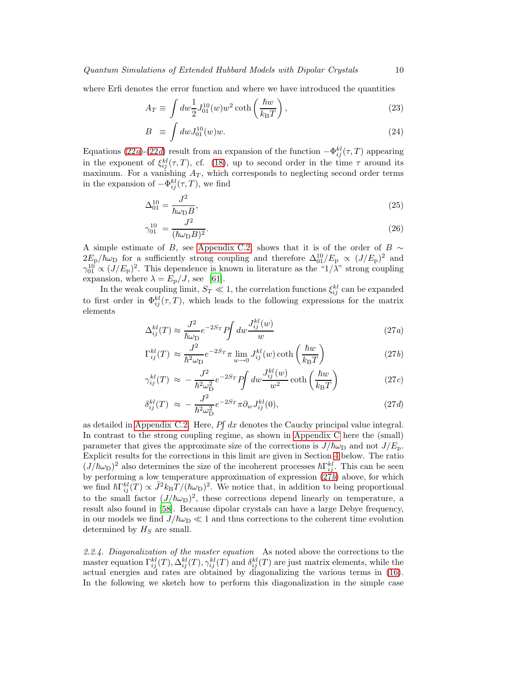where Erfi denotes the error function and where we have introduced the quantities

$$
A_T \equiv \int dw \frac{1}{2} J_{01}^{10}(w) w^2 \coth\left(\frac{\hbar w}{k_{\rm B}T}\right),\tag{23}
$$

$$
B \equiv \int dw J_{01}^{10}(w)w. \tag{24}
$$

Equations [\(22](#page-9-0)*a*)-[\(22](#page-9-0)*d*) result from an expansion of the function  $-\Phi_{ij}^{kl}(\tau, T)$  appearing in the exponent of  $\xi_{ij}^{kl}(\tau, T)$ , cf. [\(18\)](#page-7-1), up to second order in the time  $\tau$  around its maximum. For a vanishing  $A_T$ , which corresponds to neglecting second order terms in the expansion of  $-\Phi_{ij}^{kl}(\tau,T)$ , we find

$$
\Delta_{01}^{10} = \frac{J^2}{\hbar \omega_{\rm D} B},\tag{25}
$$

$$
\gamma_{01}^{10} = \frac{J^2}{(\hbar\omega_{\rm D}B)^2}.\tag{26}
$$

A simple estimate of B, see [Appendix C.2,](#page-35-0) shows that it is of the order of B  $\sim$  $2E_p/\hbar\omega_D$  for a sufficiently strong coupling and therefore  $\Delta_{01}^{10}/E_p \propto (J/E_p)^2$  and  $\gamma_{01}^{10} \propto (J/E_{\rm p})^2$ . This dependence is known in literature as the "1/ $\lambda$ " strong coupling expansion, where  $\lambda = E_{\rm p}/J$ , see [\[61\]](#page-43-11).

In the weak coupling limit,  $S_T \ll 1$ , the correlation functions  $\xi_{ij}^{kl}$  can be expanded to first order in  $\Phi_{ij}^{kl}(\tau, T)$ , which leads to the following expressions for the matrix elements

<span id="page-9-0"></span>
$$
\Delta_{ij}^{kl}(T) \approx \frac{J^2}{\hbar \omega_{\rm D}} e^{-2S_T} P \int dw \frac{J_{ij}^{kl}(w)}{w} \tag{27a}
$$

$$
\Gamma_{ij}^{kl}(T) \approx \frac{J^2}{\hbar^2 \omega_D} e^{-2S_T} \pi \lim_{w \to 0} J_{ij}^{kl}(w) \coth\left(\frac{\hbar w}{k_B T}\right) \tag{27b}
$$

$$
\gamma_{ij}^{kl}(T) \approx -\frac{J^2}{\hbar^2 \omega_{\rm D}^2} e^{-2S_T} P \int dw \frac{J_{ij}^{kl}(w)}{w^2} \coth\left(\frac{\hbar w}{k_{\rm B}T}\right) \tag{27c}
$$

$$
\delta_{ij}^{kl}(T) \approx -\frac{J^2}{\hbar^2 \omega_{\rm D}^2} e^{-2S_T} \pi \partial_w J_{ij}^{kl}(0), \qquad (27d)
$$

as detailed in [Appendix C.2.](#page-35-0) Here,  $P\int dx$  denotes the Cauchy principal value integral. In contrast to the strong coupling regime, as shown in [Appendix C](#page-33-0) here the (small) parameter that gives the approximate size of the corrections is  $J/\hbar\omega_D$  and not  $J/E_p$ . Explicit results for the corrections in this limit are given in Section [4](#page-12-0) below. The ratio  $(J/\hbar\omega_{\rm D})^2$  also determines the size of the incoherent processes  $\hbar\Gamma_{ij}^{kl}$ . This can be seen by performing a low temperature approximation of expression [\(27](#page-9-0)*b*) above, for which we find  $\hbar \Gamma_{ij}^{kl}(T) \propto \tilde{J}^2 k_B T / (\hbar \omega_D)^2$ . We notice that, in addition to being proportional to the small factor  $(J/\hbar\omega_D)^2$ , these corrections depend linearly on temperature, a result also found in [\[58](#page-43-8)]. Because dipolar crystals can have a large Debye frequency, in our models we find  $J/\hbar\omega_D \ll 1$  and thus corrections to the coherent time evolution determined by  $H<sub>S</sub>$  are small.

<span id="page-9-1"></span>*2.2.4. Diagonalization of the master equation* As noted above the corrections to the master equation  $\Gamma_{ij}^{kl}(T), \Delta_{ij}^{kl}(T), \gamma_{ij}^{kl}(T)$  and  $\delta_{ij}^{kl}(T)$  are just matrix elements, while the actual energies and rates are obtained by diagonalizing the various terms in [\(16\)](#page-6-1). In the following we sketch how to perform this diagonalization in the simple case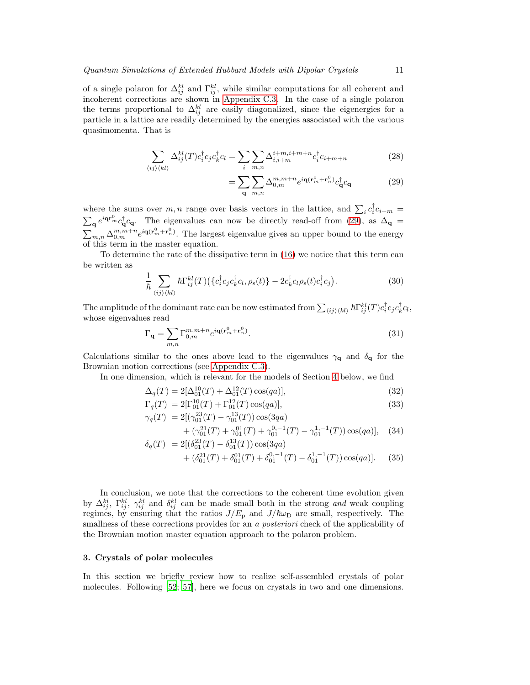of a single polaron for  $\Delta_{ij}^{kl}$  and  $\Gamma_{ij}^{kl}$ , while similar computations for all coherent and incoherent corrections are shown in [Appendix C.3.](#page-39-0) In the case of a single polaron the terms proportional to  $\Delta_{ij}^{kl}$  are easily diagonalized, since the eigenergies for a particle in a lattice are readily determined by the energies associated with the various quasimomenta. That is

<span id="page-10-1"></span>
$$
\sum_{\langle ij \rangle \langle kl \rangle} \Delta_{ij}^{kl}(T) c_i^{\dagger} c_j c_k^{\dagger} c_l = \sum_i \sum_{m,n} \Delta_{i,i+m}^{i+m,i+m+n} c_i^{\dagger} c_{i+m+n}
$$
(28)

$$
= \sum_{\mathbf{q}} \sum_{m,n} \Delta_{0,m}^{m,m+n} e^{i\mathbf{q}(\mathbf{r}_m^0 + \mathbf{r}_n^0)} c_{\mathbf{q}}^\dagger c_{\mathbf{q}} \tag{29}
$$

where the sums over  $m, n$  range over basis vectors in the lattice, and  $\sum_i c_i^{\dagger} c_{i+m} =$  $\sum_{\mathbf{q}} e^{i\mathbf{q}\cdot\mathbf{r}_{m}^0} c_{\mathbf{q}}^{\dagger} c_{\mathbf{q}}$ . The eigenvalues can now be directly read-off from [\(29\)](#page-10-1), as  $\Delta_{\mathbf{q}} =$  $\sum_{m,n}\Delta_{0,m}^{m,m+n}e^{i\mathbf{q}(\mathbf{r}_{m}^{0}+\mathbf{r}_{n}^{0})}$ . The largest eigenvalue gives an upper bound to the energy of this term in the master equation.

To determine the rate of the dissipative term in [\(16\)](#page-6-1) we notice that this term can be written as

$$
\frac{1}{\hbar} \sum_{\langle ij \rangle \langle kl \rangle} \hbar \Gamma^{kl}_{ij}(T) \left( \{ c_i^{\dagger} c_j c_k^{\dagger} c_l, \rho_s(t) \} - 2 c_k^{\dagger} c_l \rho_s(t) c_i^{\dagger} c_j \right). \tag{30}
$$

The amplitude of the dominant rate can be now estimated from  $\sum_{\langle ij \rangle \langle kl \rangle} \hbar \Gamma^{kl}_{ij}(T) c_i^{\dagger} c_j c_k^{\dagger} c_l$ , whose eigenvalues read

$$
\Gamma_{\mathbf{q}} = \sum_{m,n} \Gamma_{0,m}^{m,m+n} e^{i\mathbf{q}(\mathbf{r}_m^0 + \mathbf{r}_n^0)}.
$$
\n(31)

Calculations similar to the ones above lead to the eigenvalues  $\gamma_{q}$  and  $\delta_{q}$  for the Brownian motion corrections (see [Appendix C.3\)](#page-39-0).

In one dimension, which is relevant for the models of Section [4](#page-12-0) below, we find

$$
\Delta_q(T) = 2[\Delta_{01}^{10}(T) + \Delta_{01}^{12}(T)\cos(qa)],\tag{32}
$$

$$
\Gamma_q(T) = 2[\Gamma_{01}^{10}(T) + \Gamma_{01}^{12}(T)\cos(qa)],\tag{33}
$$

$$
\gamma_q(T) = 2[(\gamma_{01}^{23}(T) - \gamma_{01}^{13}(T))\cos(3qa) + (\gamma_{01}^{21}(T) + \gamma_{01}^{01}(T) + \gamma_{01}^{0,-1}(T) - \gamma_{01}^{1,-1}(T))\cos(qa)], \quad (34)
$$

$$
\delta_q(T) = 2[(\delta_{01}^{23}(T) - \delta_{01}^{13}(T))\cos(3qa) + (\delta_{01}^{21}(T) + \delta_{01}^{01}(T) + \delta_{01}^{0,-1}(T) - \delta_{01}^{1,-1}(T))\cos(qa)].
$$
 (35)

In conclusion, we note that the corrections to the coherent time evolution given by  $\Delta_{ij}^{kl}$ ,  $\Gamma_{ij}^{kl}$ ,  $\gamma_{ij}^{kl}$  and  $\delta_{ij}^{kl}$  can be made small both in the strong *and* weak coupling regimes, by ensuring that the ratios  $J/E_p$  and  $J/\hbar\omega_D$  are small, respectively. The smallness of these corrections provides for an *a posteriori* check of the applicability of the Brownian motion master equation approach to the polaron problem.

# <span id="page-10-0"></span>3. Crystals of polar molecules

In this section we briefly review how to realize self-assembled crystals of polar molecules. Following [\[52](#page-43-2); [57](#page-43-7)], here we focus on crystals in two and one dimensions.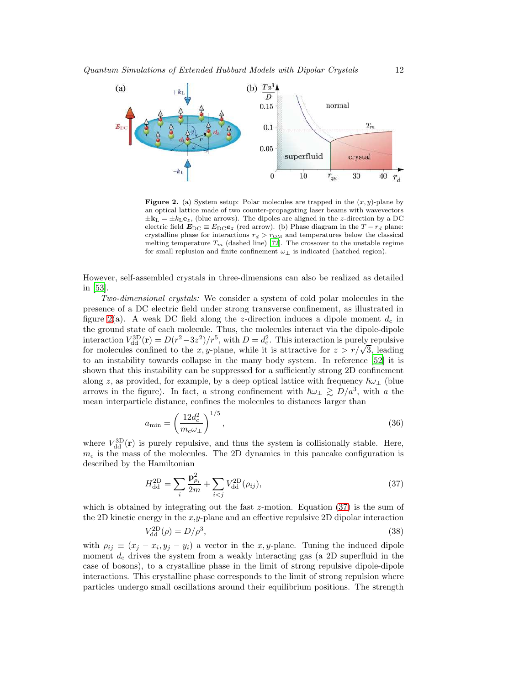

<span id="page-11-0"></span>**Figure 2.** (a) System setup: Polar molecules are trapped in the  $(x, y)$ -plane by an optical lattice made of two counter-propagating laser beams with wavevectors  $\pm \mathbf{k}_L = \pm k_L \mathbf{e}_z$ , (blue arrows). The dipoles are aligned in the z-direction by a DC electric field  $\mathbf{E}_{\text{DC}} \equiv E_{\text{DC}} \mathbf{e}_z$  (red arrow). (b) Phase diagram in the  $T - r_d$  plane: crystalline phase for interactions  $r_d > r_{\text{QM}}$  and temperatures below the classical melting temperature  $T_m$  (dashed line) [\[72](#page-43-21)]. The crossover to the unstable regime for small replusion and finite confinement  $\omega_{\perp}$  is indicated (hatched region).

However, self-assembled crystals in three-dimensions can also be realized as detailed in [\[53](#page-43-3)].

*Two-dimensional crystals:* We consider a system of cold polar molecules in the presence of a DC electric field under strong transverse confinement, as illustrated in figure [2\(](#page-11-0)a). A weak DC field along the z-direction induces a dipole moment  $d_c$  in the ground state of each molecule. Thus, the molecules interact via the dipole-dipole interaction  $V_{\text{dd}}^{\text{3D}}(\mathbf{r}) = D(r^2-3z^2)/r^5$ , with  $D = d_c^2$ . This interaction is purely repulsive for molecules confined to the x, y-plane, while it is attractive for  $z > r/\sqrt{3}$ , leading to an instability towards collapse in the many body system. In reference [\[52\]](#page-43-2) it is shown that this instability can be suppressed for a sufficiently strong 2D confinement along z, as provided, for example, by a deep optical lattice with frequency  $\hbar\omega_\perp$  (blue arrows in the figure). In fact, a strong confinement with  $\hbar\omega_\perp \gtrsim D/a^3$ , with a the mean interparticle distance, confines the molecules to distances larger than

$$
a_{\min} = \left(\frac{12d_c^2}{m_c\omega_\perp}\right)^{1/5},\tag{36}
$$

where  $V_{\rm dd}^{\rm 3D}(\mathbf{r})$  is purely repulsive, and thus the system is collisionally stable. Here,  $m<sub>c</sub>$  is the mass of the molecules. The 2D dynamics in this pancake configuration is described by the Hamiltonian

<span id="page-11-1"></span>
$$
H_{\rm dd}^{\rm 2D} = \sum_{i} \frac{\mathbf{p}_{\rho_i}^2}{2m} + \sum_{i < j} V_{\rm dd}^{\rm 2D}(\rho_{ij}),\tag{37}
$$

which is obtained by integrating out the fast z-motion. Equation  $(37)$  is the sum of the 2D kinetic energy in the  $x,y$ -plane and an effective repulsive 2D dipolar interaction

$$
V_{\rm dd}^{\rm 2D}(\rho) = D/\rho^3,\tag{38}
$$

with  $\rho_{ij} \equiv (x_j - x_i, y_j - y_i)$  a vector in the x, y-plane. Tuning the induced dipole moment  $d_c$  drives the system from a weakly interacting gas (a 2D superfluid in the case of bosons), to a crystalline phase in the limit of strong repulsive dipole-dipole interactions. This crystalline phase corresponds to the limit of strong repulsion where particles undergo small oscillations around their equilibrium positions. The strength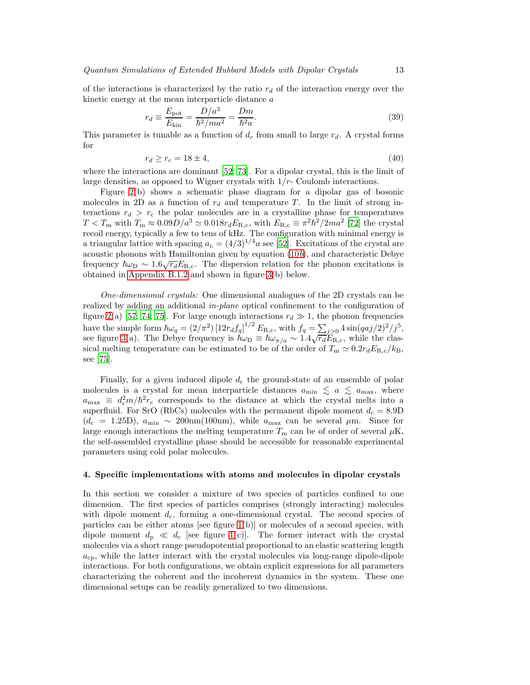of the interactions is characterized by the ratio  $r_d$  of the interaction energy over the kinetic energy at the mean interparticle distance  $a$ 

$$
r_d \equiv \frac{E_{\text{pot}}}{E_{\text{kin}}} = \frac{D/a^3}{\hbar^2 / ma^2} = \frac{Dm}{\hbar^2 a}.
$$
\n(39)

This parameter is tunable as a function of  $d_c$  from small to large  $r_d$ . A crystal forms for

$$
r_d \ge r_c = 18 \pm 4,\tag{40}
$$

where the interactions are dominant [\[52;](#page-43-2) [73\]](#page-43-22). For a dipolar crystal, this is the limit of large densities, as opposed to Wigner crystals with  $1/r$ - Coulomb interactions.

Figure [2\(](#page-11-0)b) shows a schematic phase diagram for a dipolar gas of bosonic molecules in 2D as a function of  $r_d$  and temperature T. In the limit of strong interactions  $r_d > r_c$  the polar molecules are in a crystalline phase for temperatures  $T < T_{\rm m}$  with  $T_{\rm m} \approx 0.09 D/a^3 \simeq 0.018 r_d E_{\rm R,c}$ , with  $E_{\rm R,c} \equiv \pi^2 \hbar^2 / 2 m a^2$  [\[72](#page-43-21)] the crystal recoil energy, typically a few to tens of kHz. The configuration with minimal energy is a triangular lattice with spacing  $a_L = (4/3)^{1/4}a$  see [\[52\]](#page-43-2). Excitations of the crystal are acoustic phonons with Hamiltonian given by equation [\(10](#page-9-0)*b*), and characteristic Debye frequency  $\hbar\omega_{\rm D} \sim 1.6\sqrt{r_d}E_{\rm R,c}$ . The dispersion relation for the phonon excitations is obtained in [Appendix B.1.2](#page-32-0) and shown in figure [3\(](#page-13-0)b) below.

*One-dimensional crystals:* One dimensional analogues of the 2D crystals can be realized by adding an additional *in-plane* optical confinement to the configuration of figure [2\(](#page-11-0)a) [\[57;](#page-43-7) [74;](#page-43-23) [75\]](#page-43-24). For large enough interactions  $r_d \gg 1$ , the phonon frequencies have the simple form  $\hbar \omega_q = (2/\pi^2) \left[ 12 r_d f_q \right]^{1/2} E_{\rm R,c}$ , with  $f_q = \sum_{j>0} 4 \sin(qaj/2)^2/j^5$ , see figure [3\(](#page-13-0)a). The Debye frequency is  $\hbar \omega_D \equiv \hbar \omega_{\pi/a} \sim 1.4 \sqrt{r_d} E_{\rm R,c}$ , while the classical melting temperature can be estimated to be of the order of  $T_m \simeq 0.2r_d E_{R,c}/k_B$ . see [\[75\]](#page-43-24).

Finally, for a given induced dipole  $d_c$  the ground-state of an ensemble of polar molecules is a crystal for mean interparticle distances  $a_{\min} \le a \le a_{\max}$ , where  $a_{\text{max}} \equiv d_c^2 m/\hbar^2 r_c$  corresponds to the distance at which the crystal melts into a superfluid. For SrO (RbCs) molecules with the permanent dipole moment  $d_c = 8.9D$  $(d_c = 1.25D)$ ,  $a_{\text{min}} \sim 200 \text{nm}(100 \text{nm})$ , while  $a_{\text{max}}$  can be several  $\mu$ m. Since for large enough interactions the melting temperature  $T_{\rm m}$  can be of order of several  $\mu$ K, the self-assembled crystalline phase should be accessible for reasonable experimental parameters using cold polar molecules.

# <span id="page-12-0"></span>4. Specific implementations with atoms and molecules in dipolar crystals

In this section we consider a mixture of two species of particles confined to one dimension. The first species of particles comprises (strongly interacting) molecules with dipole moment  $d_c$ , forming a one-dimensional crystal. The second species of particles can be either atoms [see figure [1\(](#page-2-1)b)] or molecules of a second species, with dipole moment  $d_p \ll d_c$  [see figure [1\(](#page-2-1)c)]. The former interact with the crystal molecules via a short range pseudopotential proportional to an elastic scattering length  $a_{\rm cp}$ , while the latter interact with the crystal molecules via long-range dipole-dipole interactions. For both configurations, we obtain explicit expressions for all parameters characterizing the coherent and the incoherent dynamics in the system. These one dimensional setups can be readily generalized to two dimensions.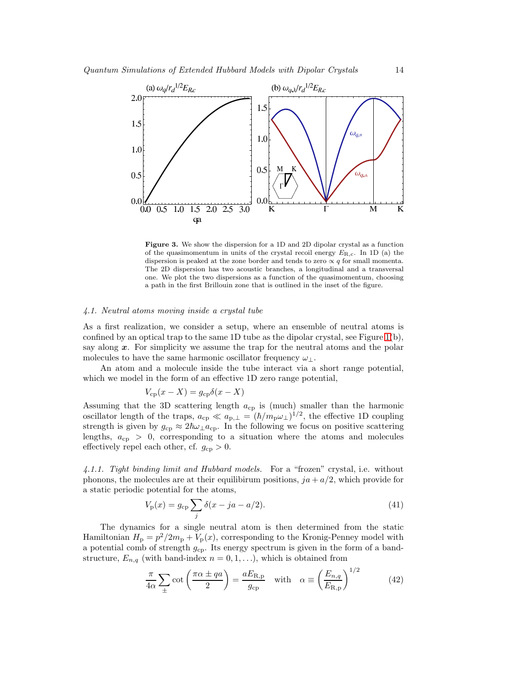

<span id="page-13-0"></span>Figure 3. We show the dispersion for a 1D and 2D dipolar crystal as a function of the quasimomentum in units of the crystal recoil energy  $E_{\text{R,c}}$ . In 1D (a) the dispersion is peaked at the zone border and tends to zero  $\propto q$  for small momenta. The 2D dispersion has two acoustic branches, a longitudinal and a transversal one. We plot the two dispersions as a function of the quasimomentum, choosing a path in the first Brillouin zone that is outlined in the inset of the figure.

# *4.1. Neutral atoms moving inside a crystal tube*

As a first realization, we consider a setup, where an ensemble of neutral atoms is confined by an optical trap to the same  $1D$  tube as the dipolar crystal, see Figure  $1(b)$ , say along  $x$ . For simplicity we assume the trap for the neutral atoms and the polar molecules to have the same harmonic oscillator frequency  $\omega_{\perp}$ .

An atom and a molecule inside the tube interact via a short range potential, which we model in the form of an effective 1D zero range potential,

$$
V_{\rm cp}(x - X) = g_{\rm cp} \delta(x - X)
$$

Assuming that the 3D scattering length acp is (much) smaller than the harmonic oscillator length of the traps,  $a_{cp} \ll a_{p,\perp} = (\hbar/m_p \omega_\perp)^{1/2}$ , the effective 1D coupling strength is given by  $g_{cp} \approx 2\hbar\omega_{\perp} a_{cp}$ . In the following we focus on positive scattering lengths,  $a_{cp} > 0$ , corresponding to a situation where the atoms and molecules effectively repel each other, cf.  $g_{cp} > 0$ .

*4.1.1. Tight binding limit and Hubbard models.* For a "frozen" crystal, i.e. without phonons, the molecules are at their equilibirum positions,  $ja + a/2$ , which provide for a static periodic potential for the atoms,

$$
V_{\rm p}(x) = g_{\rm cp} \sum_{j} \delta(x - ja - a/2).
$$
 (41)

The dynamics for a single neutral atom is then determined from the static Hamiltonian  $H_{\rm p} = p^2/2m_{\rm p} + V_{\rm p}(x)$ , corresponding to the Kronig-Penney model with a potential comb of strength  $g_{cp}$ . Its energy spectrum is given in the form of a bandstructure,  $E_{n,q}$  (with band-index  $n = 0, 1, \ldots$ ), which is obtained from

$$
\frac{\pi}{4\alpha} \sum_{\pm} \cot\left(\frac{\pi\alpha \pm qa}{2}\right) = \frac{aE_{\rm R,p}}{g_{\rm cp}} \quad \text{with} \quad \alpha \equiv \left(\frac{E_{n,q}}{E_{\rm R,p}}\right)^{1/2} \tag{42}
$$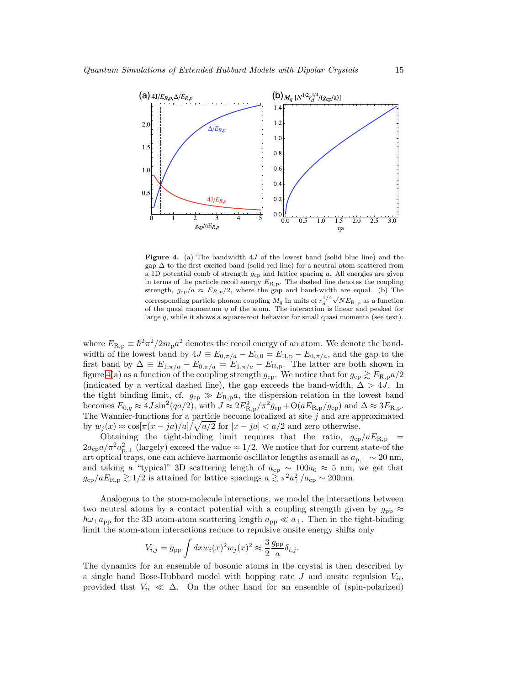

<span id="page-14-0"></span>**Figure 4.** (a) The bandwidth  $4J$  of the lowest band (solid blue line) and the gap  $\Delta$  to the first excited band (solid red line) for a neutral atom scattered from a 1D potential comb of strength  $g_{cp}$  and lattice spacing a. All energies are given in terms of the particle recoil energy  $E_{\text{R},p}$ . The dashed line denotes the coupling strength,  $g_{cp}/a \approx E_{R,p}/2$ , where the gap and band-width are equal. (b) The corresponding particle phonon coupling  $M_q$  in units of  $r_d^{1/4}\sqrt{N}E_{\rm R,p}$  as a function of the quasi momentum  $q$  of the atom. The interaction is linear and peaked for large q, while it shows a square-root behavior for small quasi momenta (see text).

where  $E_{\text{R},p} \equiv \hbar^2 \pi^2 / 2m_{\text{p}} a^2$  denotes the recoil energy of an atom. We denote the bandwidth of the lowest band by  $4J \equiv E_{0,\pi/a} - E_{0,0} = E_{\text{R},p} - E_{0,\pi/a}$ , and the gap to the first band by  $\Delta \equiv E_{1,\pi/a} - E_{0,\pi/a} = E_{1,\pi/a} - E_{\text{R,p}}$ . The latter are both shown in figure [4\(](#page-14-0)a) as a function of the coupling strength  $g_{cp}$ . We notice that for  $g_{cp} \gtrsim E_{R,p} a/2$ (indicated by a vertical dashed line), the gap exceeds the band-width,  $\Delta > 4J$ . In the tight binding limit, cf.  $g_{cp} \gg E_{R,p}a$ , the dispersion relation in the lowest band becomes  $E_{0,q} \approx 4J \sin^2(qa/2)$ , with  $J \approx 2E_{\rm R,p}^2/\pi^2 g_{\rm cp} + O(aE_{\rm R,p}/g_{\rm cp})$  and  $\Delta \approx 3E_{\rm R,p}$ . The Wannier-functions for a particle become localized at site  $j$  and are approximated by  $w_j(x) \approx \cos[\pi(x - ja)/a]/\sqrt{a/2}$  for  $|x - ja| < a/2$  and zero otherwise.

Obtaining the tight-binding limit requires that the ratio,  $g_{cp}/aE_{R,p}$  =  $2a_{cp}a/\pi^2 a_{p,\perp}^2$  (largely) exceed the value  $\approx 1/2$ . We notice that for current state-of the art optical traps, one can achieve harmonic oscillator lengths as small as  $a_{p,\perp} \sim 20 \text{ nm}$ , and taking a "typical" 3D scattering length of  $a_{cp} \sim 100a_0 \approx 5$  nm, we get that  $g_{cp}/aE_{R,p} \gtrsim 1/2$  is attained for lattice spacings  $a \gtrsim \pi^2 a_{\perp}^2/a_{cp} \sim 200$ nm.

Analogous to the atom-molecule interactions, we model the interactions between two neutral atoms by a contact potential with a coupling strength given by  $g_{\text{pp}} \approx$  $\hbar\omega_{\perp}a_{\rm pp}$  for the 3D atom-atom scattering length  $a_{\rm pp}\ll a_{\perp}$ . Then in the tight-binding limit the atom-atom interactions reduce to repulsive onsite energy shifts only

$$
V_{i,j} = g_{\text{pp}} \int dx w_i(x)^2 w_j(x)^2 \approx \frac{3}{2} \frac{g_{\text{pp}}}{a} \delta_{i,j}.
$$

The dynamics for an ensemble of bosonic atoms in the crystal is then described by a single band Bose-Hubbard model with hopping rate  $J$  and onsite repulsion  $V_{ii}$ , provided that  $V_{ii} \ll \Delta$ . On the other hand for an ensemble of (spin-polarized)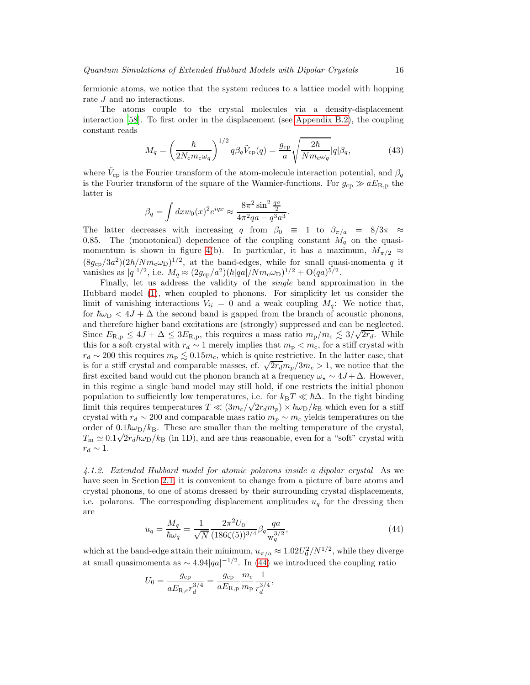fermionic atoms, we notice that the system reduces to a lattice model with hopping rate  $J$  and no interactions.

The atoms couple to the crystal molecules via a density-displacement interaction [\[58](#page-43-8)]. To first order in the displacement (see [Appendix B.2\)](#page-32-1), the coupling constant reads

$$
M_q = \left(\frac{\hbar}{2N_c m_c \omega_q}\right)^{1/2} q\beta_q \tilde{V}_{\rm cp}(q) = \frac{g_{\rm cp}}{a} \sqrt{\frac{2\hbar}{N m_c \omega_q}} |q| \beta_q,
$$
(43)

where  $\tilde{V}_{cp}$  is the Fourier transform of the atom-molecule interaction potential, and  $\beta_q$ is the Fourier transform of the square of the Wannier-functions. For  $g_{cp} \gg aE_{R,p}$  the latter is

$$
\beta_q = \int dx w_0(x)^2 e^{iqx} \approx \frac{8\pi^2 \sin^2 \frac{qa}{2}}{4\pi^2 qa - q^3 a^3}.
$$

The latter decreases with increasing q from  $\beta_0 \equiv 1$  to  $\beta_{\pi/a} = 8/3\pi \approx$ 0.85. The (monotonical) dependence of the coupling constant  $M_q$  on the quasi-momentum is shown in figure [4\(](#page-14-0)b). In particular, it has a maximum,  $M_{\pi/2} \approx$  $(8g_{cp}/3a^2)(2\hbar/Nm_c\omega_D)^{1/2}$ , at the band-edges, while for small quasi-momenta q it vanishes as  $|q|^{1/2}$ , i.e.  $M_q \approx (2g_{cp}/a^2)(\hbar|qa|/Nm_c\omega_D)^{1/2} + O(qa)^{5/2}$ .

Finally, let us address the validity of the *single* band approximation in the Hubbard model [\(1\)](#page-9-0), when coupled to phonons. For simplicity let us consider the limit of vanishing interactions  $V_{ii} = 0$  and a weak coupling  $M_q$ : We notice that, for  $\hbar\omega_D < 4J + \Delta$  the second band is gapped from the branch of acoustic phonons, and therefore higher band excitations are (strongly) suppressed and can be neglected. Since  $E_{\rm R,p} \leq 4J + \Delta \leq 3E_{\rm R,p}$ , this requires a mass ratio  $m_{\rm p}/m_{\rm c} \lesssim 3/\sqrt{2r_d}$ . While this for a soft crystal with  $r_d \sim 1$  merely implies that  $m_p < m_c$ , for a stiff crystal with  $r_d \sim 200$  this requires  $m_{\rm p} \lesssim 0.15 m_{\rm c}$ , which is quite restrictive. In the latter case, that is for a stiff crystal and comparable masses, cf.  $\sqrt{2r_d}m_p/3m_c > 1$ , we notice that the first excited band would cut the phonon branch at a frequency  $\omega_{\star} \sim 4J + \Delta$ . However, in this regime a single band model may still hold, if one restricts the initial phonon population to sufficiently low temperatures, i.e. for  $k_BT \ll \hbar\Delta$ . In the tight binding limit this requires temperatures  $T \ll (3m_c/\sqrt{2r_d}m_p) \times \hbar\omega_D/k_B$  which even for a stiff crystal with  $r_d \sim 200$  and comparable mass ratio  $m_p \sim m_c$  yields temperatures on the order of  $0.1\hbar\omega_D/k_B$ . These are smaller than the melting temperature of the crystal,  $T_{\rm m} \simeq 0.1 \sqrt{2r_d\hbar\omega_{\rm D}}/k_{\rm B}$  (in 1D), and are thus reasonable, even for a "soft" crystal with  $r_d \sim 1$ .

*4.1.2. Extended Hubbard model for atomic polarons inside a dipolar crystal* As we have seen in Section [2.1,](#page-4-2) it is convenient to change from a picture of bare atoms and crystal phonons, to one of atoms dressed by their surrounding crystal displacements, i.e. polarons. The corresponding displacement amplitudes  $u_q$  for the dressing then are

<span id="page-15-0"></span>
$$
u_q = \frac{M_q}{\hbar \omega_q} = \frac{1}{\sqrt{N}} \frac{2\pi^2 U_0}{(186\zeta(5))^{3/4}} \beta_q \frac{qa}{w_q^{3/2}},\tag{44}
$$

which at the band-edge attain their minimum,  $u_{\pi/a} \approx 1.02 U_0^2/N^{1/2}$ , while they diverge at small quasimomenta as  $\sim 4.94|qa|^{-1/2}$ . In [\(44\)](#page-15-0) we introduced the coupling ratio

$$
U_0 = \frac{g_{\rm cp}}{aE_{\rm R,c}r_d^{3/4}} = \frac{g_{\rm cp}}{aE_{\rm R,p}}\frac{m_{\rm c}}{m_{\rm p}}\frac{1}{r_d^{3/4}},
$$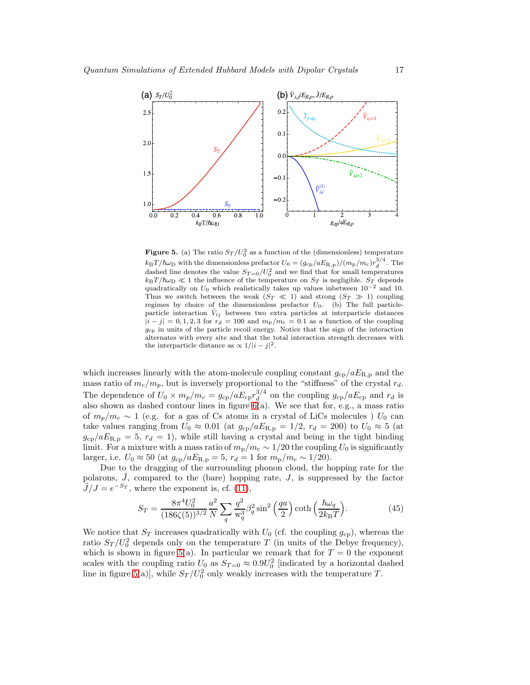

<span id="page-16-0"></span>**Figure 5.** (a) The ratio  $S_T/U_0^2$  as a function of the (dimensionless) temperature  $k_BT/\hbar\omega_D$  with the dimensionless prefactor  $U_0 = (g_{cp}/aE_{R,p})/(m_p/m_c)r_d^{3/4}$ . The dashed line denotes the value  $S_{T=0}/U_0^2$  and we find that for small temperatures  $k_BT/\hbar\omega_D \ll 1$  the influence of the temperature on  $S_T$  is negligible.  $S_T$  depends quadratically on  $U_0$  which realistically takes up values inbetween  $10^{-2}$  and 10. Thus we switch between the weak  $(S_T \ll 1)$  and strong  $(S_T \gg 1)$  coupling regimes by choice of the dimensionless prefactor  $U_0$ . (b) The full particleparticle interaction  $\tilde{V}_{ij}$  between two extra particles at interparticle distances  $|i-j|=0,1,2,3$  for  $r_d=100$  and  $m_p/m_c=0.1$  as a function of the coupling  $g_{\rm cp}$  in units of the particle recoil energy. Notice that the sign of the interaction alternates with every site and that the total interaction strength decreases with the interparticle distance as  $\propto 1/|i-j|^2$ .

which increases linearly with the atom-molecule coupling constant  $g_{cp}/aE_{R,p}$  and the mass ratio of  $m_c/m_p$ , but is inversely proportional to the "stiffness" of the crystal  $r_d$ . The dependence of  $U_0 \times m_p/m_c = g_{cp}/aE_{cp}r_d^{3/4}$  $d_d^{3/4}$  on the coupling  $g_{cp}/aE_{cp}$  and  $r_d$  is also shown as dashed contour lines in figure  $6(a)$ . We see that for, e.g., a mass ratio of  $m_p/m_c \sim 1$  (e.g. for a gas of Cs atoms in a crystal of LiCs molecules) U<sub>0</sub> can take values ranging from  $U_0 \approx 0.01$  (at  $g_{cp}/aE_{R,p} = 1/2$ ,  $r_d = 200$ ) to  $U_0 \approx 5$  (at  $g_{cp}/aE_{R,p} = 5$ ,  $r_d = 1$ , while still having a crystal and being in the tight binding limit. For a mixture with a mass ratio of  $m_{\rm p}/m_{\rm c} \sim 1/20$  the coupling  $U_0$  is significantly larger, i.e.  $U_0 \approx 50$  (at  $g_{cp}/aE_{R,p} = 5$ ,  $r_d = 1$  for  $m_p/m_c \sim 1/20$ ).

Due to the dragging of the surrounding phonon cloud, the hopping rate for the polarons,  $\hat{J}$ , compared to the (bare) hopping rate,  $J$ , is suppressed by the factor  $J/J = e^{-S_T}$ , where the exponent is, cf. [\(11\)](#page-5-0),

<span id="page-16-1"></span>
$$
S_T = \frac{8\pi^4 U_0^2}{(186\zeta(5))^{3/2}} \frac{a^2}{N} \sum_q \frac{q^2}{w_q^3} \beta_q^2 \sin^2\left(\frac{qa}{2}\right) \coth\left(\frac{\hbar\omega_q}{2k_B T}\right). \tag{45}
$$

We notice that  $S_T$  increases quadratically with  $U_0$  (cf. the coupling  $g_{cp}$ ), whereas the ratio  $S_T/U_0^2$  depends only on the temperature T (in units of the Debye frequency), which is shown in figure [5\(](#page-16-0)a). In particular we remark that for  $T = 0$  the exponent scales with the coupling ratio  $U_0$  as  $S_{T=0} \approx 0.9U_0^2$  [indicated by a horizontal dashed line in figure [5\(](#page-16-0)a)], while  $S_T / U_0^2$  only weakly increases with the temperature T.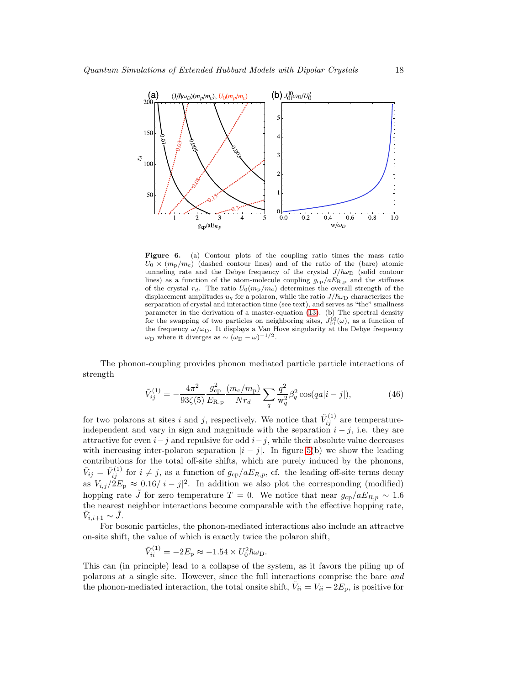

<span id="page-17-0"></span>Figure 6. (a) Contour plots of the coupling ratio times the mass ratio  $U_0 \times (m_p/m_c)$  (dashed contour lines) and of the ratio of the (bare) atomic tunneling rate and the Debye frequency of the crystal  $J/\hbar\omega_D$  (solid contour lines) as a function of the atom-molecule coupling  $g_{cp}/aE_{R,p}$  and the stiffness of the crystal  $r_d$ . The ratio  $U_0(m_{\rm p}/m_{\rm c})$  determines the overall strength of the displacement amplitudes  $u_q$  for a polaron, while the ratio  $J/\hbar\omega_D$  characterizes the serparation of crystal and interaction time (see text), and serves as "the" smallness parameter in the derivation of a master-equation [\(13\)](#page-6-0). (b) The spectral density for the swapping of two particles on neighboring sites,  $J_{01}^{10}(\omega)$ , as a function of the frequency  $\omega/\omega_D$ . It displays a Van Hove singularity at the Debye frequency  $\omega_{\rm D}$  where it diverges as ~  $(\omega_{\rm D} - \omega)^{-1/2}$ .

The phonon-coupling provides phonon mediated particle particle interactions of strength

$$
\tilde{V}_{ij}^{(1)} = -\frac{4\pi^2}{93\zeta(5)} \frac{g_{\rm cp}^2}{E_{\rm R.p}} \frac{(m_{\rm c}/m_{\rm p})}{Nr_d} \sum_q \frac{q^2}{\mathcal{w}_q^2} \beta_q^2 \cos(qa|i-j|),\tag{46}
$$

for two polarons at sites i and j, respectively. We notice that  $\tilde{V}_{ij}^{(1)}$  are temperatureindependent and vary in sign and magnitude with the separation  $i - j$ , i.e. they are attractive for even  $i-j$  and repulsive for odd  $i-j$ , while their absolute value decreases with increasing inter-polaron separation  $|i - j|$ . In figure [5\(](#page-16-0)b) we show the leading contributions for the total off-site shifts, which are purely induced by the phonons,  $\tilde{V}_{ij} = \tilde{V}_{ij}^{(1)}$  for  $i \neq j$ , as a function of  $g_{cp}/aE_{R,p}$ , cf. the leading off-site terms decay as  $V_{i,j}/2E_p \approx 0.16/|i-j|^2$ . In addition we also plot the corresponding (modified) hopping rate J for zero temperature  $T = 0$ . We notice that near  $g_{cp}/aE_{R,p} \sim 1.6$ the nearest neighbor interactions become comparable with the effective hopping rate,  $\tilde{V}_{i,i+1} \sim \tilde{J}.$ 

For bosonic particles, the phonon-mediated interactions also include an attractve on-site shift, the value of which is exactly twice the polaron shift,

$$
\tilde{V}_{ii}^{(1)} = -2E_{\rm p} \approx -1.54 \times U_0^2 \hbar \omega_{\rm D}.
$$

This can (in principle) lead to a collapse of the system, as it favors the piling up of polarons at a single site. However, since the full interactions comprise the bare *and* the phonon-mediated interaction, the total onsite shift,  $\tilde{V}_{ii} = V_{ii} - 2E_p$ , is positive for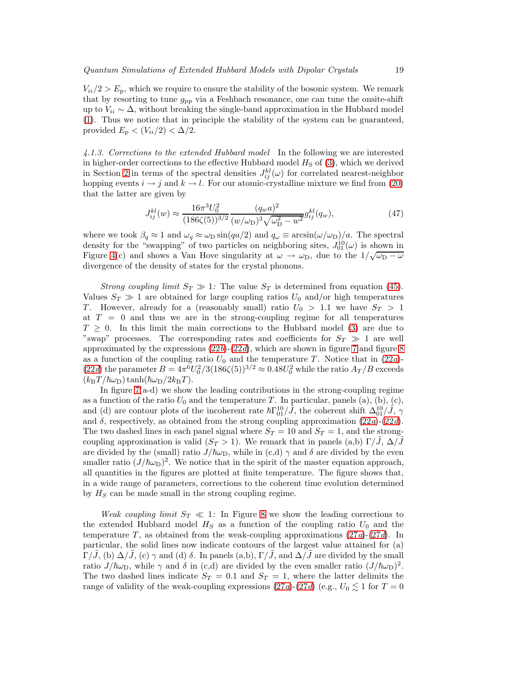$V_{ii}/2 > E_p$ , which we require to ensure the stability of the bosonic system. We remark that by resorting to tune  $g_{\rm pp}$  via a Feshbach resonance, one can tune the onsite-shift up to  $V_{ii} \sim \Delta$ , without breaking the single-band approximation in the Hubbard model [\(1\)](#page-9-0). Thus we notice that in principle the stability of the system can be guaranteed, provided  $E_p < (V_{ii}/2) < \Delta/2$ .

*4.1.3. Corrections to the extended Hubbard model* In the following we are interested in higher-order corrections to the effective Hubbard model  $H<sub>S</sub>$  of [\(3\)](#page-3-1), which we derived in Section [2](#page-2-0) in terms of the spectral densities  $J_{ij}^{kl}(\omega)$  for correlated nearest-neighbor hopping events  $i \to j$  and  $k \to l$ . For our atomic-crystalline mixture we find from [\(20\)](#page-8-1) that the latter are given by

$$
J_{ij}^{kl}(w) \approx \frac{16\pi^3 U_0^2}{(186\zeta(5))^{3/2}} \frac{(q_w a)^2}{(w/\omega_D)^3 \sqrt{\omega_D^2 - w^2}} g_{ij}^{kl}(q_w),\tag{47}
$$

where we took  $\beta_q \approx 1$  and  $\omega_q \approx \omega_D \sin(qa/2)$  and  $q_\omega \equiv \arcsin(\omega/\omega_D)/a$ . The spectral density for the "swapping" of two particles on neighboring sites,  $J_{01}^{10}(\omega)$  is shown in Figure [4\(](#page-14-0)c) and shows a Van Hove singularity at  $\omega \to \omega_D$ , due to the  $1/\sqrt{\omega_D - \omega}$ divergence of the density of states for the crystal phonons.

*Strong coupling limit*  $S_T \gg 1$ : The value  $S_T$  is determined from equation [\(45\)](#page-16-1). Values  $S_T \gg 1$  are obtained for large coupling ratios  $U_0$  and/or high temperatures T. However, already for a (reasonably small) ratio  $U_0 > 1.1$  we have  $S_T > 1$ at  $T = 0$  and thus we are in the strong-coupling regime for all temperatures  $T \geq 0$ . In this limit the main corrections to the Hubbard model [\(3\)](#page-3-1) are due to "swap" processes. The corresponding rates and coefficients for  $S_T \gg 1$  are well approximated by the expressions [\(22](#page-9-0)*b*)-[\(22](#page-9-0)*d*), which are shown in figure [7](#page-19-0) and figure [8](#page-20-0) as a function of the coupling ratio  $U_0$  and the temperature T. Notice that in  $(22a)$ - $(22d)$  $(22d)$  the parameter  $B = 4\pi^6 U_0^2 / 3(186\zeta(5))^{3/2} \approx 0.48U_0^2$  while the ratio  $A_T/B$  exceeds  $(k_BT/\hbar\omega_D)\tanh(\hbar\omega_D/2k_BT)$ .

In figure [7\(](#page-19-0)a-d) we show the leading contributions in the strong-coupling regime as a function of the ratio  $U_0$  and the temperature T. In particular, panels (a), (b), (c), and (d) are contour plots of the incoherent rate  $\hbar\Gamma_{01}^{10}/\tilde{J}$ , the coherent shift  $\Delta_{01}^{10}/\tilde{J}$ ,  $\gamma$ and  $\delta$ , respectively, as obtained from the strong coupling approximation  $(22a)-(22d)$  $(22a)-(22d)$ . The two dashed lines in each panel signal where  $S_T = 10$  and  $S_T = 1$ , and the strongcoupling approximation is valid  $(S_T > 1)$ . We remark that in panels  $(a,b) \Gamma/\tilde{J}$ ,  $\Delta/\tilde{J}$ are divided by the (small) ratio  $J/\hbar\omega_D$ , while in (c,d)  $\gamma$  and  $\delta$  are divided by the even smaller ratio  $(J/\hbar\omega_D)^2$ . We notice that in the spirit of the master equation approach, all quantities in the figures are plotted at finite temperature. The figure shows that, in a wide range of parameters, corrections to the coherent time evolution determined by  $H<sub>S</sub>$  can be made small in the strong coupling regime.

*Weak coupling limit*  $S_T \ll 1$ : In Figure [8](#page-20-0) we show the leading corrections to the extended Hubbard model  $H<sub>S</sub>$  as a function of the coupling ratio  $U<sub>0</sub>$  and the temperature  $T$ , as obtained from the weak-coupling approximations  $(27a)-(27d)$  $(27a)-(27d)$ . In particular, the solid lines now indicate contours of the largest value attained for (a)  $\Gamma/\tilde{J}$ , (b)  $\Delta/\tilde{J}$ , (c)  $\gamma$  and (d)  $\delta$ . In panels (a,b),  $\Gamma/\tilde{J}$ , and  $\Delta/\tilde{J}$  are divided by the small ratio  $J/\hbar\omega_D$ , while  $\gamma$  and  $\delta$  in (c,d) are divided by the even smaller ratio  $(J/\hbar\omega_D)^2$ . The two dashed lines indicate  $S_T = 0.1$  and  $S_T = 1$ , where the latter delimits the range of validity of the weak-coupling expressions  $(27a)-(27d)$  $(27a)-(27d)$  (e.g.,  $U_0 \lesssim 1$  for  $T = 0$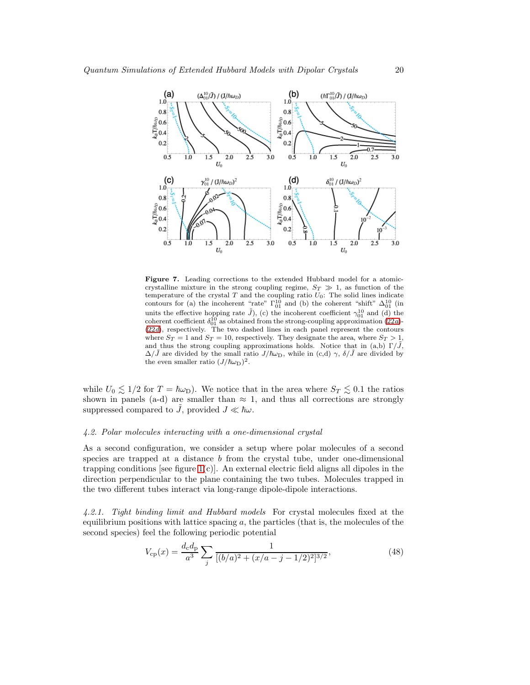

<span id="page-19-0"></span>Figure 7. Leading corrections to the extended Hubbard model for a atomiccrystalline mixture in the strong coupling regime,  $S_T \gg 1$ , as function of the temperature of the crystal  $T$  and the coupling ratio  $U_0$ : The solid lines indicate contours for (a) the incoherent "rate"  $\Gamma_{01}^{10}$  and (b) the coherent "shift"  $\Delta_{01}^{10}$  (in units the effective hopping rate  $\tilde{J}$ ), (c) the incoherent coefficient  $\gamma_{01}^{10}$  and (d) the coherent coefficient  $\delta_{01}^{10}$  as obtained from the strong-coupling approximation [\(22](#page-9-0)a)-<br>[\(22](#page-9-0)d), respectively. The two where  $S_T = 1$  and  $S_T = 10$ , respectively. They designate the area, where  $S_T > 1$ , and thus the strong coupling approximations holds. Notice that in (a,b)  $\Gamma/\tilde{J}$ ,  $\Delta/\tilde{J}$  are divided by the small ratio  $J/\hbar\omega_D$ , while in (c,d)  $\gamma$ ,  $\delta/\tilde{J}$  are divided by the even smaller ratio  $(J/\hbar\omega_D)^2$ .

while  $U_0 \lesssim 1/2$  for  $T = \hbar \omega_D$ ). We notice that in the area where  $S_T \lesssim 0.1$  the ratios shown in panels (a-d) are smaller than  $\approx$  1, and thus all corrections are strongly suppressed compared to  $\tilde{J}$ , provided  $J \ll \hbar \omega$ .

#### *4.2. Polar molecules interacting with a one-dimensional crystal*

As a second configuration, we consider a setup where polar molecules of a second species are trapped at a distance b from the crystal tube, under one-dimensional trapping conditions [see figure  $1(c)$ ]. An external electric field aligns all dipoles in the direction perpendicular to the plane containing the two tubes. Molecules trapped in the two different tubes interact via long-range dipole-dipole interactions.

*4.2.1. Tight binding limit and Hubbard models* For crystal molecules fixed at the equilibrium positions with lattice spacing  $a$ , the particles (that is, the molecules of the second species) feel the following periodic potential

$$
V_{\rm cp}(x) = \frac{d_{\rm c}d_{\rm p}}{a^3} \sum_j \frac{1}{[(b/a)^2 + (x/a - j - 1/2)^2]^{3/2}},\tag{48}
$$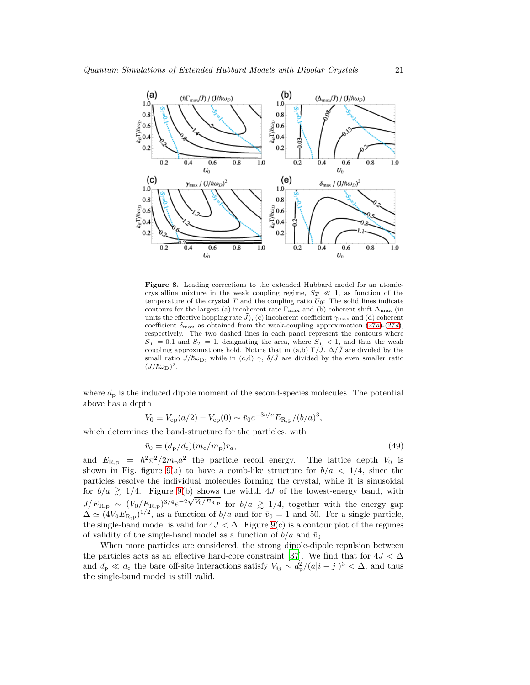

<span id="page-20-0"></span>Figure 8. Leading corrections to the extended Hubbard model for an atomiccrystalline mixture in the weak coupling regime,  $S_T \ll 1$ , as function of the temperature of the crystal  $T$  and the coupling ratio  $U_0$ : The solid lines indicate contours for the largest (a) incoherent rate  $\Gamma_{\text{max}}$  and (b) coherent shift  $\Delta_{\text{max}}$  (in units the effective hopping rate  $\tilde{J}$ ), (c) incoherent coefficient  $\gamma_{\text{max}}$  and (d) coherent coefficient  $\delta_{\text{max}}$  as obtained from the weak-coupling approximation  $(27a)-(27d)$  $(27a)-(27d)$ , respectively. The two dashed lines in each panel represent the contours where  $S_T = 0.1$  and  $S_T = 1$ , designating the area, where  $S_T < 1$ , and thus the weak coupling approximations hold. Notice that in (a,b)  $\Gamma/\tilde{J}$ ,  $\Delta/\tilde{J}$  are divided by the small ratio  $J/\hbar\omega_D$ , while in (c,d)  $\gamma$ ,  $\delta/\tilde{J}$  are divided by the even smaller ratio  $(J/\hbar\omega_{\rm D})^2$ .

where  $d_{\rm p}$  is the induced dipole moment of the second-species molecules. The potential above has a depth

$$
V_0 \equiv V_{\rm cp}(a/2) - V_{\rm cp}(0) \sim \bar{v}_0 e^{-3b/a} E_{\rm R,p}/(b/a)^3,
$$

which determines the band-structure for the particles, with

$$
\bar{v}_0 = (d_{\rm p}/d_{\rm c})(m_{\rm c}/m_{\rm p})r_d,\tag{49}
$$

and  $E_{\rm R,p} = \hbar^2 \pi^2 / 2 m_{\rm p} a^2$  the particle recoil energy. The lattice depth  $V_0$  is shown in Fig. figure [9\(](#page-21-0)a) to have a comb-like structure for  $b/a < 1/4$ , since the particles resolve the individual molecules forming the crystal, while it is sinusoidal for  $b/a \ge 1/4$ . Figure [9\(](#page-21-0)b) shows the width 4J of the lowest-energy band, with  $J/E_{\rm R,p} \sim (V_0/E_{\rm R,p})^{3/4}e^{-2\sqrt{V_0/E_{\rm R,p}}}$  for  $b/a \gtrsim 1/4$ , together with the energy gap  $\Delta \simeq (4V_0E_{\rm R,p})^{1/2}$ , as a function of  $b/a$  and for  $\bar{v}_0 = 1$  and 50. For a single particle, the single-band model is valid for  $4J < \Delta$ . Figure [9\(](#page-21-0)c) is a contour plot of the regimes of validity of the single-band model as a function of  $b/a$  and  $\bar{v}_0$ .

When more particles are considered, the strong dipole-dipole repulsion between the particles acts as an effective hard-core constraint [\[37](#page-42-14)]. We find that for  $4J < \Delta$ and  $d_p \ll d_c$  the bare off-site interactions satisfy  $V_{ij} \sim d_p^2/(a|i-j|)^3 < \Delta$ , and thus the single-band model is still valid.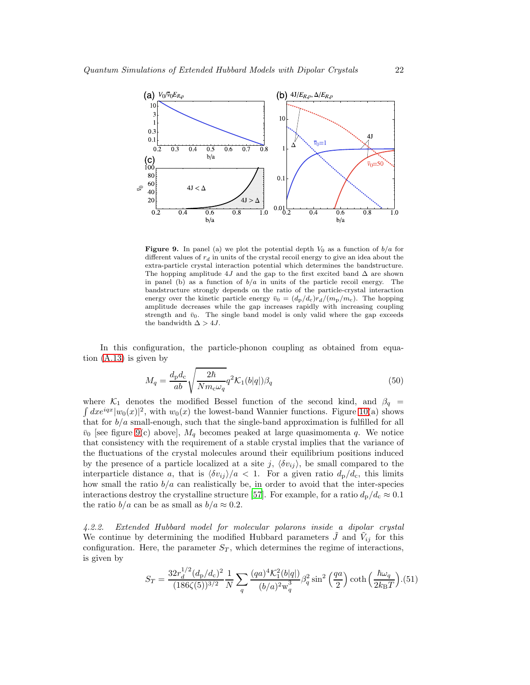

<span id="page-21-0"></span>**Figure 9.** In panel (a) we plot the potential depth  $V_0$  as a function of  $b/a$  for different values of  $r_d$  in units of the crystal recoil energy to give an idea about the extra-particle crystal interaction potential which determines the bandstructure. The hopping amplitude 4J and the gap to the first excited band  $\Delta$  are shown in panel (b) as a function of  $b/a$  in units of the particle recoil energy. The bandstructure strongly depends on the ratio of the particle-crystal interaction energy over the kinetic particle energy  $\bar{v}_0 = (d_{\rm p}/d_{\rm c})r_d/(m_{\rm p}/m_{\rm c})$ . The hopping amplitude decreases while the gap increases rapidly with increasing coupling strength and  $\bar{v}_0$ . The single band model is only valid where the gap exceeds the bandwidth  $\Delta > 4J$ .

In this configuration, the particle-phonon coupling as obtained from equation [\(A.13\)](#page-29-0) is given by

$$
M_q = \frac{d_p d_c}{ab} \sqrt{\frac{2\hbar}{Nm_c \omega_q}} q^2 \mathcal{K}_1(b|q|) \beta_q \tag{50}
$$

where  $\mathcal{K}_1$  denotes the modified Bessel function of the second kind, and  $\beta_q$  $dxe^{iqx}|w_0(x)|^2$ , with  $w_0(x)$  the lowest-band Wannier functions. Figure [10\(](#page-22-0)a) shows that for  $b/a$  small-enough, such that the single-band approximation is fulfilled for all  $\bar{v}_0$  [see figure [9\(](#page-21-0)c) above],  $M_q$  becomes peaked at large quasimomenta q. We notice that consistency with the requirement of a stable crystal implies that the variance of the fluctuations of the crystal molecules around their equilibrium positions induced by the presence of a particle localized at a site j,  $\langle \delta v_{ij} \rangle$ , be small compared to the interparticle distance a, that is  $\langle \delta v_{ij} \rangle/a < 1$ . For a given ratio  $d_p/d_c$ , this limits how small the ratio  $b/a$  can realistically be, in order to avoid that the inter-species interactions destroy the crystalline structure [\[57\]](#page-43-7). For example, for a ratio  $d_p/d_c \approx 0.1$ the ratio  $b/a$  can be as small as  $b/a \approx 0.2$ .

*4.2.2. Extended Hubbard model for molecular polarons inside a dipolar crystal* We continue by determining the modified Hubbard parameters  $\tilde{J}$  and  $\tilde{V}_{ij}$  for this configuration. Here, the parameter  $S_T$ , which determines the regime of interactions, is given by

$$
S_T = \frac{32r_d^{1/2}(d_p/d_c)^2}{(186\zeta(5))^{3/2}} \frac{1}{N} \sum_q \frac{(qa)^4 \mathcal{K}_1^2(b|q|)}{(b/a)^2 w_q^3} \beta_q^2 \sin^2\left(\frac{qa}{2}\right) \coth\left(\frac{\hbar\omega_q}{2k_B T}\right). (51)
$$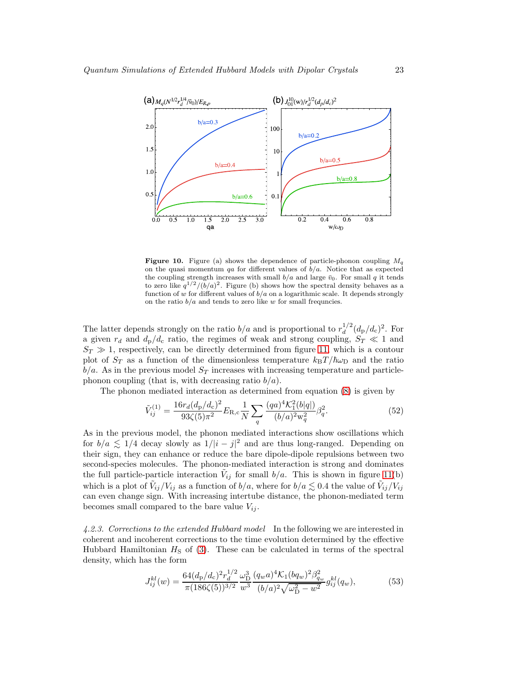

<span id="page-22-0"></span>**Figure 10.** Figure (a) shows the dependence of particle-phonon coupling  $M_q$ on the quasi momentum qa for different values of  $b/a$ . Notice that as expected the coupling strength increases with small  $b/a$  and large  $\bar{v}_0$ . For small q it tends to zero like  $q^{1/2}/(b/a)^2$ . Figure (b) shows how the spectral density behaves as a function of w for different values of  $b/a$  on a logarithmic scale. It depends strongly on the ratio  $b/a$  and tends to zero like w for small frequncies.

The latter depends strongly on the ratio  $b/a$  and is proportional to  $r_d^{1/2}$  $\frac{1}{d}^{1/2} (d_{\rm p}/d_{\rm c})^2$ . For a given  $r_d$  and  $d_p/d_c$  ratio, the regimes of weak and strong coupling,  $S_T \ll 1$  and  $S_T \gg 1$ , respectively, can be directly determined from figure [11,](#page-23-0) which is a contour plot of  $S_T$  as a function of the dimensionless temperature  $k_BT/\hbar\omega_D$  and the ratio  $b/a$ . As in the previous model  $S_T$  increases with increasing temperature and particlephonon coupling (that is, with decreasing ratio  $b/a$ ).

The phonon mediated interaction as determined from equation [\(8\)](#page-4-3) is given by

$$
\tilde{V}_{ij}^{(1)} = \frac{16r_d(d_p/d_c)^2}{93\zeta(5)\pi^2} E_{\rm R,c} \frac{1}{N} \sum_q \frac{(qa)^4 \mathcal{K}_1^2(b|q|)}{(b/a)^2 w_q^2} \beta_q^2.
$$
\n(52)

As in the previous model, the phonon mediated interactions show oscillations which for  $b/a \lesssim 1/4$  decay slowly as  $1/|i - j|^2$  and are thus long-ranged. Depending on their sign, they can enhance or reduce the bare dipole-dipole repulsions between two second-species molecules. The phonon-mediated interaction is strong and dominates the full particle-particle interaction  $\tilde{V}_{ij}$  for small  $b/a$ . This is shown in figure [11\(](#page-23-0)b) which is a plot of  $\tilde{V}_{ij}/V_{ij}$  as a function of  $b/a$ , where for  $b/a \lesssim 0.4$  the value of  $\tilde{V}_{ij}/V_{ij}$ can even change sign. With increasing intertube distance, the phonon-mediated term becomes small compared to the bare value  $V_{ij}$ .

*4.2.3. Corrections to the extended Hubbard model* In the following we are interested in coherent and incoherent corrections to the time evolution determined by the effective Hubbard Hamiltonian  $H<sub>S</sub>$  of [\(3\)](#page-3-1). These can be calculated in terms of the spectral density, which has the form

$$
J_{ij}^{kl}(w) = \frac{64(d_p/d_c)^2 r_d^{1/2}}{\pi (186\zeta(5))^{3/2}} \frac{\omega_{\rm D}^3}{w^3} \frac{(q_w a)^4 \mathcal{K}_1 (b q_w)^2 \beta_{q_w}^2}{(b/a)^2 \sqrt{\omega_{\rm D}^2 - w^2}} g_{ij}^{kl}(q_w),\tag{53}
$$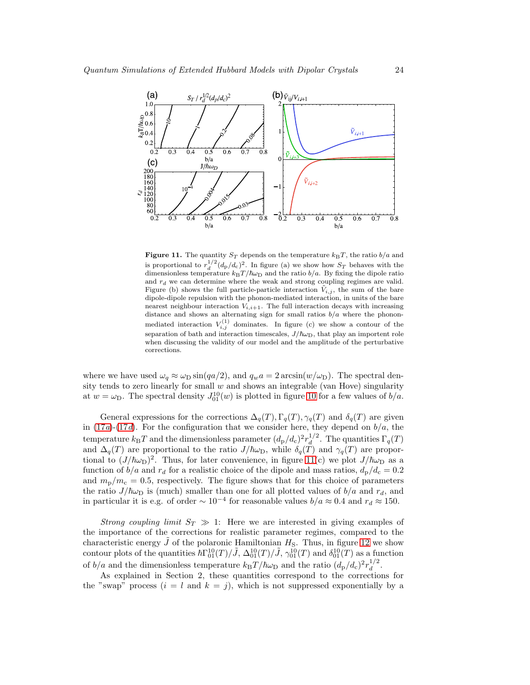

<span id="page-23-0"></span>Figure 11. The quantity  $S_T$  depends on the temperature  $k_BT$ , the ratio  $b/a$  and is proportional to  $r_d^{1/2} (d_p/d_c)^2$ . In figure (a) we show how  $S_T$  behaves with the dimensionless temperature  $k_{\text{B}}T/\hbar\omega_{\text{D}}$  and the ratio  $b/a$ . By fixing the dipole ratio and  $r_d$  we can determine where the weak and strong coupling regimes are valid. Figure (b) shows the full particle-particle interaction  $\tilde{V}_{i,j}$ , the sum of the bare dipole-dipole repulsion with the phonon-mediated interaction, in units of the bare nearest neighbour interaction  $V_{i,i+1}$ . The full interaction decays with increasing distance and shows an alternating sign for small ratios  $b/a$  where the phononmediated interaction  $V_{i,j}^{(1)}$  dominates. In figure (c) we show a contour of the separation of bath and interaction timescales,  $J/\hbar\omega_D$ , that play an importent role when discussing the validity of our model and the amplitude of the perturbative corrections.

where we have used  $\omega_q \approx \omega_D \sin(qa/2)$ , and  $q_w a = 2 \arcsin(w/\omega_D)$ . The spectral density tends to zero linearly for small  $w$  and shows an integrable (van Hove) singularity at  $w = \omega_D$ . The spectral density  $J_{01}^{10}(w)$  is plotted in figure [10](#page-22-0) for a few values of  $b/a$ .

General expressions for the corrections  $\Delta_q(T), \Gamma_q(T), \gamma_q(T)$  and  $\delta_q(T)$  are given in  $(17a)-(17d)$  $(17a)-(17d)$ . For the configuration that we consider here, they depend on  $b/a$ , the temperature  $k_{\text{B}}T$  and the dimensionless parameter  $(d_{\text{p}}/d_{\text{c}})^2 r_d^{1/2}$  $\int_{d}^{1/2}$ . The quantities  $\Gamma_q(T)$ and  $\Delta_q(T)$  are proportional to the ratio  $J/\hbar\omega_D$ , while  $\delta_q(T)$  and  $\gamma_q(T)$  are proportional to  $(J/\hbar\omega_{\rm D})^2$ . Thus, for later convenience, in figure [11\(](#page-23-0)c) we plot  $J/\hbar\omega_{\rm D}$  as a function of  $b/a$  and  $r_d$  for a realistic choice of the dipole and mass ratios,  $d_p/d_c = 0.2$ and  $m_{\rm p}/m_{\rm c}=0.5$ , respectively. The figure shows that for this choice of parameters the ratio  $J/\hbar\omega_D$  is (much) smaller than one for all plotted values of  $b/a$  and  $r_d$ , and in particular it is e.g. of order  $\sim 10^{-4}$  for reasonable values  $b/a \approx 0.4$  and  $r_d \approx 150$ .

*Strong coupling limit*  $S_T \gg 1$ : Here we are interested in giving examples of the importance of the corrections for realistic parameter regimes, compared to the characteristic energy  $\tilde{J}$  of the polaronic Hamiltonian  $H<sub>S</sub>$ . Thus, in figure [12](#page-24-0) we show contour plots of the quantities  $\hbar\Gamma_{01}^{10}(T)/\tilde{J}$ ,  $\Delta_{01}^{10}(T)/\tilde{J}$ ,  $\gamma_{01}^{10}(T)$  and  $\delta_{01}^{10}(T)$  as a function of  $b/a$  and the dimensionless temperature  $k_B T/\hbar \omega_D$  and the ratio  $(d_p/d_c)^2 r_d^{1/2}$  $\frac{1}{d}$ .

As explained in Section 2, these quantities correspond to the corrections for the "swap" process  $(i = l \text{ and } k = j)$ , which is not suppressed exponentially by a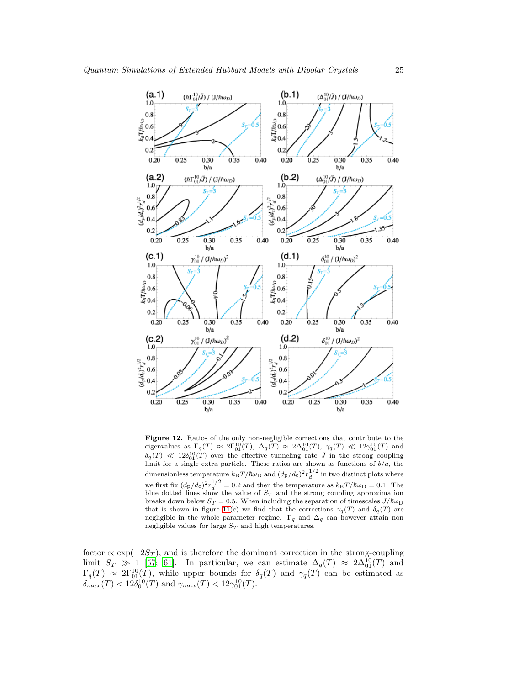

<span id="page-24-0"></span>Figure 12. Ratios of the only non-negligible corrections that contribute to the eigenvalues as  $\Gamma_q(T) \approx 2\Gamma_{01}^{10}(T)$ ,  $\Delta_q(T) \approx 2\Delta_{01}^{10}(T)$ ,  $\gamma_q(T) \ll 12\gamma_{01}^{10}(T)$  and  $\delta_q(T) \ll 12\delta_{01}^{10}(T)$  over the effective tunneling rate  $\tilde{J}$  in the strong coupling limit for a single extra particle. These ratios are shown as functions of  $b/a$ , the dimensionless temperature  $k_{\text{B}}T/\hbar\omega_{\text{D}}$  and  $(d_{\text{p}}/d_{\text{c}})^2r_d^{1/2}$  in two distinct plots where d we first fix  $(d_p/d_c)^2 r_d^{1/2} = 0.2$  and then the temperature as  $k_B T / \hbar \omega_D = 0.1$ . The blue dotted lines show the value of  $S_T$  and the strong coupling approximation breaks down below  $S_T = 0.5.$  When including the separation of timescales  $J/\hbar\omega_{\rm D}$ that is shown in figure [11\(](#page-23-0)c) we find that the corrections  $\gamma_q(T)$  and  $\delta_q(T)$  are negligible in the whole parameter regime.  $\Gamma_q$  and  $\Delta_q$  can however attain non negligible values for large  $\mathcal{S}_T$  and high temperatures.

factor  $\propto \exp(-2S_T)$ , and is therefore the dominant correction in the strong-coupling limit  $S_T \gg 1$  [\[57;](#page-43-7) [61](#page-43-11)]. In particular, we can estimate  $\Delta_q(T) \approx 2\Delta_{01}^{10}(T)$  and  $\Gamma_q(T) \approx 2\Gamma_{01}^{10}(T)$ , while upper bounds for  $\delta_q(T)$  and  $\gamma_q(T)$  can be estimated as  $\delta_{max}(T) < 12 \delta_{01}^{10}(T)$  and  $\gamma_{max}(T) < 12 \gamma_{01}^{10}(T)$ .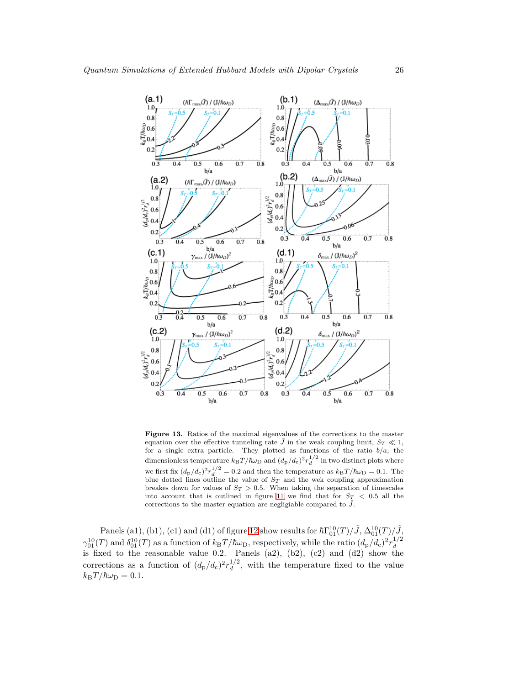![](_page_25_Figure_1.jpeg)

<span id="page-25-0"></span>Figure 13. Ratios of the maximal eigenvalues of the corrections to the master equation over the effective tunneling rate  $\tilde{J}$  in the weak coupling limit,  $S_T \ll 1$ , for a single extra particle. They plotted as functions of the ratio  $b/a$ , the dimensionless temperature  $k_B T / \hbar \omega_D$  and  $(d_P/d_c)^2 r_d^{1/2}$  in two distinct plots where we first fix  $(d_p/d_c)^2 r_d^{1/2} = 0.2$  and then the temperature as  $k_B T / \hbar \omega_D = 0.1$ . The blue dotted lines outline the value of  $S_T$  and the wek coupling approximation breakes down for values of  $S_T > 0.5$ . When taking the separation of timescales into account that is outlined in figure [11](#page-23-0) we find that for  $S_T < 0.5$  all the corrections to the master equation are negligiable compared to  $\tilde{J}$ .

Panels (a1), (b1), (c1) and (d1) of figure [12](#page-24-0) show results for  $\hbar\Gamma_{01}^{10}(T)/\tilde{J}$ ,  $\Delta_{01}^{10}(T)/\tilde{J}$ ,  $\gamma_{01}^{10}(T)$  and  $\delta_{01}^{10}(T)$  as a function of  $k_BT/\hbar\omega_D$ , respectively, while the ratio  $(d_p/d_c)^2r_d^{1/2}$  $\frac{d_{01}(1)}{dx}$  and  $\frac{d_{01}(1)}{dx}$  as a function of  $\frac{d_{01}}{dx}$ ,  $\frac{d_{02}}{dx}$ ,  $\frac{d_{02}}{dx}$ ,  $\frac{d_{01}(1)}{dx}$  and  $\frac{d_{01}(1)}{dx}$  show the corrections as a function of  $(d_{\rm p}/d_{\rm c})^2 r_d^{1/2}$  $\frac{d^{1/2}}{dt}$ , with the temperature fixed to the value  $k_{\rm B}T/\hbar\omega_{\rm D} = 0.1.$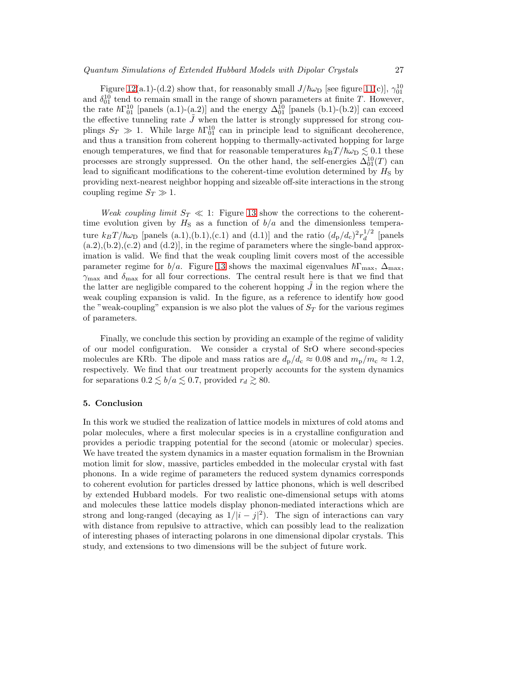Figure [12\(](#page-24-0)a.1)-(d.2) show that, for reasonably small  $J/\hbar\omega_D$  [see figure [11\(](#page-23-0)c)],  $\gamma_{01}^{10}$ and  $\delta_{01}^{10}$  tend to remain small in the range of shown parameters at finite T. However, the rate  $\hbar\Gamma_{01}^{10}$  [panels (a.1)-(a.2)] and the energy  $\Delta_{01}^{10}$  [panels (b.1)-(b.2)] can exceed the effective tunneling rate  $\tilde{J}$  when the latter is strongly suppressed for strong couplings  $S_T \gg 1$ . While large  $\hbar\Gamma_{01}^{10}$  can in principle lead to significant decoherence, and thus a transition from coherent hopping to thermally-activated hopping for large enough temperatures, we find that for reasonable temperatures  $k_BT/\hbar\omega_D \lesssim 0.1$  these processes are strongly suppressed. On the other hand, the self-energies  $\Delta_{01}^{10}(T)$  can lead to significant modifications to the coherent-time evolution determined by  $H<sub>S</sub>$  by providing next-nearest neighbor hopping and sizeable off-site interactions in the strong coupling regime  $S_T \gg 1$ .

*Weak coupling limit*  $S_T \ll 1$ : Figure [13](#page-25-0) show the corrections to the coherenttime evolution given by  $H<sub>S</sub>$  as a function of  $b/a$  and the dimensionless temperature  $k_B T/\hbar \omega_{\text{D}}$  [panels (a.1),(b.1),(c.1) and (d.1)] and the ratio  $(d_p/d_c)^2 r_d^{1/2}$  $\int_{d}^{1/2}$  [panels  $(a.2), (b.2), (c.2)$  and  $(d.2)$ , in the regime of parameters where the single-band approximation is valid. We find that the weak coupling limit covers most of the accessible parameter regime for  $b/a$ . Figure [13](#page-25-0) shows the maximal eigenvalues  $\hbar\Gamma_{\text{max}}$ ,  $\Delta_{\text{max}}$ ,  $\gamma_{\text{max}}$  and  $\delta_{\text{max}}$  for all four corrections. The central result here is that we find that the latter are negligible compared to the coherent hopping  $J$  in the region where the weak coupling expansion is valid. In the figure, as a reference to identify how good the "weak-coupling" expansion is we also plot the values of  $S_T$  for the various regimes of parameters.

Finally, we conclude this section by providing an example of the regime of validity of our model configuration. We consider a crystal of SrO where second-species molecules are KRb. The dipole and mass ratios are  $d_{\rm p}/d_{\rm c} \approx 0.08$  and  $m_{\rm p}/m_{\rm c} \approx 1.2$ , respectively. We find that our treatment properly accounts for the system dynamics for separations  $0.2 \lesssim b/a \lesssim 0.7$ , provided  $r_d \gtrsim 80$ .

# 5. Conclusion

In this work we studied the realization of lattice models in mixtures of cold atoms and polar molecules, where a first molecular species is in a crystalline configuration and provides a periodic trapping potential for the second (atomic or molecular) species. We have treated the system dynamics in a master equation formalism in the Brownian motion limit for slow, massive, particles embedded in the molecular crystal with fast phonons. In a wide regime of parameters the reduced system dynamics corresponds to coherent evolution for particles dressed by lattice phonons, which is well described by extended Hubbard models. For two realistic one-dimensional setups with atoms and molecules these lattice models display phonon-mediated interactions which are strong and long-ranged (decaying as  $1/|i - j|^2$ ). The sign of interactions can vary with distance from repulsive to attractive, which can possibly lead to the realization of interesting phases of interacting polarons in one dimensional dipolar crystals. This study, and extensions to two dimensions will be the subject of future work.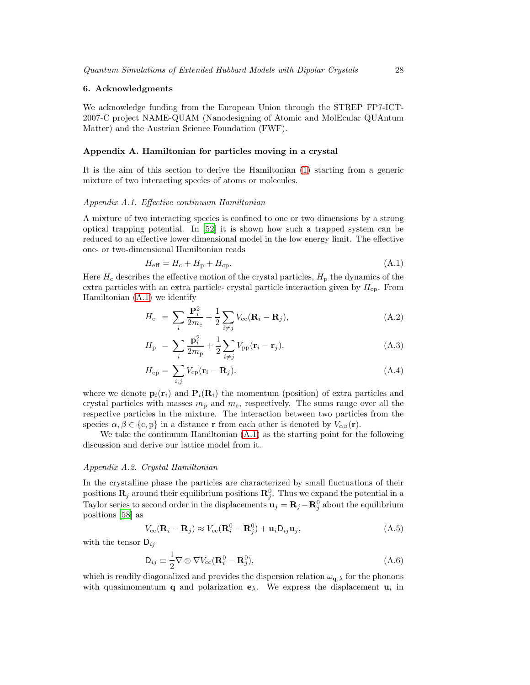# 6. Acknowledgments

We acknowledge funding from the European Union through the STREP FP7-ICT-2007-C project NAME-QUAM (Nanodesigning of Atomic and MolEcular QUAntum Matter) and the Austrian Science Foundation (FWF).

# <span id="page-27-0"></span>Appendix A. Hamiltonian for particles moving in a crystal

It is the aim of this section to derive the Hamiltonian [\(1\)](#page-9-0) starting from a generic mixture of two interacting species of atoms or molecules.

## *Appendix A.1. Effective continuum Hamiltonian*

A mixture of two interacting species is confined to one or two dimensions by a strong optical trapping potential. In [\[52\]](#page-43-2) it is shown how such a trapped system can be reduced to an effective lower dimensional model in the low energy limit. The effective one- or two-dimensional Hamiltonian reads

<span id="page-27-1"></span>
$$
H_{\text{eff}} = H_{\text{c}} + H_{\text{p}} + H_{\text{cp}}.\tag{A.1}
$$

Here  $H_c$  describes the effective motion of the crystal particles,  $H_p$  the dynamics of the extra particles with an extra particle-crystal particle interaction given by  $H_{\rm cp}$ . From Hamiltonian [\(A.1\)](#page-27-1) we identify

<span id="page-27-3"></span>
$$
H_{\rm c} = \sum_{i} \frac{\mathbf{P}_{i}^{2}}{2m_{\rm c}} + \frac{1}{2} \sum_{i \neq j} V_{\rm cc}(\mathbf{R}_{i} - \mathbf{R}_{j}), \qquad (A.2)
$$

$$
H_{\rm p} = \sum_{i} \frac{\mathbf{p}_{i}^{2}}{2m_{\rm p}} + \frac{1}{2} \sum_{i \neq j} V_{\rm pp}(\mathbf{r}_{i} - \mathbf{r}_{j}), \qquad (A.3)
$$

$$
H_{\rm cp} = \sum_{i,j} V_{\rm cp} (\mathbf{r}_i - \mathbf{R}_j). \tag{A.4}
$$

where we denote  $\mathbf{p}_i(\mathbf{r}_i)$  and  $\mathbf{P}_i(\mathbf{R}_i)$  the momentum (position) of extra particles and crystal particles with masses  $m_p$  and  $m_c$ , respectively. The sums range over all the respective particles in the mixture. The interaction between two particles from the species  $\alpha, \beta \in \{c, p\}$  in a distance r from each other is denoted by  $V_{\alpha\beta}(\mathbf{r})$ .

We take the continuum Hamiltonian [\(A.1\)](#page-27-1) as the starting point for the following discussion and derive our lattice model from it.

# *Appendix A.2. Crystal Hamiltonian*

In the crystalline phase the particles are characterized by small fluctuations of their positions  $\mathbf{R}_j$  around their equilibrium positions  $\mathbf{R}_j^0$ . Thus we expand the potential in a Taylor series to second order in the displacements  $\mathbf{u}_j = \mathbf{R}_j - \mathbf{R}_j^0$  about the equilibrium positions [\[58\]](#page-43-8) as

$$
V_{\rm cc}(\mathbf{R}_i - \mathbf{R}_j) \approx V_{\rm cc}(\mathbf{R}_i^0 - \mathbf{R}_j^0) + \mathbf{u}_i \mathbf{D}_{ij} \mathbf{u}_j, \tag{A.5}
$$

with the tensor  $D_{ij}$ 

<span id="page-27-2"></span>
$$
\mathsf{D}_{ij} \equiv \frac{1}{2} \nabla \otimes \nabla V_{\text{cc}} (\mathbf{R}_i^0 - \mathbf{R}_j^0), \tag{A.6}
$$

which is readily diagonalized and provides the dispersion relation  $\omega_{\mathbf{q},\lambda}$  for the phonons with quasimomentum **q** and polarization  $\mathbf{e}_{\lambda}$ . We express the displacement **u**<sub>i</sub> in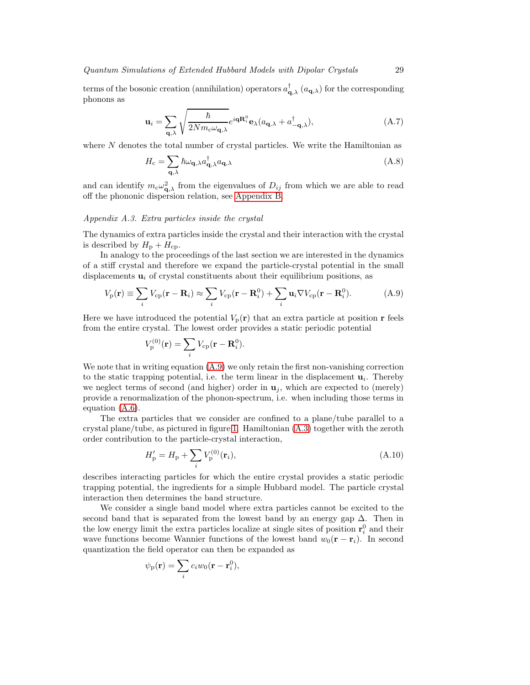terms of the bosonic creation (annihilation) operators  $a_{\mathbf{q},\lambda}^{\dagger}$  ( $a_{\mathbf{q},\lambda}$ ) for the corresponding phonons as

<span id="page-28-2"></span>
$$
\mathbf{u}_{i} = \sum_{\mathbf{q}, \lambda} \sqrt{\frac{\hbar}{2Nm_{c}\omega_{\mathbf{q},\lambda}}} e^{i\mathbf{qR}_{i}^{0}} \mathbf{e}_{\lambda}(a_{\mathbf{q},\lambda} + a_{-\mathbf{q},\lambda}^{\dagger}), \tag{A.7}
$$

where  $N$  denotes the total number of crystal particles. We write the Hamiltonian as

$$
H_{\rm c} = \sum_{\mathbf{q},\lambda} \hbar \omega_{\mathbf{q},\lambda} a_{\mathbf{q},\lambda}^{\dagger} a_{\mathbf{q},\lambda}
$$
 (A.8)

and can identify  $m_c\omega_{\mathbf{q},\lambda}^2$  from the eigenvalues of  $D_{ij}$  from which we are able to read off the phononic dispersion relation, see [Appendix B.](#page-30-0)

#### *Appendix A.3. Extra particles inside the crystal*

The dynamics of extra particles inside the crystal and their interaction with the crystal is described by  $H_{\rm p} + H_{\rm cp}$ .

In analogy to the proceedings of the last section we are interested in the dynamics of a stiff crystal and therefore we expand the particle-crystal potential in the small displacements  $\mathbf{u}_i$  of crystal constituents about their equilibrium positions, as

<span id="page-28-0"></span>
$$
V_{\rm p}(\mathbf{r}) \equiv \sum_{i} V_{\rm cp}(\mathbf{r} - \mathbf{R}_i) \approx \sum_{i} V_{\rm cp}(\mathbf{r} - \mathbf{R}_i^0) + \sum_{i} \mathbf{u}_i \nabla V_{\rm cp}(\mathbf{r} - \mathbf{R}_i^0).
$$
 (A.9)

Here we have introduced the potential  $V_p(\mathbf{r})$  that an extra particle at position r feels from the entire crystal. The lowest order provides a static periodic potential

$$
V_{\mathbf{p}}^{(0)}(\mathbf{r}) = \sum_{i} V_{\mathbf{cp}}(\mathbf{r} - \mathbf{R}_{i}^{0}).
$$

We note that in writing equation [\(A.9\)](#page-28-0) we only retain the first non-vanishing correction to the static trapping potential, i.e. the term linear in the displacement  $\mathbf{u}_i$ . Thereby we neglect terms of second (and higher) order in  $\mathbf{u}_i$ , which are expected to (merely) provide a renormalization of the phonon-spectrum, i.e. when including those terms in equation [\(A.6\)](#page-27-2).

The extra particles that we consider are confined to a plane/tube parallel to a crystal plane/tube, as pictured in figure [1.](#page-2-1) Hamiltonian [\(A.3\)](#page-27-3) together with the zeroth order contribution to the particle-crystal interaction,

<span id="page-28-1"></span>
$$
H'_{\rm p} = H_{\rm p} + \sum_{i} V_{\rm p}^{(0)}(\mathbf{r}_{i}),\tag{A.10}
$$

describes interacting particles for which the entire crystal provides a static periodic trapping potential, the ingredients for a simple Hubbard model. The particle crystal interaction then determines the band structure.

We consider a single band model where extra particles cannot be excited to the second band that is separated from the lowest band by an energy gap  $\Delta$ . Then in the low energy limit the extra particles localize at single sites of position  $\mathbf{r}_i^0$  and their wave functions become Wannier functions of the lowest band  $w_0(\mathbf{r} - \mathbf{r}_i)$ . In second quantization the field operator can then be expanded as

$$
\psi_{\rm p}(\mathbf{r}) = \sum_i c_i w_0(\mathbf{r} - \mathbf{r}_i^0),
$$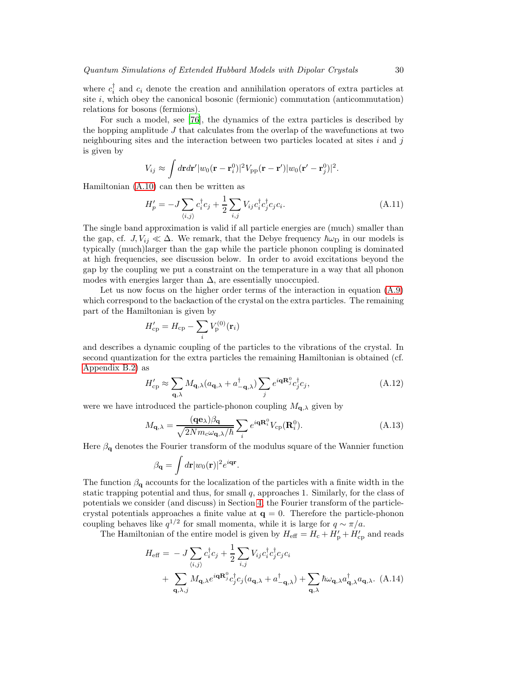where  $c_i^{\dagger}$  and  $c_i$  denote the creation and annihilation operators of extra particles at site  $i$ , which obey the canonical bosonic (fermionic) commutation (anticommutation) relations for bosons (fermions).

For such a model, see [\[76](#page-43-25)], the dynamics of the extra particles is described by the hopping amplitude  $J$  that calculates from the overlap of the wavefunctions at two neighbouring sites and the interaction between two particles located at sites  $i$  and  $j$ is given by

$$
V_{ij} \approx \int d\mathbf{r} d\mathbf{r}' |w_0(\mathbf{r}-\mathbf{r}_i^0)|^2 V_{\rm pp}(\mathbf{r}-\mathbf{r}') |w_0(\mathbf{r}'-\mathbf{r}_j^0)|^2.
$$

Hamiltonian [\(A.10\)](#page-28-1) can then be written as

$$
H'_{p} = -J\sum_{\langle i,j\rangle} c_i^{\dagger} c_j + \frac{1}{2} \sum_{i,j} V_{ij} c_i^{\dagger} c_j^{\dagger} c_j c_i.
$$
 (A.11)

The single band approximation is valid if all particle energies are (much) smaller than the gap, cf.  $J, V_{ij} \ll \Delta$ . We remark, that the Debye frequency  $\hbar \omega_D$  in our models is typically (much)larger than the gap while the particle phonon coupling is dominated at high frequencies, see discussion below. In order to avoid excitations beyond the gap by the coupling we put a constraint on the temperature in a way that all phonon modes with energies larger than  $\Delta$ , are essentially unoccupied.

Let us now focus on the higher order terms of the interaction in equation  $(A.9)$ which correspond to the backaction of the crystal on the extra particles. The remaining part of the Hamiltonian is given by

$$
H_{\mathrm{cp}}^{\prime}=H_{\mathrm{cp}}-\sum_{i}V_{\mathrm{p}}^{(0)}(\mathbf{r}_{i})
$$

and describes a dynamic coupling of the particles to the vibrations of the crystal. In second quantization for the extra particles the remaining Hamiltonian is obtained (cf. [Appendix B.2\)](#page-32-1) as

$$
H'_{\rm cp} \approx \sum_{\mathbf{q},\lambda} M_{\mathbf{q},\lambda} (a_{\mathbf{q},\lambda} + a_{-\mathbf{q},\lambda}^{\dagger}) \sum_j e^{i\mathbf{q} \mathbf{R}_j^0} c_j^{\dagger} c_j,
$$
 (A.12)

were we have introduced the particle-phonon coupling  $M_{q,\lambda}$  given by

<span id="page-29-0"></span>
$$
M_{\mathbf{q},\lambda} = \frac{(\mathbf{q}\mathbf{e}_{\lambda})\beta_{\mathbf{q}}}{\sqrt{2Nm_{c}\omega_{\mathbf{q},\lambda}/\hbar}} \sum_{i} e^{i\mathbf{q}\mathbf{R}_{i}^{0}} V_{\text{cp}}(\mathbf{R}_{i}^{0}).
$$
 (A.13)

Here  $\beta_{q}$  denotes the Fourier transform of the modulus square of the Wannier function

$$
\beta_{\mathbf{q}} = \int d\mathbf{r} |w_0(\mathbf{r})|^2 e^{i\mathbf{q}\mathbf{r}}.
$$

The function  $\beta_{q}$  accounts for the localization of the particles with a finite width in the static trapping potential and thus, for small  $q$ , approaches 1. Similarly, for the class of potentials we consider (and discuss) in Section [4,](#page-12-0) the Fourier transform of the particlecrystal potentials approaches a finite value at  $q = 0$ . Therefore the particle-phonon coupling behaves like  $q^{1/2}$  for small momenta, while it is large for  $q \sim \pi/a$ .

The Hamiltonian of the entire model is given by  $H_{\text{eff}} = H_{\text{c}} + H'_{\text{p}} + H'_{\text{cp}}$  and reads

<span id="page-29-1"></span>
$$
H_{\text{eff}} = -J \sum_{\langle i,j \rangle} c_i^{\dagger} c_j + \frac{1}{2} \sum_{i,j} V_{ij} c_i^{\dagger} c_j^{\dagger} c_j c_i
$$
  
+ 
$$
\sum_{\mathbf{q}, \lambda, j} M_{\mathbf{q}, \lambda} e^{i\mathbf{q} \mathbf{R}_j^0} c_j^{\dagger} c_j (a_{\mathbf{q}, \lambda} + a_{-\mathbf{q}, \lambda}^{\dagger}) + \sum_{\mathbf{q}, \lambda} \hbar \omega_{\mathbf{q}, \lambda} a_{\mathbf{q}, \lambda}^{\dagger} a_{\mathbf{q}, \lambda}. \quad (A.14)
$$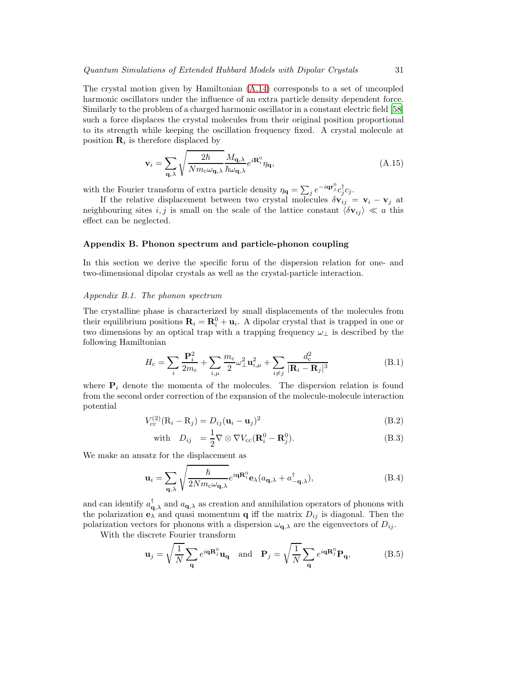The crystal motion given by Hamiltonian [\(A.14\)](#page-29-1) corresponds to a set of uncoupled harmonic oscillators under the influence of an extra particle density dependent force. Similarly to the problem of a charged harmonic oscillator in a constant electric field [\[58\]](#page-43-8) such a force displaces the crystal molecules from their original position proportional to its strength while keeping the oscillation frequency fixed. A crystal molecule at position  $\mathbf{R}_i$  is therefore displaced by

$$
\mathbf{v}_{i} = \sum_{\mathbf{q},\lambda} \sqrt{\frac{2\hbar}{Nm_{c}\omega_{\mathbf{q},\lambda}}} \frac{M_{\mathbf{q},\lambda}}{\hbar\omega_{\mathbf{q},\lambda}} e^{i\mathbf{R}_{i}^{0}} \eta_{\mathbf{q}},
$$
(A.15)

with the Fourier transform of extra particle density  $\eta_{\mathbf{q}} = \sum_{j} e^{-i\mathbf{q}\mathbf{r}_{j}^{0}} c_{j}^{\dagger} c_{j}$ .

If the relative displacement between two crystal molecules  $\delta \mathbf{v}_{ij} = \mathbf{v}_i - \mathbf{v}_j$  at neighbouring sites i, j is small on the scale of the lattice constant  $\langle \delta v_{ij} \rangle \ll a$  this effect can be neglected.

#### <span id="page-30-0"></span>Appendix B. Phonon spectrum and particle-phonon coupling

In this section we derive the specific form of the dispersion relation for one- and two-dimensional dipolar crystals as well as the crystal-particle interaction.

## *Appendix B.1. The phonon spectrum*

The crystalline phase is characterized by small displacements of the molecules from their equilibrium positions  $\mathbf{R}_i = \mathbf{R}_i^0 + \mathbf{u}_i$ . A dipolar crystal that is trapped in one or two dimensions by an optical trap with a trapping frequency  $\omega_{\perp}$  is described by the following Hamiltonian

<span id="page-30-1"></span>
$$
H_{\rm c} = \sum_{i} \frac{\mathbf{P}_{i}^{2}}{2m_{\rm c}} + \sum_{i,\mu} \frac{m_{\rm c}}{2} \omega_{\perp}^{2} \mathbf{u}_{i,\mu}^{2} + \sum_{i \neq j} \frac{d_{\rm c}^{2}}{|\mathbf{R}_{i} - \mathbf{R}_{j}|^{3}}
$$
(B.1)

where  $P_i$  denote the momenta of the molecules. The dispersion relation is found from the second order correction of the expansion of the molecule-molecule interaction potential

$$
V_{\rm cc}^{(2)}(\mathbf{R}_i - \mathbf{R}_j) = D_{ij}(\mathbf{u}_i - \mathbf{u}_j)^2
$$
 (B.2)

with 
$$
D_{ij} = \frac{1}{2} \nabla \otimes \nabla V_{cc} (\mathbf{R}_i^0 - \mathbf{R}_j^0).
$$
 (B.3)

We make an ansatz for the displacement as

$$
\mathbf{u}_{i} = \sum_{\mathbf{q},\lambda} \sqrt{\frac{\hbar}{2Nm_{c}\omega_{\mathbf{q},\lambda}}} e^{i\mathbf{qR}_{i}^{0}} \mathbf{e}_{\lambda}(a_{\mathbf{q},\lambda} + a_{-\mathbf{q},\lambda}^{\dagger}), \tag{B.4}
$$

and can identify  $a_{\mathbf{q},\lambda}^{\dagger}$  and  $a_{\mathbf{q},\lambda}$  as creation and annihilation operators of phonons with the polarization  $\mathbf{e}_{\lambda}$  and quasi momentum **q** iff the matrix  $D_{ij}$  is diagonal. Then the polarization vectors for phonons with a dispersion  $\omega_{q,\lambda}$  are the eigenvectors of  $D_{ij}$ .

With the discrete Fourier transform

$$
\mathbf{u}_{j} = \sqrt{\frac{1}{N}} \sum_{\mathbf{q}} e^{i\mathbf{q}\mathbf{R}_{j}^{0}} \mathbf{u}_{\mathbf{q}} \quad \text{and} \quad \mathbf{P}_{j} = \sqrt{\frac{1}{N}} \sum_{\mathbf{q}} e^{i\mathbf{q}\mathbf{R}_{j}^{0}} \mathbf{P}_{\mathbf{q}}, \tag{B.5}
$$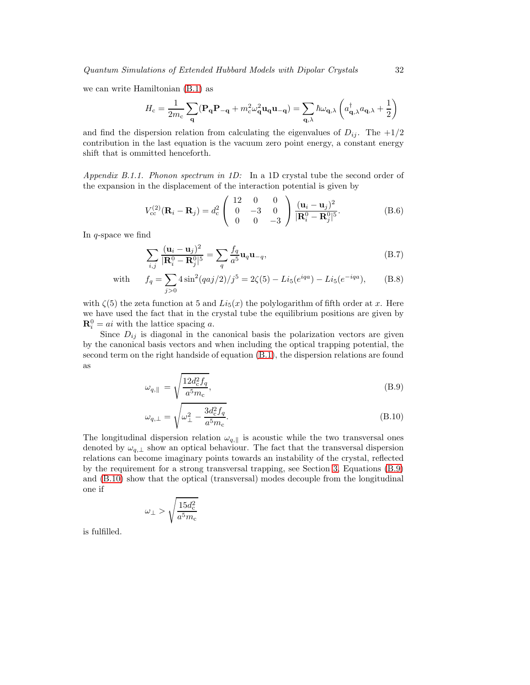we can write Hamiltonian [\(B.1\)](#page-30-1) as

$$
H_{\rm c} = \frac{1}{2m_{\rm c}} \sum_{\mathbf{q}} (\mathbf{P}_{\mathbf{q}} \mathbf{P}_{-\mathbf{q}} + m_{\rm c}^2 \omega_{\mathbf{q}}^2 \mathbf{u}_{\mathbf{q}} \mathbf{u}_{-\mathbf{q}}) = \sum_{\mathbf{q}, \lambda} \hbar \omega_{\mathbf{q}, \lambda} \left( a_{\mathbf{q}, \lambda}^{\dagger} a_{\mathbf{q}, \lambda} + \frac{1}{2} \right)
$$

and find the dispersion relation from calculating the eigenvalues of  $D_{ij}$ . The  $+1/2$ contribution in the last equation is the vacuum zero point energy, a constant energy shift that is ommitted henceforth.

*Appendix B.1.1. Phonon spectrum in 1D:* In a 1D crystal tube the second order of the expansion in the displacement of the interaction potential is given by

$$
V_{\rm cc}^{(2)}(\mathbf{R}_i - \mathbf{R}_j) = d_{\rm c}^2 \begin{pmatrix} 12 & 0 & 0 \\ 0 & -3 & 0 \\ 0 & 0 & -3 \end{pmatrix} \frac{(\mathbf{u}_i - \mathbf{u}_j)^2}{|\mathbf{R}_i^0 - \mathbf{R}_j^0|^5}.
$$
 (B.6)

In  $q$ -space we find

<span id="page-31-1"></span>
$$
\sum_{i,j} \frac{(\mathbf{u}_i - \mathbf{u}_j)^2}{|\mathbf{R}_i^0 - \mathbf{R}_j^0|^5} = \sum_q \frac{f_q}{a^5} \mathbf{u}_q \mathbf{u}_{-q},\tag{B.7}
$$

with 
$$
f_q = \sum_{j>0} 4\sin^2(qaj/2)/j^5 = 2\zeta(5) - Li_5(e^{iqa}) - Li_5(e^{-iqa}),
$$
 (B.8)

with  $\zeta(5)$  the zeta function at 5 and  $Li_5(x)$  the polylogarithm of fifth order at x. Here we have used the fact that in the crystal tube the equilibrium positions are given by  $\mathbf{R}_i^0 = ai$  with the lattice spacing a.

Since  $D_{ij}$  is diagonal in the canonical basis the polarization vectors are given by the canonical basis vectors and when including the optical trapping potential, the second term on the right handside of equation [\(B.1\)](#page-30-1), the dispersion relations are found as

<span id="page-31-0"></span>
$$
\omega_{q,\parallel} = \sqrt{\frac{12d_c^2 f_q}{a^5 m_c}},\tag{B.9}
$$

$$
\omega_{q,\perp} = \sqrt{\omega_{\perp}^2 - \frac{3d_c^2 f_q}{a^5 m_c}}.
$$
\n(B.10)

The longitudinal dispersion relation  $\omega_{q,\parallel}$  is acoustic while the two transversal ones denoted by  $\omega_{q,\perp}$  show an optical behaviour. The fact that the transversal dispersion relations can become imaginary points towards an instability of the crystal, reflected by the requirement for a strong transversal trapping, see Section [3,](#page-10-0) Equations [\(B.9\)](#page-31-0) and [\(B.10\)](#page-31-0) show that the optical (transversal) modes decouple from the longitudinal one if

$$
\omega_{\perp} > \sqrt{\frac{15d_\text{c}^2}{a^5m_\text{c}}}
$$

is fulfilled.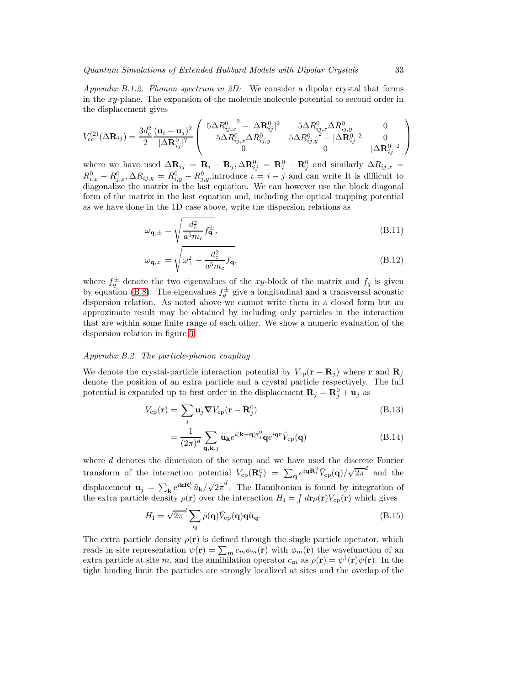<span id="page-32-0"></span>*Appendix B.1.2. Phonon spectrum in 2D:* We consider a dipolar crystal that forms in the xy-plane. The expansion of the molecule molecule potential to second order in the displacement gives

$$
V_{\rm cc}^{(2)}(\Delta \mathbf{R}_{ij}) = \frac{3d_c^2}{2} \frac{(\mathbf{u}_i - \mathbf{u}_j)^2}{|\Delta \mathbf{R}_{ij}^0|^7} \left( \begin{array}{ccc} 5\Delta R_{ij,x}^0{}^2 - |\Delta \mathbf{R}_{ij}^0|^2 & 5\Delta R_{ij,x}^0 \Delta R_{ij,y}^0 & 0\\ 5\Delta R_{ij,x}^0 \Delta R_{ij,y}^0 & 5\Delta R_{ij,y}^0{}^2 - |\Delta \mathbf{R}_{ij}^0|^2 & 0\\ 0 & 0 & |\Delta \mathbf{R}_{ij}^0|^2 \end{array} \right)
$$

where we have used  $\Delta \mathbf{R}_{ij} = \mathbf{R}_i - \mathbf{R}_j, \Delta \mathbf{R}_{ij}^0 = \mathbf{R}_i^0 - \mathbf{R}_j^0$  and similarly  $\Delta R_{ij,x} =$  $R_{i,x}^0 - R_{j,x}^0, \Delta R_{i,j,y} = R_{i,y}^0 - R_{j,y}^0$  introduce  $\iota = i - j$  and can write It is difficult to diagonalize the matrix in the last equation. We can however use the block diagonal form of the matrix in the last equation and, including the optical trapping potential as we have done in the 1D case above, write the dispersion relations as

$$
\omega_{\mathbf{q},\pm} = \sqrt{\frac{d_{\rm c}^2}{a^5 m_{\rm c}} f_{\mathbf{q}}^{\pm}},\tag{B.11}
$$

$$
\omega_{\mathbf{q},z} = \sqrt{\omega_{\perp}^2 - \frac{d_{\rm c}^2}{a^5 m_{\rm c}} f_{\mathbf{q}}},\tag{B.12}
$$

where  $f_q^{\pm}$  denote the two eigenvalues of the xy-block of the matrix and  $f_q$  is given by equation [\(B.8\)](#page-31-1). The eigenvalues  $f_q^{\pm}$  give a longitudinal and a transversal acoustic dispersion relation. As noted above we cannot write them in a closed form but an approximate result may be obtained by including only particles in the interaction that are within some finite range of each other. We show a numeric evaluation of the dispersion relation in figure [3.](#page-13-0)

# <span id="page-32-1"></span>*Appendix B.2. The particle-phonon coupling*

We denote the crystal-particle interaction potential by  $V_{cp}(\mathbf{r} - \mathbf{R}_j)$  where r and  $\mathbf{R}_j$ denote the position of an extra particle and a crystal particle respectively. The full potential is expanded up to first order in the displacement  $\mathbf{R}_j = \mathbf{R}_j^0 + \mathbf{u}_j$  as

$$
V_{\rm cp}(\mathbf{r}) = \sum_j \mathbf{u}_j \nabla V_{\rm cp}(\mathbf{r} - \mathbf{R}_j^0)
$$
 (B.13)

$$
=\frac{1}{(2\pi)^d}\sum_{\mathbf{q},\mathbf{k},j}\tilde{\mathbf{u}}_{\mathbf{k}}e^{i(\mathbf{k}-\mathbf{q})\mathbf{r}_j^0}\mathbf{q}e^{i\mathbf{q}\mathbf{r}}\tilde{V}_{\rm cp}(\mathbf{q})
$$
(B.14)

where d denotes the dimension of the setup and we have used the discrete Fourier transform of the interaction potential  $V_{cp}(\mathbf{R}_i^0) = \sum_{\mathbf{q}} e^{i\mathbf{q}\mathbf{R}_i^0} \tilde{V}_{cp}(\mathbf{q})/\sqrt{2\pi}^d$  and the displacement  $\mathbf{u}_j = \sum_{\mathbf{k}} e^{i\mathbf{k}\mathbf{R}_i^0}\tilde{u}_{\mathbf{k}}/\sqrt{2\pi}^d$ . The Hamiltonian is found by integration of the extra particle density  $\rho(\mathbf{r})$  over the interaction  $H_{\rm I} = \int d\mathbf{r} \rho(\mathbf{r}) V_{\rm cp}(\mathbf{r})$  which gives

$$
H_{\rm I} = \sqrt{2\pi}^d \sum_{\mathbf{q}} \tilde{\rho}(\mathbf{q}) \tilde{V}_{\rm cp}(\mathbf{q}) \mathbf{q} \tilde{\mathbf{u}}_{\mathbf{q}}.
$$
 (B.15)

The extra particle density  $\rho(\mathbf{r})$  is defined through the single particle operator, which reads in site representation  $\psi(\mathbf{r}) = \sum_m c_m \phi_m(\mathbf{r})$  with  $\phi_m(\mathbf{r})$  the wavefunction of an extra particle at site m, and the annihilation operator  $c_m$  as  $\rho(\mathbf{r}) = \psi^{\dagger}(\mathbf{r})\psi(\mathbf{r})$ . In the tight binding limit the particles are strongly localized at sites and the overlap of the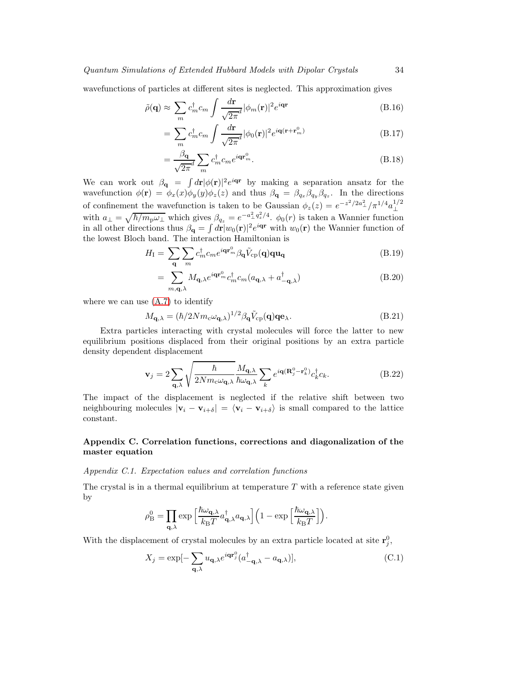wavefunctions of particles at different sites is neglected. This approximation gives

$$
\tilde{\rho}(\mathbf{q}) \approx \sum_{m} c_{m}^{\dagger} c_{m} \int \frac{d\mathbf{r}}{\sqrt{2\pi^{d}}} |\phi_{m}(\mathbf{r})|^{2} e^{i\mathbf{q}\mathbf{r}}
$$
\n(B.16)

$$
= \sum_{m} c_m^{\dagger} c_m \int \frac{d\mathbf{r}}{\sqrt{2\pi}} |\phi_0(\mathbf{r})|^2 e^{i\mathbf{q}(\mathbf{r} + \mathbf{r}_m^0)} \tag{B.17}
$$

$$
=\frac{\beta_{\mathbf{q}}}{\sqrt{2\pi}}\sum_{m}c_{m}^{\dagger}c_{m}e^{i\mathbf{q}\mathbf{r}_{m}^{0}}.
$$
\n(B.18)

We can work out  $\beta_{\mathbf{q}} = \int d\mathbf{r} |\phi(\mathbf{r})|^2 e^{i\mathbf{q}\mathbf{r}}$  by making a separation ansatz for the wavefunction  $\phi(\mathbf{r}) = \phi_x(x)\phi_y(y)\phi_z(z)$  and thus  $\beta_{\mathbf{q}} = \beta_{q_x}\beta_{q_y}\beta_{q_z}$ . In the directions of confinement the wavefunction is taken to be Gaussian  $\phi_z(z) = e^{-z^2/2a_{\perp}^2}/\pi^{1/4}a_{\perp}^{1/2}$ ⊥ with  $a_{\perp} = \sqrt{\hbar/m_p\omega_{\perp}}$  which gives  $\beta_{q_z} = e^{-a_{\perp}^2 q_z^2/4}$ .  $\phi_0(r)$  is taken a Wannier function in all other directions thus  $\beta_{\bf q} = \int d{\bf r}|w_0({\bf r})|^2 e^{i{\bf qr}}$  with  $w_0({\bf r})$  the Wannier function of the lowest Bloch band. The interaction Hamiltonian is

$$
H_{\rm I} = \sum_{\mathbf{q}} \sum_{m} c_m^{\dagger} c_m e^{i\mathbf{q} \mathbf{r}_m^0} \beta_{\mathbf{q}} \tilde{V}_{\rm cp}(\mathbf{q}) \mathbf{q} \mathbf{u}_{\mathbf{q}} \tag{B.19}
$$

$$
= \sum_{m,\mathbf{q},\lambda} M_{\mathbf{q},\lambda} e^{i\mathbf{q}\mathbf{r}_m^0} c_m^{\dagger} c_m (a_{\mathbf{q},\lambda} + a_{-\mathbf{q},\lambda}^{\dagger})
$$
(B.20)

where we can use  $(A.7)$  to identify

$$
M_{\mathbf{q},\lambda} = (\hbar/2Nm_{\rm c}\omega_{\mathbf{q},\lambda})^{1/2}\beta_{\mathbf{q}}\tilde{V}_{\rm cp}(\mathbf{q})\mathbf{q}\mathbf{e}_{\lambda}.
$$
 (B.21)

Extra particles interacting with crystal molecules will force the latter to new equilibrium positions displaced from their original positions by an extra particle density dependent displacement

$$
\mathbf{v}_{j} = 2 \sum_{\mathbf{q},\lambda} \sqrt{\frac{\hbar}{2Nm_{c}\omega_{\mathbf{q},\lambda}}} \frac{M_{\mathbf{q},\lambda}}{\hbar \omega_{\mathbf{q},\lambda}} \sum_{k} e^{i\mathbf{q}(\mathbf{R}_{j}^{0} - \mathbf{r}_{k}^{0})} c_{k}^{\dagger} c_{k}.
$$
 (B.22)

The impact of the displacement is neglected if the relative shift between two neighbouring molecules  $|\mathbf{v}_i - \mathbf{v}_{i+\delta}| = \langle \mathbf{v}_i - \mathbf{v}_{i+\delta} \rangle$  is small compared to the lattice constant.

# <span id="page-33-0"></span>Appendix C. Correlation functions, corrections and diagonalization of the master equation

<span id="page-33-1"></span>*Appendix C.1. Expectation values and correlation functions*

The crystal is in a thermal equilibrium at temperature  $T$  with a reference state given by

$$
\rho^0_\mathrm{B} = \prod_{\mathbf{q},\lambda} \exp\Big[\frac{\hbar \omega_{\mathbf{q},\lambda}}{k_\mathrm{B}T} a^\dagger_{\mathbf{q},\lambda} a_{\mathbf{q},\lambda} \Big] \Big( 1 - \exp\Big[\frac{\hbar \omega_{\mathbf{q},\lambda}}{k_\mathrm{B}T} \Big] \Big).
$$

With the displacement of crystal molecules by an extra particle located at site  $\mathbf{r}_j^0$ ,

$$
X_j = \exp[-\sum_{\mathbf{q},\lambda} u_{\mathbf{q},\lambda} e^{i\mathbf{q}\mathbf{r}_j^0} (a_{-\mathbf{q},\lambda}^\dagger - a_{\mathbf{q},\lambda})],\tag{C.1}
$$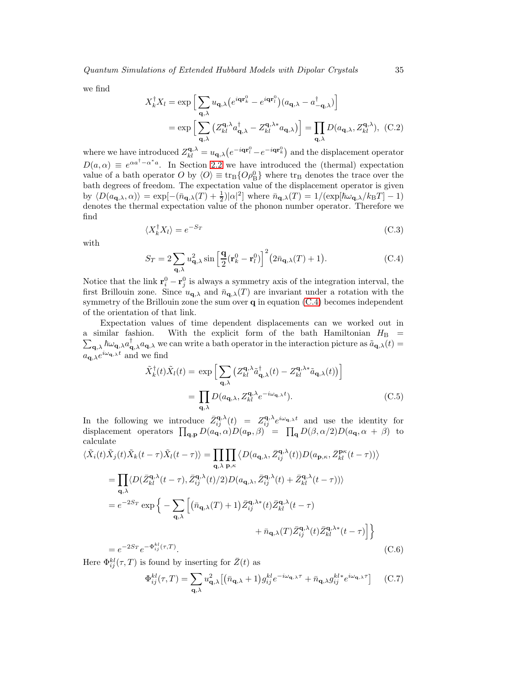we find

$$
X_k^{\dagger} X_l = \exp\left[\sum_{\mathbf{q},\lambda} u_{\mathbf{q},\lambda} \left(e^{i\mathbf{q}\mathbf{r}_k^0} - e^{i\mathbf{q}\mathbf{r}_l^0}\right) (a_{\mathbf{q},\lambda} - a_{-\mathbf{q},\lambda}^{\dagger})\right]
$$

$$
= \exp\left[\sum_{\mathbf{q},\lambda} \left(Z_{kl}^{\mathbf{q},\lambda} a_{\mathbf{q},\lambda}^{\dagger} - Z_{kl}^{\mathbf{q},\lambda*} a_{\mathbf{q},\lambda}\right)\right] = \prod_{\mathbf{q},\lambda} D(a_{\mathbf{q},\lambda}, Z_{kl}^{\mathbf{q},\lambda}), \quad (C.2)
$$

where we have introduced  $Z_{kl}^{\mathbf{q},\lambda} = u_{\mathbf{q},\lambda} (e^{-i\mathbf{q}\mathbf{r}_l^0} - e^{-i\mathbf{q}\mathbf{r}_k^0})$  and the displacement operator  $D(a, \alpha) \equiv e^{\alpha a^{\dagger}-\alpha^* a}$ . In Section [2.2](#page-5-1) we have introduced the (thermal) expectation value of a bath operator O by  $\langle O \rangle \equiv \text{tr}_{\text{B}} \{O \rho_{\text{B}}^0\}$  where  $\text{tr}_{\text{B}}$  denotes the trace over the bath degrees of freedom. The expectation value of the displacement operator is given by  $\langle D(a_{\mathbf{q},\lambda},\alpha)\rangle = \exp[-(\bar{n}_{\mathbf{q},\lambda}(T)+\frac{1}{2})|\alpha|^2]$  where  $\bar{n}_{\mathbf{q},\lambda}(T) = 1/(\exp[\hbar\omega_{\mathbf{q},\lambda}/k_BT]-1)$ denotes the thermal expectation value of the phonon number operator. Therefore we find

$$
\langle X_k^{\dagger} X_l \rangle = e^{-S_T} \tag{C.3}
$$

with

<span id="page-34-0"></span>
$$
S_T = 2\sum_{\mathbf{q},\lambda} u_{\mathbf{q},\lambda}^2 \sin\left[\frac{\mathbf{q}}{2} (\mathbf{r}_k^0 - \mathbf{r}_l^0)\right]^2 (2\bar{n}_{\mathbf{q},\lambda}(T) + 1).
$$
 (C.4)

Notice that the link  $\mathbf{r}_i^0 - \mathbf{r}_j^0$  is always a symmetry axis of the integration interval, the first Brillouin zone. Since  $u_{\mathbf{q},\lambda}$  and  $\bar{n}_{\mathbf{q},\lambda}(T)$  are invariant under a rotation with the symmetry of the Brillouin zone the sum over  $q$  in equation  $(C.4)$  becomes independent of the orientation of that link.

Expectation values of time dependent displacements can we worked out in a similar fashion. With the explicit form of the bath Hamiltonian  $H_{\text{B}}$  =  $\sum_{\mathbf{q},\lambda} \hbar \omega_{\mathbf{q},\lambda} a_{\mathbf{q},\lambda}^{\dagger} a_{\mathbf{q},\lambda}$  we can write a bath operator in the interaction picture as  $\tilde{a}_{\mathbf{q},\lambda}(t)$  $a_{\mathbf{q},\lambda}e^{i\omega_{\mathbf{q},\lambda}t}$  and we find

$$
\tilde{X}_{k}^{\dagger}(t)\tilde{X}_{l}(t) = \exp\left[\sum_{\mathbf{q},\lambda} \left(Z_{kl}^{\mathbf{q},\lambda}\tilde{a}_{\mathbf{q},\lambda}^{\dagger}(t) - Z_{kl}^{\mathbf{q},\lambda*}\tilde{a}_{\mathbf{q},\lambda}(t)\right)\right]
$$
\n
$$
= \prod_{\mathbf{q},\lambda} D(a_{\mathbf{q},\lambda}, Z_{kl}^{\mathbf{q},\lambda}e^{-i\omega_{\mathbf{q},\lambda}t}). \tag{C.5}
$$

In the following we introduce  $\bar{Z}_{ij}^{\mathbf{q},\lambda}(t) = Z_{ij}^{\mathbf{q},\lambda}e^{i\omega_{\mathbf{q},\lambda}t}$  and use the identity for displacement operators  $\prod_{\mathbf{q},\mathbf{p}} D(a_{\mathbf{q}},\alpha)D(a_{\mathbf{p}},\beta) = \prod_{\mathbf{q}} D(\beta,\alpha/2)D(a_{\mathbf{q}},\alpha + \beta)$  to calculate

$$
\langle \tilde{X}_i(t)\tilde{X}_j(t)\tilde{X}_k(t-\tau)\tilde{X}_l(t-\tau)\rangle = \prod_{\mathbf{q},\lambda} \prod_{\mathbf{p},\kappa} \langle D(a_{\mathbf{q},\lambda}, \bar{Z}_{ij}^{\mathbf{q},\lambda}(t))D(a_{\mathbf{p},\kappa}, \bar{Z}_{kl}^{\mathbf{p},\kappa}(t-\tau))\rangle
$$
  
\n
$$
= \prod_{\mathbf{q},\lambda} \langle D(\bar{Z}_{kl}^{\mathbf{q},\lambda}(t-\tau), \bar{Z}_{ij}^{\mathbf{q},\lambda}(t)/2)D(a_{\mathbf{q},\lambda}, \bar{Z}_{ij}^{\mathbf{q},\lambda}(t) + \bar{Z}_{kl}^{\mathbf{q},\lambda}(t-\tau))\rangle
$$
  
\n
$$
= e^{-2S_T} \exp\Big\{-\sum_{\mathbf{q},\lambda} \Big[ (\bar{n}_{\mathbf{q},\lambda}(T) + 1) \bar{Z}_{ij}^{\mathbf{q},\lambda*}(t) \bar{Z}_{kl}^{\mathbf{q},\lambda}(t-\tau) + \bar{n}_{\mathbf{q},\lambda}(T) \bar{Z}_{ij}^{\mathbf{q},\lambda}(t) \bar{Z}_{kl}^{\mathbf{q},\lambda*}(t-\tau)\Big] \Big\}
$$
  
\n
$$
= e^{-2S_T} e^{-\Phi_{ij}^{kl}(\tau,T)}.
$$
 (C.6)

Here  $\Phi_{ij}^{kl}(\tau, T)$  is found by inserting for  $\bar{Z}(t)$  as

<span id="page-34-1"></span>
$$
\Phi_{ij}^{kl}(\tau,T) = \sum_{\mathbf{q},\lambda} u_{\mathbf{q},\lambda}^2 \left[ \left( \bar{n}_{\mathbf{q},\lambda} + 1 \right) g_{ij}^{kl} e^{-i\omega_{\mathbf{q},\lambda}\tau} + \bar{n}_{\mathbf{q},\lambda} g_{ij}^{kl*} e^{i\omega_{\mathbf{q},\lambda}\tau} \right] \tag{C.7}
$$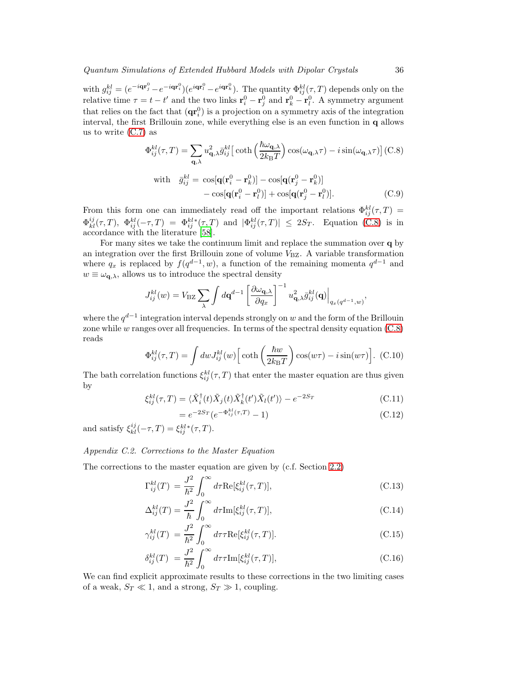with  $g_{ij}^{kl} = (e^{-i\mathbf{q}\mathbf{r}_j^0} - e^{-i\mathbf{q}\mathbf{r}_i^0})(e^{i\mathbf{q}\mathbf{r}_l^0} - e^{i\mathbf{q}\mathbf{r}_k^0})$ . The quantity  $\Phi_{ij}^{kl}(\tau, T)$  depends only on the relative time  $\tau = t - t'$  and the two links  $\mathbf{r}_i^0 - \mathbf{r}_j^0$  and  $\mathbf{r}_k^0 - \mathbf{r}_l^0$ . A symmetry argument that relies on the fact that  $(\mathbf{qr}_i^0)$  is a projection on a symmetry axis of the integration interval, the first Brillouin zone, while everything else is an even function in q allows us to write  $(C.7)$  as

<span id="page-35-1"></span>
$$
\Phi_{ij}^{kl}(\tau,T) = \sum_{\mathbf{q},\lambda} u_{\mathbf{q},\lambda}^2 \bar{g}_{ij}^{kl} \left[ \coth\left(\frac{\hbar \omega_{\mathbf{q},\lambda}}{2k_{\mathrm{B}}T}\right) \cos(\omega_{\mathbf{q},\lambda}\tau) - i \sin(\omega_{\mathbf{q},\lambda}\tau) \right] (\text{C.8})
$$

with 
$$
\bar{g}_{ij}^{kl} = \cos[\mathbf{q}(\mathbf{r}_i^0 - \mathbf{r}_k^0)] - \cos[\mathbf{q}(\mathbf{r}_j^0 - \mathbf{r}_k^0)] - \cos[\mathbf{q}(\mathbf{r}_i^0 - \mathbf{r}_l^0)] + \cos[\mathbf{q}(\mathbf{r}_j^0 - \mathbf{r}_l^0)].
$$
\n(C.9)

From this form one can immediately read off the important relations  $\Phi_{ij}^{kl}(\tau,T)$  $\Phi_{kl}^{ij}(\tau,T)$ ,  $\Phi_{ij}^{kl}(-\tau,T) = \Phi_{ij}^{kl*}(\tau,T)$  and  $|\Phi_{ij}^{kl}(\tau,T)| \leq 2S_T$ . Equation [\(C.8\)](#page-35-1) is in accordance with the literature [\[58](#page-43-8)].

For many sites we take the continuum limit and replace the summation over q by an integration over the first Brillouin zone of volume  $V_{\rm BZ}$ . A variable transformation where  $q_x$  is replaced by  $f(q^{d-1}, w)$ , a function of the remaining momenta  $q^{d-1}$  and  $w \equiv \omega_{\mathbf{q},\lambda}$ , allows us to introduce the spectral density

$$
J_{ij}^{kl}(w) = V_{\rm BZ} \sum_{\lambda} \int d\mathbf{q}^{d-1} \left[ \frac{\partial \omega_{\mathbf{q},\lambda}}{\partial q_x} \right]^{-1} u_{\mathbf{q},\lambda}^2 \bar{g}_{ij}^{kl}(\mathbf{q}) \Big|_{q_x(q^{d-1},w)},
$$

where the  $q^{d-1}$  integration interval depends strongly on w and the form of the Brillouin zone while  $w$  ranges over all frequencies. In terms of the spectral density equation  $(C.8)$ reads

$$
\Phi_{ij}^{kl}(\tau,T) = \int dw J_{ij}^{kl}(w) \left[ \coth\left(\frac{\hbar w}{2k_{\rm B}T}\right) \cos(w\tau) - i \sin(w\tau) \right]. \tag{C.10}
$$

The bath correlation functions  $\xi_{ij}^{kl}(\tau, T)$  that enter the master equation are thus given by

<span id="page-35-3"></span>
$$
\xi_{ij}^{kl}(\tau,T) = \langle \tilde{X}_i^{\dagger}(t) \tilde{X}_j(t) \tilde{X}_k^{\dagger}(t') \tilde{X}_l(t') \rangle - e^{-2S_T} \tag{C.11}
$$

$$
=e^{-2S_T}(e^{-\Phi_{ij}^{kl}(\tau,T)}-1)
$$
\n(C.12)

and satisfy  $\xi_{kl}^{ij}(-\tau,T) = \xi_{ij}^{kl*}(\tau,T)$ .

# <span id="page-35-0"></span>*Appendix C.2. Corrections to the Master Equation*

The corrections to the master equation are given by (c.f. Section [2.2\)](#page-5-1)

<span id="page-35-2"></span>
$$
\Gamma_{ij}^{kl}(T) = \frac{J^2}{\hbar^2} \int_0^\infty d\tau \text{Re}[\xi_{ij}^{kl}(\tau, T)],\tag{C.13}
$$

$$
\Delta_{ij}^{kl}(T) = \frac{J^2}{\hbar} \int_0^\infty d\tau \text{Im}[\xi_{ij}^{kl}(\tau, T)],\tag{C.14}
$$

$$
\gamma_{ij}^{kl}(T) = \frac{J^2}{\hbar^2} \int_0^\infty d\tau \tau \text{Re}[\xi_{ij}^{kl}(\tau, T)]. \tag{C.15}
$$

$$
\delta_{ij}^{kl}(T) = \frac{J^2}{\hbar^2} \int_0^\infty d\tau \tau \text{Im}[\xi_{ij}^{kl}(\tau, T)], \tag{C.16}
$$

We can find explicit approximate results to these corrections in the two limiting cases of a weak,  $S_T \ll 1$ , and a strong,  $S_T \gg 1$ , coupling.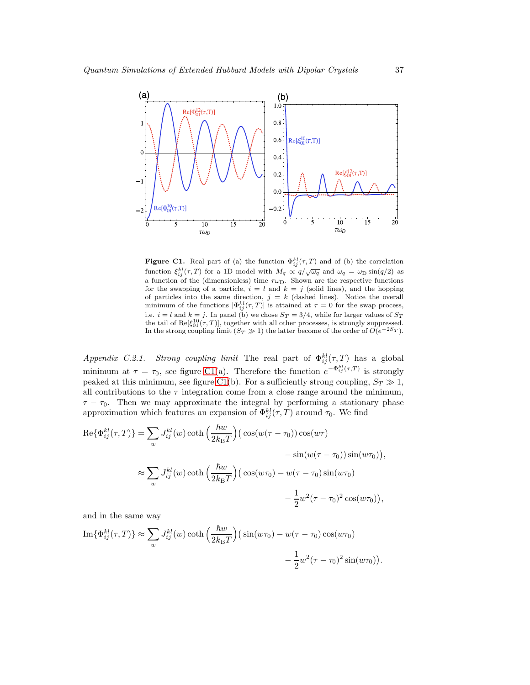![](_page_36_Figure_1.jpeg)

<span id="page-36-0"></span>**Figure C1.** Real part of (a) the function  $\Phi_{ij}^{kl}(\tau, T)$  and of (b) the correlation function  $\xi_{ij}^{kl}(\tau, T)$  for a 1D model with  $M_q \propto q/\sqrt{\omega_q}$  and  $\omega_q = \omega_D \sin(q/2)$  as a function of the (dimensionless) time  $\tau\omega_D$ . Shown are the respective functions for the swapping of a particle,  $i = l$  and  $k = j$  (solid lines), and the hopping of particles into the same direction,  $j = k$  (dashed lines). Notice the overall minimum of the functions  $|\Phi_{ij}^{kl}(\tau, T)|$  is attained at  $\tau = 0$  for the swap process, i.e.  $i = l$  and  $k = j$ . In panel (b) we chose  $S_T = 3/4$ , while for larger values of  $S_T$ the tail of Re $[\xi_{01}^{10}(\tau, T)]$ , together with all other processes, is strongly suppressed. In the strong coupling limit  $(S_T \gg 1)$  the latter become of the order of  $O(e^{-2S_T})$ .

*Appendix C.2.1. Strong coupling limit* The real part of  $\Phi_{ij}^{kl}(\tau, T)$  has a global minimum at  $\tau = \tau_0$ , see figure [C1\(](#page-36-0)a). Therefore the function  $e^{-\Phi_{ij}^{kl}(\tau,T)}$  is strongly peaked at this minimum, see figure [C1\(](#page-36-0)b). For a sufficiently strong coupling,  $S_T \gg 1$ , all contributions to the  $\tau$  integration come from a close range around the minimum,  $\tau - \tau_0$ . Then we may approximate the integral by performing a stationary phase approximation which features an expansion of  $\Phi_{ij}^{kl}(\tau, T)$  around  $\tau_0$ . We find

$$
\operatorname{Re}\{\Phi_{ij}^{kl}(\tau,T)\} = \sum_{w} J_{ij}^{kl}(w) \coth\left(\frac{\hbar w}{2k_{\mathrm{B}}T}\right) \left(\cos(w(\tau-\tau_0))\cos(w\tau) - \sin(w(\tau-\tau_0))\sin(w\tau_0)\right),
$$
  

$$
\approx \sum_{w} J_{ij}^{kl}(w) \coth\left(\frac{\hbar w}{2k_{\mathrm{B}}T}\right) \left(\cos(w\tau_0) - w(\tau-\tau_0)\sin(w\tau_0)\right),
$$
  

$$
-\frac{1}{2}w^2(\tau-\tau_0)^2 \cos(w\tau_0)\right),
$$

and in the same way

Im
$$
\{\Phi_{ij}^{kl}(\tau, T)\}\approx \sum_{w} J_{ij}^{kl}(w) \coth\left(\frac{\hbar w}{2k_{\text{B}}T}\right) \left(\sin(w\tau_0) - w(\tau - \tau_0)\cos(w\tau_0)\right)
$$
  

$$
-\frac{1}{2}w^2(\tau - \tau_0)^2 \sin(w\tau_0)\right).
$$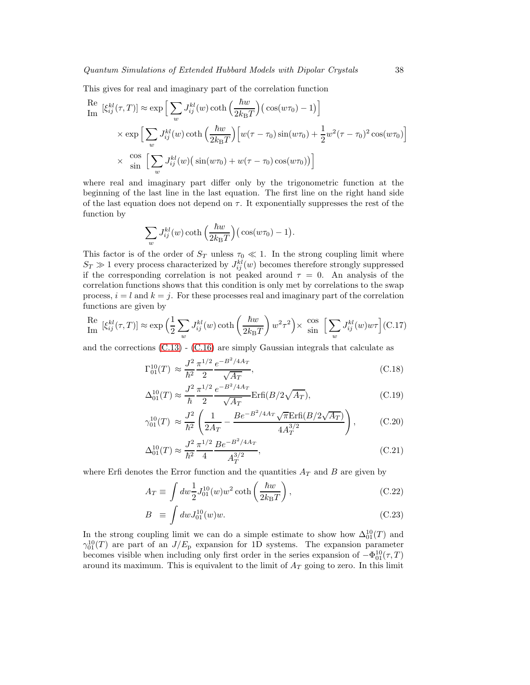This gives for real and imaginary part of the correlation function

Re 
$$
[\xi_{ij}^{kl}(\tau, T)] \approx \exp \Big[\sum_w J_{ij}^{kl}(w) \coth\Big(\frac{\hbar w}{2k_B T}\Big) (\cos(w\tau_0) - 1) \Big]
$$
  
\n $\times \exp \Big[\sum_w J_{ij}^{kl}(w) \coth\Big(\frac{\hbar w}{2k_B T}\Big) \Big[w(\tau - \tau_0) \sin(w\tau_0) + \frac{1}{2}w^2(\tau - \tau_0)^2 \cos(w\tau_0) \Big]$   
\n $\times \frac{\cos}{\sin} \Big[\sum_w J_{ij}^{kl}(w) (\sin(w\tau_0) + w(\tau - \tau_0) \cos(w\tau_0)) \Big]$ 

where real and imaginary part differ only by the trigonometric function at the beginning of the last line in the last equation. The first line on the right hand side of the last equation does not depend on  $\tau$ . It exponentially suppresses the rest of the function by

$$
\sum_{w} J_{ij}^{kl}(w) \coth\left(\frac{\hbar w}{2k_{\rm B}T}\right) \big(\cos(w\tau_0) - 1\big).
$$

This factor is of the order of  $S_T$  unless  $\tau_0 \ll 1$ . In the strong coupling limit where  $S_T \gg 1$  every process characterized by  $J_{ij}^{kl}(w)$  becomes therefore strongly suppressed if the corresponding correlation is not peaked around  $\tau = 0$ . An analysis of the correlation functions shows that this condition is only met by correlations to the swap process,  $i = l$  and  $k = j$ . For these processes real and imaginary part of the correlation functions are given by

Re Im [<sup>ξ</sup> kl ij (τ, T )] <sup>≈</sup> exp <sup>1</sup> 2 X w J kl ij (w) coth ~w 2kBT w 2 τ 2 × cos sin hX w J kl ij (w)wτ<sup>i</sup> (C.17)

and the corrections [\(C.13\)](#page-35-2) - [\(C.16\)](#page-35-2) are simply Gaussian integrals that calculate as

$$
\Gamma_{01}^{10}(T) \approx \frac{J^2}{\hbar^2} \frac{\pi^{1/2}}{2} \frac{e^{-B^2/4A_T}}{\sqrt{A_T}},
$$
\n(C.18)

$$
\Delta_{01}^{10}(T) \approx \frac{J^2}{\hbar} \frac{\pi^{1/2}}{2} \frac{e^{-B^2/4Ar}}{\sqrt{Ar}} \text{Erfi}(B/2\sqrt{Ar}),\tag{C.19}
$$

$$
\gamma_{01}^{10}(T) \approx \frac{J^2}{\hbar^2} \left( \frac{1}{2A_T} - \frac{Be^{-B^2/4A_T} \sqrt{\pi} \text{Erfi}(B/2\sqrt{A_T})}{4A_T^{3/2}} \right), \quad (C.20)
$$

$$
\Delta_{01}^{10}(T) \approx \frac{J^2}{\hbar^2} \frac{\pi^{1/2}}{4} \frac{Be^{-B^2/4A_T}}{A_T^{3/2}},\tag{C.21}
$$

where Erfi denotes the Error function and the quantities  $A_T$  and B are given by

$$
A_T \equiv \int dw \frac{1}{2} J_{01}^{10}(w) w^2 \coth\left(\frac{\hbar w}{2k_{\rm B}T}\right),\tag{C.22}
$$

$$
B \equiv \int dw J_{01}^{10}(w)w. \tag{C.23}
$$

In the strong coupling limit we can do a simple estimate to show how  $\Delta_{01}^{10}(T)$  and  $\gamma_{01}^{10}(T)$  are part of an  $J/E_{\rm p}$  expansion for 1D systems. The expansion parameter becomes visible when including only first order in the series expansion of  $-\Phi_{01}^{10}(\tau,T)$ around its maximum. This is equivalent to the limit of  $A_T$  going to zero. In this limit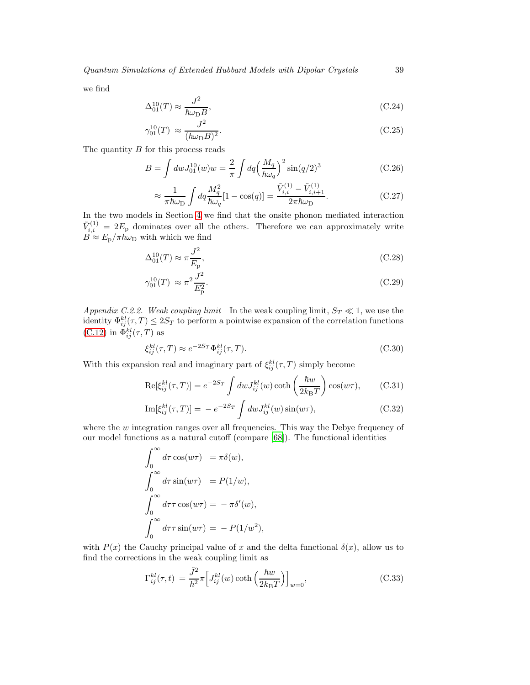*Quantum Simulations of Extended Hubbard Models with Dipolar Crystals* 39

we find

$$
\Delta_{01}^{10}(T) \approx \frac{J^2}{\hbar \omega_{\rm D} B},\tag{C.24}
$$

$$
\gamma_{01}^{10}(T) \approx \frac{J^2}{(\hbar\omega_{\rm D}B)^2}.\tag{C.25}
$$

The quantity  $B$  for this process reads

$$
B = \int dw J_{01}^{10}(w)w = \frac{2}{\pi} \int dq \left(\frac{M_q}{\hbar \omega_q}\right)^2 \sin(q/2)^3
$$
 (C.26)

$$
\approx \frac{1}{\pi \hbar \omega_{\rm D}} \int dq \frac{M_q^2}{\hbar \omega_q} [1 - \cos(q)] = \frac{\tilde{V}_{i,i}^{(1)} - \tilde{V}_{i,i+1}^{(1)}}{2\pi \hbar \omega_{\rm D}}.
$$
 (C.27)

In the two models in Section [4](#page-12-0) we find that the onsite phonon mediated interaction  $\tilde{V}_{i,i}^{(1)} = 2E_p$  dominates over all the others. Therefore we can approximately write  $B \approx E_{\rm p}/\pi \hbar \omega_{\rm D}$  with which we find

$$
\Delta_{01}^{10}(T) \approx \pi \frac{J^2}{E_{\rm p}},\tag{C.28}
$$

$$
\gamma_{01}^{10}(T) \approx \pi^2 \frac{J^2}{E_{\rm p}^2}.\tag{C.29}
$$

*Appendix C.2.2. Weak coupling limit* In the weak coupling limit,  $S_T \ll 1$ , we use the identity  $\Phi_{ij}^{kl}(\tau,T) \leq 2S_T$  to perform a pointwise expansion of the correlation functions  $(C.12)$  in  $\Phi_{ij}^{kl}(\tau, T)$  as

$$
\xi_{ij}^{kl}(\tau,T) \approx e^{-2S_T} \Phi_{ij}^{kl}(\tau,T). \tag{C.30}
$$

With this expansion real and imaginary part of  $\xi_{ij}^{kl}(\tau, T)$  simply become

$$
\text{Re}[\xi_{ij}^{kl}(\tau,T)] = e^{-2S_T} \int dw J_{ij}^{kl}(w) \coth\left(\frac{\hbar w}{2k_{\text{B}}T}\right) \cos(w\tau),\tag{C.31}
$$

$$
\text{Im}[\xi_{ij}^{kl}(\tau,T)] = -e^{-2S_T} \int dw J_{ij}^{kl}(w) \sin(w\tau), \qquad (C.32)
$$

where the  $w$  integration ranges over all frequencies. This way the Debye frequency of our model functions as a natural cutoff (compare [\[68](#page-43-18)]). The functional identities

$$
\int_0^\infty d\tau \cos(w\tau) = \pi \delta(w),
$$
  

$$
\int_0^\infty d\tau \sin(w\tau) = P(1/w),
$$
  

$$
\int_0^\infty d\tau \tau \cos(w\tau) = -\pi \delta'(w),
$$
  

$$
\int_0^\infty d\tau \tau \sin(w\tau) = -P(1/w^2),
$$

with  $P(x)$  the Cauchy principal value of x and the delta functional  $\delta(x)$ , allow us to find the corrections in the weak coupling limit as

<span id="page-38-0"></span>
$$
\Gamma_{ij}^{kl}(\tau, t) = \frac{\tilde{J}^2}{\hbar^2} \pi \Big[ J_{ij}^{kl}(w) \coth\Big(\frac{\hbar w}{2k_{\rm B}T}\Big) \Big]_{w=0},\tag{C.33}
$$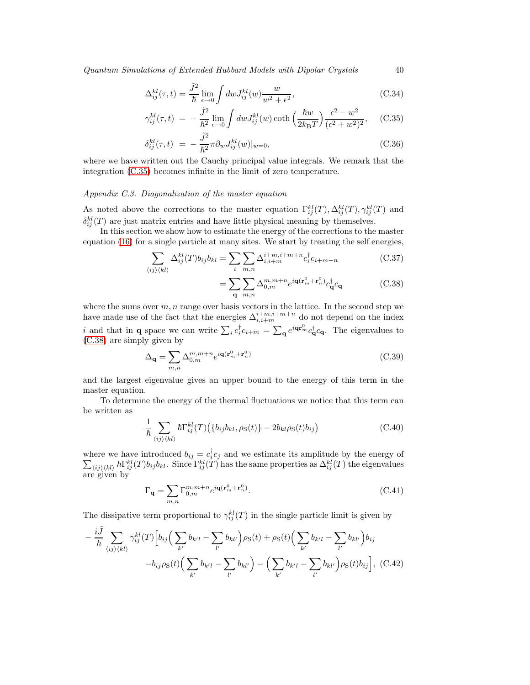*Quantum Simulations of Extended Hubbard Models with Dipolar Crystals* 40

$$
\Delta_{ij}^{kl}(\tau, t) = \frac{\tilde{J}^2}{\hbar} \lim_{\epsilon \to 0} \int dw J_{ij}^{kl}(w) \frac{w}{w^2 + \epsilon^2}, \tag{C.34}
$$

$$
\gamma_{ij}^{kl}(\tau, t) = -\frac{\tilde{J}^2}{\hbar^2} \lim_{\epsilon \to 0} \int dw J_{ij}^{kl}(w) \coth\left(\frac{\hbar w}{2k_{\rm B}T}\right) \frac{\epsilon^2 - w^2}{(\epsilon^2 + w^2)^2}, \quad \text{(C.35)}
$$

$$
\delta_{ij}^{kl}(\tau,t) = -\frac{\tilde{J}^2}{\hbar^2} \pi \partial_w J_{ij}^{kl}(w)|_{w=0},\tag{C.36}
$$

where we have written out the Cauchy principal value integrals. We remark that the integration [\(C.35\)](#page-38-0) becomes infinite in the limit of zero temperature.

# <span id="page-39-0"></span>*Appendix C.3. Diagonalization of the master equation*

As noted above the corrections to the master equation  $\Gamma_{ij}^{kl}(T), \Delta_{ij}^{kl}(T), \gamma_{ij}^{kl}(T)$  and  $\delta_{ij}^{kl}(T)$  are just matrix entries and have little physical meaning by themselves.

In this section we show how to estimate the energy of the corrections to the master equation [\(16\)](#page-6-1) for a single particle at many sites. We start by treating the self energies,

<span id="page-39-1"></span>
$$
\sum_{\langle ij \rangle \langle kl \rangle} \Delta_{ij}^{kl}(T) b_{ij} b_{kl} = \sum_{i} \sum_{m,n} \Delta_{i,i+m}^{i+m,i+m+n} c_i^{\dagger} c_{i+m+n}
$$
(C.37)

$$
= \sum_{\mathbf{q}} \sum_{m,n} \Delta_{0,m}^{m,m+n} e^{i \mathbf{q} (\mathbf{r}_m^0 + \mathbf{r}_n^0)} c_{\mathbf{q}}^{\dagger} c_{\mathbf{q}} \tag{C.38}
$$

where the sums over  $m, n$  range over basis vectors in the lattice. In the second step we have made use of the fact that the energies  $\Delta_{i,i+m}^{i+m,i+m+n}$  do not depend on the index i and that in **q** space we can write  $\sum_i c_i^{\dagger} c_{i+m} = \sum_{\mathbf{q}} e^{i \mathbf{q} \cdot \mathbf{r}_{m}} c_{\mathbf{q}}^{\dagger} c_{\mathbf{q}}$ . The eigenvalues to [\(C.38\)](#page-39-1) are simply given by

$$
\Delta_{\mathbf{q}} = \sum_{m,n} \Delta_{0,m}^{m,m+n} e^{i\mathbf{q}(\mathbf{r}_m^0 + \mathbf{r}_n^0)} \tag{C.39}
$$

and the largest eigenvalue gives an upper bound to the energy of this term in the master equation.

To determine the energy of the thermal fluctuations we notice that this term can be written as

$$
\frac{1}{\hbar} \sum_{\langle ij \rangle \langle kl \rangle} \hbar \Gamma_{ij}^{kl}(T) \left( \{ b_{ij} b_{kl}, \rho_{\rm S}(t) \} - 2b_{kl} \rho_{\rm S}(t) b_{ij} \right) \tag{C.40}
$$

where we have introduced  $b_{ij} = c_i^{\dagger}$ <br> $\sum_{\langle ij \rangle \langle kl \rangle} \hbar \Gamma_{ij}^{kl}(T) b_{ij} b_{kl}$ . Since  $\Gamma_{ij}^{kl}(T)$  $c_j$  and we estimate its amplitude by the energy of  $\langle ij\rangle\langle kl\rangle h \Gamma^{kl}_{ij}(T) b_{ij} b_{kl}$ . Since  $\Gamma^{kl}_{ij}(T)$  has the same properties as  $\Delta^{kl}_{ij}(T)$  the eigenvalues are given by

<span id="page-39-2"></span>
$$
\Gamma_{\mathbf{q}} = \sum_{m,n} \Gamma_{0,m}^{m,m+n} e^{i\mathbf{q}(\mathbf{r}_m^0 + \mathbf{r}_n^0)}.
$$
\n(C.41)

The dissipative term proportional to  $\gamma_{ij}^{kl}(T)$  in the single particle limit is given by

$$
-\frac{i\tilde{J}}{\hbar} \sum_{\langle ij \rangle \langle kl \rangle} \gamma_{ij}^{kl}(T) \Big[ b_{ij} \Big( \sum_{k'} b_{k'l} - \sum_{l'} b_{kl'} \Big) \rho_{S}(t) + \rho_{S}(t) \Big( \sum_{k'} b_{k'l} - \sum_{l'} b_{kl'} \Big) b_{ij} -b_{ij} \rho_{S}(t) \Big( \sum_{k'} b_{k'l} - \sum_{l'} b_{kl'} \Big) - \Big( \sum_{k'} b_{k'l} - \sum_{l'} b_{kl'} \Big) \rho_{S}(t) b_{ij} \Big], (C.42)
$$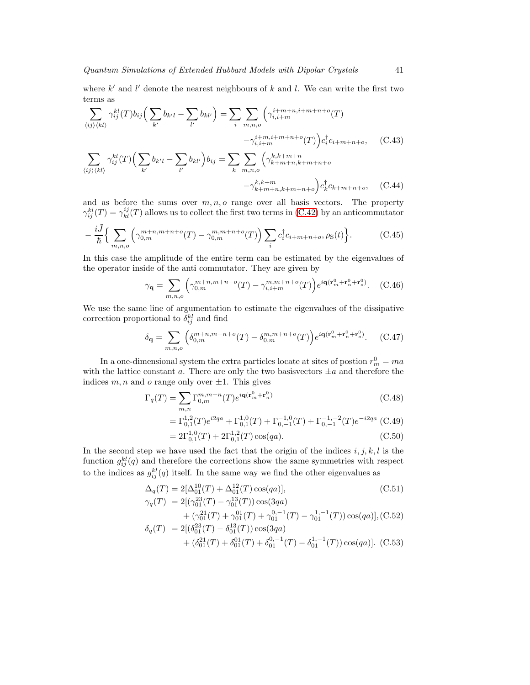where  $k'$  and  $l'$  denote the nearest neighbours of  $k$  and  $l$ . We can write the first two terms as

$$
\sum_{\langle ij\rangle\langle kl\rangle} \gamma_{ij}^{kl}(T) b_{ij} \Big( \sum_{k'} b_{k'l} - \sum_{l'} b_{kl'} \Big) = \sum_{i} \sum_{m,n,o} \Big( \gamma_{i,i+m}^{i+m+n,m+n+o}(T) - \gamma_{i,i+m}^{i+m,n+m+n+o}(T) \Big) c_i^{\dagger} c_{i+m+n+o}, \quad (C.43)
$$

$$
\sum_{\langle ij\rangle\langle kl\rangle} \gamma_{ij}^{kl}(T) \Big( \sum_{k'} b_{k'l} - \sum_{l'} b_{kl'} \Big) b_{ij} = \sum_{k} \sum_{m,n,o} \Big( \gamma_{k+m+n,k+m+n+o}^{k,k+m+n+o} - \gamma_{k+m+n,k+m+n+o}^{k,k+m} \Big) c_k^{\dagger} c_{k+m+n+o}, \quad (C.44)
$$

and as before the sums over  $m, n, o$  range over all basis vectors. The property  $\gamma_{ij}^{kl}(T) = \gamma_{kl}^{ij}(T)$  allows us to collect the first two terms in [\(C.42\)](#page-39-2) by an anticommutator

$$
-\frac{i\tilde{J}}{\hbar}\Big\{\sum_{m,n,o}\Big(\gamma_{0,m}^{m+n,m+n+o}(T)-\gamma_{0,m}^{m,m+n+o}(T)\Big)\sum_{i}c_{i}^{\dagger}c_{i+m+n+o},\rho_{S}(t)\Big\}.\tag{C.45}
$$

In this case the amplitude of the entire term can be estimated by the eigenvalues of the operator inside of the anti commutator. They are given by

$$
\gamma_{\mathbf{q}} = \sum_{m,n,o} \left( \gamma_{0,m}^{m+n,m+n+o}(T) - \gamma_{i,i+m}^{m,m+n+o}(T) \right) e^{i \mathbf{q} (\mathbf{r}_m^0 + \mathbf{r}_n^0 + \mathbf{r}_o^0)}.
$$
 (C.46)

We use the same line of argumentation to estimate the eigenvalues of the dissipative correction proportional to  $\delta_{ij}^{kl}$  and find

$$
\delta_{\mathbf{q}} = \sum_{m,n,o} \left( \delta_{0,m}^{m+n,m+n+o}(T) - \delta_{0,m}^{m,m+n+o}(T) \right) e^{i \mathbf{q} (\mathbf{r}_m^0 + \mathbf{r}_n^0 + \mathbf{r}_o^0)}.
$$
 (C.47)

In a one-dimensional system the extra particles locate at sites of postion  $r_m^0 = ma$ with the lattice constant a. There are only the two basisvectors  $\pm a$  and therefore the indices  $m, n$  and  $o$  range only over  $\pm 1$ . This gives

$$
\Gamma_q(T) = \sum_{m,n} \Gamma_{0,m}^{m,m+n}(T) e^{i\mathbf{q}(\mathbf{r}_m^0 + \mathbf{r}_n^0)}
$$
\n(C.48)

$$
= \Gamma_{0,1}^{1,2}(T)e^{i2qa} + \Gamma_{0,1}^{1,0}(T) + \Gamma_{0,-1}^{-1,0}(T) + \Gamma_{0,-1}^{-1,-2}(T)e^{-i2qa} \tag{C.49}
$$

$$
=2\Gamma_{0,1}^{1,0}(T)+2\Gamma_{0,1}^{1,2}(T)\cos(qa). \tag{C.50}
$$

In the second step we have used the fact that the origin of the indices  $i, j, k, l$  is the function  $g_{ij}^{kl}(q)$  and therefore the corrections show the same symmetries with respect to the indices as  $g_{ij}^{kl}(q)$  itself. In the same way we find the other eigenvalues as

$$
\Delta_q(T) = 2[\Delta_{01}^{10}(T) + \Delta_{01}^{12}(T)\cos(qa)],
$$
\n(C.51)

$$
\gamma_q(T) = 2[(\gamma_{01}^{23}(T) - \gamma_{01}^{13}(T))\cos(3qa) \n+ (\gamma_{01}^{21}(T) + \gamma_{01}^{01}(T) + \gamma_{01}^{0,-1}(T) - \gamma_{01}^{1,-1}(T))\cos(qa)], (C.52) \n\delta(T) = 2[(\delta^{23}(T) - \delta^{13}(T))\cos(3aa))
$$

$$
\delta_q(T) = 2[(\delta_{01}^{23}(T) - \delta_{01}^{13}(T))\cos(3qa) + (\delta_{01}^{21}(T) + \delta_{01}^{01}(T) + \delta_{01}^{0,-1}(T) - \delta_{01}^{1,-1}(T))\cos(qa)].
$$
 (C.53)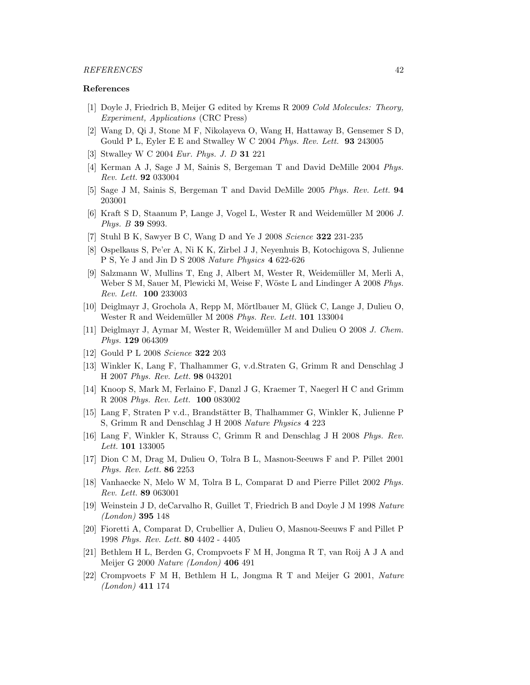# *REFERENCES* 42

#### References

- <span id="page-41-0"></span>[1] Doyle J, Friedrich B, Meijer G edited by Krems R 2009 *Cold Molecules: Theory, Experiment, Applications* (CRC Press)
- <span id="page-41-1"></span>[2] Wang D, Qi J, Stone M F, Nikolayeva O, Wang H, Hattaway B, Gensemer S D, Gould P L, Eyler E E and Stwalley W C 2004 *Phys. Rev. Lett.* 93 243005
- <span id="page-41-2"></span>[3] Stwalley W C 2004 *Eur. Phys. J. D* 31 221
- <span id="page-41-3"></span>[4] Kerman A J, Sage J M, Sainis S, Bergeman T and David DeMille 2004 *Phys. Rev. Lett.* 92 033004
- <span id="page-41-4"></span>[5] Sage J M, Sainis S, Bergeman T and David DeMille 2005 *Phys. Rev. Lett.* 94 203001
- <span id="page-41-5"></span>[6] Kraft S D, Staanum P, Lange J, Vogel L, Wester R and Weidemüller M 2006 *J*. *Phys. B* 39 S993.
- <span id="page-41-6"></span>[7] Stuhl B K, Sawyer B C, Wang D and Ye J 2008 *Science* 322 231-235
- <span id="page-41-7"></span>[8] Ospelkaus S, Pe'er A, Ni K K, Zirbel J J, Neyenhuis B, Kotochigova S, Julienne P S, Ye J and Jin D S 2008 *Nature Physics* 4 622-626
- <span id="page-41-8"></span>[9] Salzmann W, Mullins T, Eng J, Albert M, Wester R, Weidem¨uller M, Merli A, Weber S M, Sauer M, Plewicki M, Weise F, Wöste L and Lindinger A 2008 *Phys. Rev. Lett.* 100 233003
- <span id="page-41-9"></span>[10] Deiglmayr J, Grochola A, Repp M, Mörtlbauer M, Glück C, Lange J, Dulieu O, Wester R and Weidemüller M 2008 Phys. Rev. Lett. **101** 133004
- <span id="page-41-10"></span>[11] Deiglmayr J, Aymar M, Wester R, Weidem¨uller M and Dulieu O 2008 *J. Chem. Phys.* 129 064309
- <span id="page-41-11"></span>[12] Gould P L 2008 *Science* 322 203
- <span id="page-41-12"></span>[13] Winkler K, Lang F, Thalhammer G, v.d.Straten G, Grimm R and Denschlag J H 2007 *Phys. Rev. Lett.* 98 043201
- <span id="page-41-13"></span>[14] Knoop S, Mark M, Ferlaino F, Danzl J G, Kraemer T, Naegerl H C and Grimm R 2008 *Phys. Rev. Lett.* 100 083002
- <span id="page-41-14"></span>[15] Lang F, Straten P v.d., Brandstätter B, Thalhammer G, Winkler K, Julienne P S, Grimm R and Denschlag J H 2008 *Nature Physics* 4 223
- <span id="page-41-15"></span>[16] Lang F, Winkler K, Strauss C, Grimm R and Denschlag J H 2008 *Phys. Rev. Lett.* 101 133005
- <span id="page-41-16"></span>[17] Dion C M, Drag M, Dulieu O, Tolra B L, Masnou-Seeuws F and P. Pillet 2001 *Phys. Rev. Lett.* 86 2253
- <span id="page-41-17"></span>[18] Vanhaecke N, Melo W M, Tolra B L, Comparat D and Pierre Pillet 2002 *Phys. Rev. Lett.* 89 063001
- <span id="page-41-18"></span>[19] Weinstein J D, deCarvalho R, Guillet T, Friedrich B and Doyle J M 1998 *Nature (London)* 395 148
- <span id="page-41-19"></span>[20] Fioretti A, Comparat D, Crubellier A, Dulieu O, Masnou-Seeuws F and Pillet P 1998 *Phys. Rev. Lett.* 80 4402 - 4405
- <span id="page-41-20"></span>[21] Bethlem H L, Berden G, Crompvoets F M H, Jongma R T, van Roij A J A and Meijer G 2000 *Nature (London)* 406 491
- <span id="page-41-21"></span>[22] Crompvoets F M H, Bethlem H L, Jongma R T and Meijer G 2001, *Nature (London)* 411 174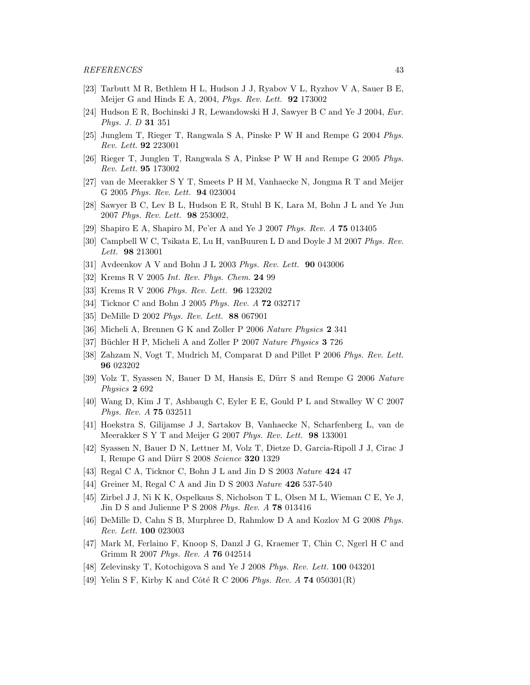- <span id="page-42-0"></span>[23] Tarbutt M R, Bethlem H L, Hudson J J, Ryabov V L, Ryzhov V A, Sauer B E, Meijer G and Hinds E A, 2004, *Phys. Rev. Lett.* 92 173002
- <span id="page-42-1"></span>[24] Hudson E R, Bochinski J R, Lewandowski H J, Sawyer B C and Ye J 2004, *Eur. Phys. J. D* 31 351
- <span id="page-42-2"></span>[25] Junglem T, Rieger T, Rangwala S A, Pinske P W H and Rempe G 2004 *Phys. Rev. Lett.* 92 223001
- <span id="page-42-3"></span>[26] Rieger T, Junglen T, Rangwala S A, Pinkse P W H and Rempe G 2005 *Phys. Rev. Lett.* 95 173002
- <span id="page-42-4"></span>[27] van de Meerakker S Y T, Smeets P H M, Vanhaecke N, Jongma R T and Meijer G 2005 *Phys. Rev. Lett.* 94 023004
- <span id="page-42-5"></span>[28] Sawyer B C, Lev B L, Hudson E R, Stuhl B K, Lara M, Bohn J L and Ye Jun 2007 *Phys. Rev. Lett.* 98 253002,
- <span id="page-42-6"></span>[29] Shapiro E A, Shapiro M, Pe'er A and Ye J 2007 *Phys. Rev. A* 75 013405
- <span id="page-42-7"></span>[30] Campbell W C, Tsikata E, Lu H, vanBuuren L D and Doyle J M 2007 *Phys. Rev. Lett.* 98 213001
- <span id="page-42-8"></span>[31] Avdeenkov A V and Bohn J L 2003 *Phys. Rev. Lett.* 90 043006
- <span id="page-42-9"></span>[32] Krems R V 2005 *Int. Rev. Phys. Chem.* 24 99
- <span id="page-42-10"></span>[33] Krems R V 2006 *Phys. Rev. Lett.* 96 123202
- <span id="page-42-11"></span>[34] Ticknor C and Bohn J 2005 *Phys. Rev. A* 72 032717
- <span id="page-42-12"></span>[35] DeMille D 2002 *Phys. Rev. Lett.* 88 067901
- <span id="page-42-13"></span>[36] Micheli A, Brennen G K and Zoller P 2006 *Nature Physics* 2 341
- <span id="page-42-14"></span>[37] Büchler H P, Micheli A and Zoller P 2007 *Nature Physics* 3 726
- <span id="page-42-15"></span>[38] Zahzam N, Vogt T, Mudrich M, Comparat D and Pillet P 2006 *Phys. Rev. Lett.* 96 023202
- <span id="page-42-16"></span>[39] Volz T, Syassen N, Bauer D M, Hansis E, D¨urr S and Rempe G 2006 *Nature Physics* 2 692
- <span id="page-42-17"></span>[40] Wang D, Kim J T, Ashbaugh C, Eyler E E, Gould P L and Stwalley W C 2007 *Phys. Rev. A* 75 032511
- <span id="page-42-18"></span>[41] Hoekstra S, Gilijamse J J, Sartakov B, Vanhaecke N, Scharfenberg L, van de Meerakker S Y T and Meijer G 2007 *Phys. Rev. Lett.* 98 133001
- <span id="page-42-19"></span>[42] Syassen N, Bauer D N, Lettner M, Volz T, Dietze D, Garcia-Ripoll J J, Cirac J I, Rempe G and D¨urr S 2008 *Science* 320 1329
- <span id="page-42-20"></span>[43] Regal C A, Ticknor C, Bohn J L and Jin D S 2003 *Nature* 424 47
- <span id="page-42-21"></span>[44] Greiner M, Regal C A and Jin D S 2003 *Nature* 426 537-540
- <span id="page-42-22"></span>[45] Zirbel J J, Ni K K, Ospelkaus S, Nicholson T L, Olsen M L, Wieman C E, Ye J, Jin D S and Julienne P S 2008 *Phys. Rev. A* 78 013416
- <span id="page-42-23"></span>[46] DeMille D, Cahn S B, Murphree D, Rahmlow D A and Kozlov M G 2008 *Phys. Rev. Lett.* 100 023003
- <span id="page-42-24"></span>[47] Mark M, Ferlaino F, Knoop S, Danzl J G, Kraemer T, Chin C, Ngerl H C and Grimm R 2007 *Phys. Rev. A* 76 042514
- <span id="page-42-25"></span>[48] Zelevinsky T, Kotochigova S and Ye J 2008 *Phys. Rev. Lett.* 100 043201
- <span id="page-42-26"></span>[49] Yelin S F, Kirby K and Côté R C 2006 *Phys. Rev. A* **74** 050301(R)